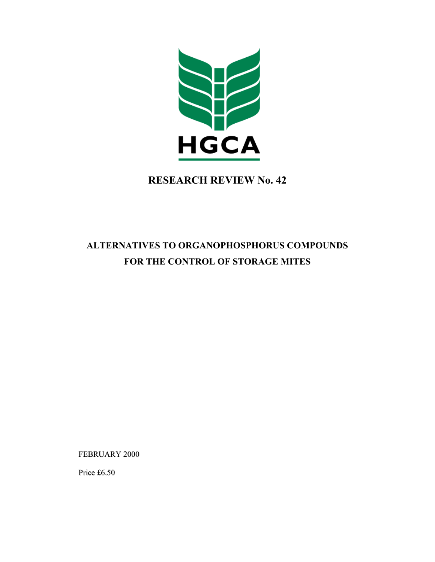

## **RESEARCH REVIEW No. 42**

# **ALTERNATIVES TO ORGANOPHOSPHORUS COMPOUNDS FOR THE CONTROL OF STORAGE MITES**

FEBRUARY 2000

Price £6.50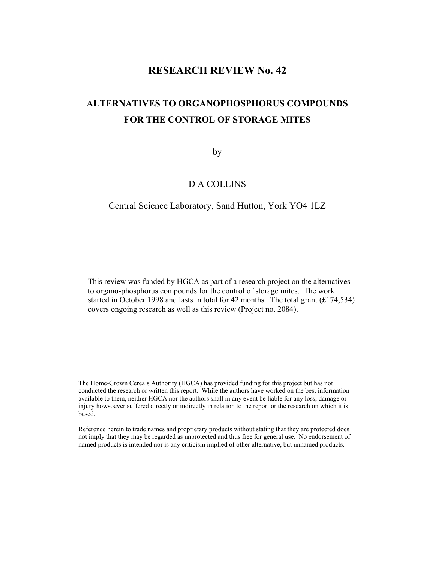## **RESEARCH REVIEW No. 42**

## **ALTERNATIVES TO ORGANOPHOSPHORUS COMPOUNDS FOR THE CONTROL OF STORAGE MITES**

by

## D A COLLINS

#### Central Science Laboratory, Sand Hutton, York YO4 1LZ

This review was funded by HGCA as part of a research project on the alternatives to organo-phosphorus compounds for the control of storage mites. The work started in October 1998 and lasts in total for 42 months. The total grant (£174,534) covers ongoing research as well as this review (Project no. 2084).

The Home-Grown Cereals Authority (HGCA) has provided funding for this project but has not conducted the research or written this report. While the authors have worked on the best information available to them, neither HGCA nor the authors shall in any event be liable for any loss, damage or injury howsoever suffered directly or indirectly in relation to the report or the research on which it is based.

Reference herein to trade names and proprietary products without stating that they are protected does not imply that they may be regarded as unprotected and thus free for general use. No endorsement of named products is intended nor is any criticism implied of other alternative, but unnamed products.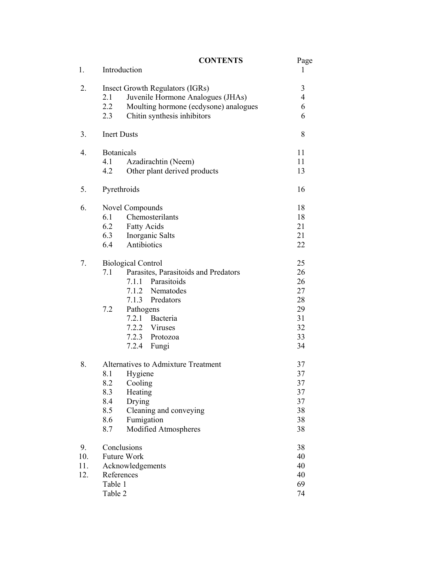|     |                                     | <b>CONTENTS</b>                       | Page     |
|-----|-------------------------------------|---------------------------------------|----------|
| 1.  |                                     | Introduction                          | 1        |
| 2.  | Insect Growth Regulators (IGRs)     |                                       | 3        |
|     | 2.1                                 | Juvenile Hormone Analogues (JHAs)     | 4        |
|     | 2.2                                 | Moulting hormone (ecdysone) analogues | 6        |
|     | 2.3                                 | Chitin synthesis inhibitors           | 6        |
| 3.  |                                     | <b>Inert Dusts</b>                    |          |
| 4.  | <b>Botanicals</b>                   |                                       | 11       |
|     | 4.1                                 | Azadirachtin (Neem)                   | 11       |
|     | 4.2                                 | Other plant derived products          | 13       |
| 5.  |                                     | Pyrethroids                           | 16       |
| 6.  | Novel Compounds                     |                                       | 18       |
|     | 6.1                                 | Chemosterilants                       | 18       |
|     | 6.2                                 | <b>Fatty Acids</b>                    | 21       |
|     | 6.3                                 | Inorganic Salts                       | 21       |
|     | 6.4                                 | Antibiotics                           | 22       |
| 7.  | <b>Biological Control</b>           |                                       | 25       |
|     | 7.1                                 | Parasites, Parasitoids and Predators  | 26       |
|     |                                     | 7.1.1 Parasitoids                     | 26       |
|     |                                     | 7.1.2 Nematodes                       | 27       |
|     |                                     | 7.1.3 Predators                       | 28       |
|     | 7.2                                 | Pathogens                             | 29       |
|     |                                     | 7.2.1 Bacteria                        | 31       |
|     |                                     | 7.2.2 Viruses                         | 32       |
|     |                                     | 7.2.3 Protozoa                        | 33       |
|     |                                     | 7.2.4<br>Fungi                        | 34       |
| 8.  | Alternatives to Admixture Treatment |                                       | 37       |
|     | 8.1                                 | Hygiene                               | 37       |
|     | 8.2                                 | Cooling                               | 37       |
|     | 8.3                                 | Heating                               | 37       |
|     | 8.4                                 | Drying                                | 37       |
|     | 8.5                                 | Cleaning and conveying                | 38       |
|     | 8.6                                 | Fumigation                            | 38       |
|     | 8.7                                 | Modified Atmospheres                  | 38       |
| 9.  | Conclusions                         |                                       | 38       |
| 10. | Future Work                         |                                       | 40<br>40 |
| 11. |                                     | Acknowledgements                      |          |
| 12. | References                          |                                       | 40       |
|     | Table 1                             |                                       | 69       |
|     | Table 2                             |                                       | 74       |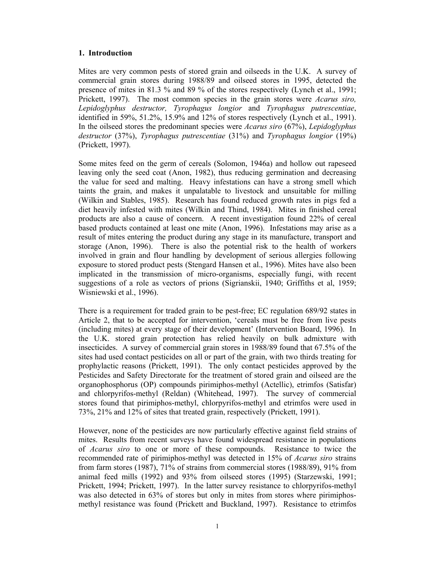#### **1. Introduction**

Mites are very common pests of stored grain and oilseeds in the U.K. A survey of commercial grain stores during 1988/89 and oilseed stores in 1995, detected the presence of mites in 81.3 % and 89 % of the stores respectively (Lynch et al., 1991; Prickett, 1997). The most common species in the grain stores were *Acarus siro, Lepidoglyphus destructor, Tyrophagus longior* and *Tyrophagus putrescentiae*, identified in 59%, 51.2%, 15.9% and 12% of stores respectively (Lynch et al., 1991). In the oilseed stores the predominant species were *Acarus siro* (67%), *Lepidoglyphus destructor* (37%), *Tyrophagus putrescentiae* (31%) and *Tyrophagus longior* (19%) (Prickett, 1997).

Some mites feed on the germ of cereals (Solomon, 1946a) and hollow out rapeseed leaving only the seed coat (Anon, 1982), thus reducing germination and decreasing the value for seed and malting. Heavy infestations can have a strong smell which taints the grain, and makes it unpalatable to livestock and unsuitable for milling (Wilkin and Stables, 1985). Research has found reduced growth rates in pigs fed a diet heavily infested with mites (Wilkin and Thind, 1984). Mites in finished cereal products are also a cause of concern. A recent investigation found 22% of cereal based products contained at least one mite (Anon, 1996). Infestations may arise as a result of mites entering the product during any stage in its manufacture, transport and storage (Anon, 1996). There is also the potential risk to the health of workers involved in grain and flour handling by development of serious allergies following exposure to stored product pests (Stengard Hansen et al., 1996). Mites have also been implicated in the transmission of micro-organisms, especially fungi, with recent suggestions of a role as vectors of prions (Sigrianskii, 1940; Griffiths et al, 1959; Wisniewski et al., 1996).

There is a requirement for traded grain to be pest-free; EC regulation 689/92 states in Article 2, that to be accepted for intervention, 'cereals must be free from live pests (including mites) at every stage of their development' (Intervention Board, 1996). In the U.K. stored grain protection has relied heavily on bulk admixture with insecticides. A survey of commercial grain stores in 1988/89 found that 67.5% of the sites had used contact pesticides on all or part of the grain, with two thirds treating for prophylactic reasons (Prickett, 1991). The only contact pesticides approved by the Pesticides and Safety Directorate for the treatment of stored grain and oilseed are the organophosphorus (OP) compounds pirimiphos-methyl (Actellic), etrimfos (Satisfar) and chlorpyrifos-methyl (Reldan) (Whitehead, 1997). The survey of commercial stores found that pirimiphos-methyl, chlorpyrifos-methyl and etrimfos were used in 73%, 21% and 12% of sites that treated grain, respectively (Prickett, 1991).

However, none of the pesticides are now particularly effective against field strains of mites. Results from recent surveys have found widespread resistance in populations of *Acarus siro* to one or more of these compounds. Resistance to twice the recommended rate of pirimiphos-methyl was detected in 15% of *Acarus siro* strains from farm stores (1987), 71% of strains from commercial stores (1988/89), 91% from animal feed mills (1992) and 93% from oilseed stores (1995) (Starzewski, 1991; Prickett, 1994; Prickett, 1997). In the latter survey resistance to chlorpyrifos-methyl was also detected in 63% of stores but only in mites from stores where pirimiphosmethyl resistance was found (Prickett and Buckland, 1997). Resistance to etrimfos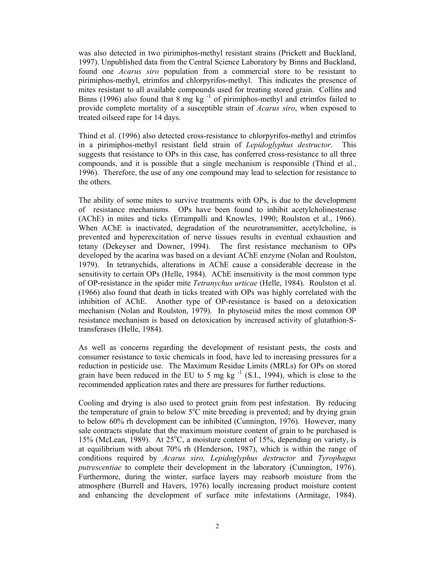was also detected in two pirimiphos-methyl resistant strains (Prickett and Buckland, 1997). Unpublished data from the Central Science Laboratory by Binns and Buckland, found one *Acarus siro* population from a commercial store to be resistant to pirimiphos-methyl, etrimfos and chlorpyrifos-methyl. This indicates the presence of mites resistant to all available compounds used for treating stored grain. Collins and Binns (1996) also found that 8 mg kg<sup>-1</sup> of pirimiphos-methyl and etrimfos failed to provide complete mortality of a susceptible strain of *Acarus siro*, when exposed to treated oilseed rape for 14 days.

Thind et al. (1996) also detected cross-resistance to chlorpyrifos-methyl and etrimfos in a pirimiphos-methyl resistant field strain of *Lepidoglyphus destructor*. This suggests that resistance to OPs in this case, has conferred cross-resistance to all three compounds, and it is possible that a single mechanism is responsible (Thind et al., 1996). Therefore, the use of any one compound may lead to selection for resistance to the others.

The ability of some mites to survive treatments with OPs, is due to the development of resistance mechanisms. OPs have been found to inhibit acetylcholinesterase (AChE) in mites and ticks (Errampalli and Knowles, 1990; Roulston et al., 1966). When AChE is inactivated, degradation of the neurotransmitter, acetylcholine, is prevented and hyperexcitation of nerve tissues results in eventual exhaustion and tetany (Dekeyser and Downer, 1994). The first resistance mechanism to OPs developed by the acarina was based on a deviant AChE enzyme (Nolan and Roulston, 1979). In tetranychids, alterations in AChE cause a considerable decrease in the sensitivity to certain OPs (Helle, 1984). AChE insensitivity is the most common type of OP-resistance in the spider mite *Tetranychus urticae* (Helle, 1984). Roulston et al. (1966) also found that death in ticks treated with OPs was highly correlated with the inhibition of AChE. Another type of OP-resistance is based on a detoxication mechanism (Nolan and Roulston, 1979). In phytoseiid mites the most common OP resistance mechanism is based on detoxication by increased activity of glutathion-Stransferases (Helle, 1984).

As well as concerns regarding the development of resistant pests, the costs and consumer resistance to toxic chemicals in food, have led to increasing pressures for a reduction in pesticide use. The Maximum Residue Limits (MRLs) for OPs on stored grain have been reduced in the EU to 5 mg kg $^{-1}$  (S.I., 1994), which is close to the recommended application rates and there are pressures for further reductions.

Cooling and drying is also used to protect grain from pest infestation. By reducing the temperature of grain to below  $5^{\circ}$ C mite breeding is prevented; and by drying grain to below 60% rh development can be inhibited (Cunnington, 1976). However, many sale contracts stipulate that the maximum moisture content of grain to be purchased is 15% (McLean, 1989). At 25°C, a moisture content of 15%, depending on variety, is at equilibrium with about 70% rh (Henderson, 1987), which is within the range of conditions required by *Acarus siro, Lepidoglyphus destructor* and *Tyrophagus putrescentiae* to complete their development in the laboratory (Cunnington, 1976). Furthermore, during the winter, surface layers may reabsorb moisture from the atmosphere (Burrell and Havers, 1976) locally increasing product moisture content and enhancing the development of surface mite infestations (Armitage, 1984).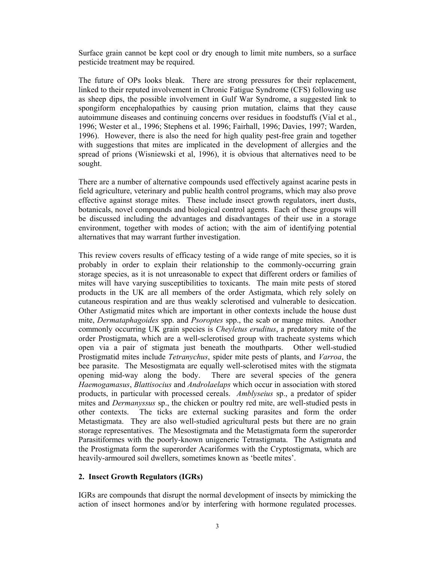Surface grain cannot be kept cool or dry enough to limit mite numbers, so a surface pesticide treatment may be required.

The future of OPs looks bleak. There are strong pressures for their replacement, linked to their reputed involvement in Chronic Fatigue Syndrome (CFS) following use as sheep dips, the possible involvement in Gulf War Syndrome, a suggested link to spongiform encephalopathies by causing prion mutation, claims that they cause autoimmune diseases and continuing concerns over residues in foodstuffs (Vial et al., 1996; Wester et al., 1996; Stephens et al. 1996; Fairhall, 1996; Davies, 1997; Warden, 1996). However, there is also the need for high quality pest-free grain and together with suggestions that mites are implicated in the development of allergies and the spread of prions (Wisniewski et al, 1996), it is obvious that alternatives need to be sought.

There are a number of alternative compounds used effectively against acarine pests in field agriculture, veterinary and public health control programs, which may also prove effective against storage mites. These include insect growth regulators, inert dusts, botanicals, novel compounds and biological control agents. Each of these groups will be discussed including the advantages and disadvantages of their use in a storage environment, together with modes of action; with the aim of identifying potential alternatives that may warrant further investigation.

This review covers results of efficacy testing of a wide range of mite species, so it is probably in order to explain their relationship to the commonly-occurring grain storage species, as it is not unreasonable to expect that different orders or families of mites will have varying susceptibilities to toxicants. The main mite pests of stored products in the UK are all members of the order Astigmata, which rely solely on cutaneous respiration and are thus weakly sclerotised and vulnerable to desiccation. Other Astigmatid mites which are important in other contexts include the house dust mite, *Dermataphagoides* spp. and *Psoroptes* spp., the scab or mange mites. Another commonly occurring UK grain species is *Cheyletus eruditus*, a predatory mite of the order Prostigmata, which are a well-sclerotised group with tracheate systems which open via a pair of stigmata just beneath the mouthparts. Other well-studied Prostigmatid mites include *Tetranychus*, spider mite pests of plants, and *Varroa*, the bee parasite. The Mesostigmata are equally well-sclerotised mites with the stigmata opening mid-way along the body. There are several species of the genera *Haemogamasus*, *Blattisocius* and *Androlaelaps* which occur in association with stored products, in particular with processed cereals. *Amblyseius* sp., a predator of spider mites and *Dermanyssus* sp., the chicken or poultry red mite, are well-studied pests in other contexts. The ticks are external sucking parasites and form the order Metastigmata. They are also well-studied agricultural pests but there are no grain storage representatives. The Mesostigmata and the Metastigmata form the superorder Parasitiformes with the poorly-known unigeneric Tetrastigmata. The Astigmata and the Prostigmata form the superorder Acariformes with the Cryptostigmata, which are heavily-armoured soil dwellers, sometimes known as 'beetle mites'.

#### **2. Insect Growth Regulators (IGRs)**

IGRs are compounds that disrupt the normal development of insects by mimicking the action of insect hormones and/or by interfering with hormone regulated processes.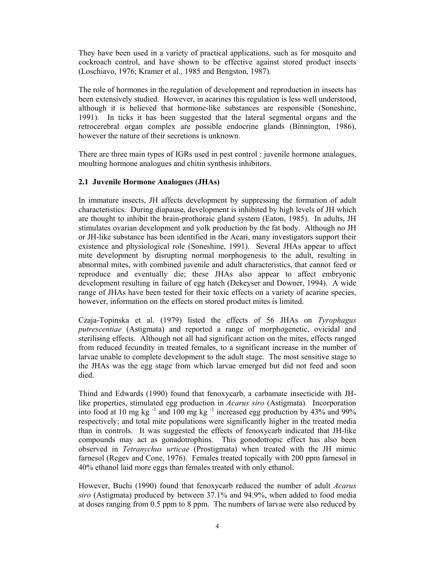They have been used in a variety of practical applications, such as for mosquito and cockroach control, and have shown to be effective against stored product insects (Loschiavo, 1976; Kramer et al., 1985 and Bengston, 1987).

The role of hormones in the regulation of development and reproduction in insects has been extensively studied. However, in acarines this regulation is less well understood, although it is believed that hormone-like substances are responsible (Soneshine, 1991). In ticks it has been suggested that the lateral segmental organs and the retrocerebral organ complex are possible endocrine glands (Binnington, 1986), however the nature of their secretions is unknown.

There are three main types of IGRs used in pest control : juvenile hormone analogues, moulting hormone analogues and chitin synthesis inhibitors.

#### **2.1 Juvenile Hormone Analogues (JHAs)**

In immature insects, JH affects development by suppressing the formation of adult characteristics. During diapause, development is inhibited by high levels of JH which are thought to inhibit the brain-prothoraic gland system (Eaton, 1985). In adults, JH stimulates ovarian development and yolk production by the fat body. Although no JH or JH-like substance has been identified in the Acari, many investigators support their existence and physiological role (Soneshine, 1991). Several JHAs appear to affect mite development by disrupting normal morphogenesis to the adult, resulting in abnormal mites, with combined juvenile and adult characteristics, that cannot feed or reproduce and eventually die; these JHAs also appear to affect embryonic development resulting in failure of egg hatch (Dekeyser and Downer, 1994). A wide range of JHAs have been tested for their toxic effects on a variety of acarine species, however, information on the effects on stored product mites is limited.

Czaja-Topinska et al. (1979) listed the effects of 56 JHAs on *Tyrophagus putrescentiae* (Astigmata) and reported a range of morphogenetic, ovicidal and sterilising effects. Although not all had significant action on the mites, effects ranged from reduced fecundity in treated females, to a significant increase in the number of larvae unable to complete development to the adult stage. The most sensitive stage to the JHAs was the egg stage from which larvae emerged but did not feed and soon died.

Thind and Edwards (1990) found that fenoxycarb, a carbamate insecticide with JHlike properties, stimulated egg production in *Acarus siro* (Astigmata)*.* Incorporation into food at 10 mg kg  $^{-1}$  and 100 mg kg  $^{-1}$  increased egg production by 43% and 99% respectively; and total mite populations were significantly higher in the treated media than in controls. It was suggested the effects of fenoxycarb indicated that JH-like compounds may act as gonadotrophins. This gonodotropic effect has also been observed in *Tetranychus urticae* (Prostigmata) when treated with the JH mimic farnesol (Regev and Cone, 1976). Females treated topically with 200 ppm farnesol in 40% ethanol laid more eggs than females treated with only ethanol.

However, Buchi (1990) found that fenoxycarb reduced the number of adult *Acarus siro* (Astigmata) produced by between 37.1% and 94.9%, when added to food media at doses ranging from 0.5 ppm to 8 ppm. The numbers of larvae were also reduced by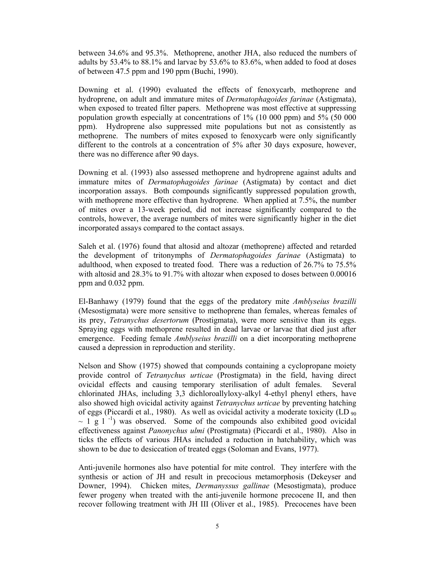between 34.6% and 95.3%. Methoprene, another JHA, also reduced the numbers of adults by 53.4% to 88.1% and larvae by 53.6% to 83.6%, when added to food at doses of between 47.5 ppm and 190 ppm (Buchi, 1990).

Downing et al. (1990) evaluated the effects of fenoxycarb, methoprene and hydroprene, on adult and immature mites of *Dermatophagoides farinae* (Astigmata), when exposed to treated filter papers. Methoprene was most effective at suppressing population growth especially at concentrations of 1% (10 000 ppm) and 5% (50 000 ppm). Hydroprene also suppressed mite populations but not as consistently as methoprene. The numbers of mites exposed to fenoxycarb were only significantly different to the controls at a concentration of 5% after 30 days exposure, however, there was no difference after 90 days.

Downing et al. (1993) also assessed methoprene and hydroprene against adults and immature mites of *Dermatophagoides farinae* (Astigmata) by contact and diet incorporation assays. Both compounds significantly suppressed population growth, with methoprene more effective than hydroprene. When applied at 7.5%, the number of mites over a 13-week period, did not increase significantly compared to the controls, however, the average numbers of mites were significantly higher in the diet incorporated assays compared to the contact assays.

Saleh et al. (1976) found that altosid and altozar (methoprene) affected and retarded the development of tritonymphs of *Dermatophagoides farinae* (Astigmata) to adulthood, when exposed to treated food. There was a reduction of 26.7% to 75.5% with altosid and 28.3% to 91.7% with altozar when exposed to doses between 0.00016 ppm and 0.032 ppm.

El-Banhawy (1979) found that the eggs of the predatory mite *Amblyseius brazilli* (Mesostigmata) were more sensitive to methoprene than females, whereas females of its prey, *Tetranychus desertorum* (Prostigmata), were more sensitive than its eggs. Spraying eggs with methoprene resulted in dead larvae or larvae that died just after emergence. Feeding female *Amblyseius brazilli* on a diet incorporating methoprene caused a depression in reproduction and sterility.

Nelson and Show (1975) showed that compounds containing a cyclopropane moiety provide control of *Tetranychus urticae* (Prostigmata) in the field, having direct ovicidal effects and causing temporary sterilisation of adult females. Several chlorinated JHAs, including 3,3 dichloroallyloxy-alkyl 4-ethyl phenyl ethers, have also showed high ovicidal activity against *Tetranychus urticae* by preventing hatching of eggs (Piccardi et al., 1980). As well as ovicidal activity a moderate toxicity (LD  $_{90}$ )  $\sim$  1 g l<sup>-1</sup>) was observed. Some of the compounds also exhibited good ovicidal effectiveness against *Panonychus ulmi* (Prostigmata) (Piccardi et al., 1980). Also in ticks the effects of various JHAs included a reduction in hatchability, which was shown to be due to desiccation of treated eggs (Soloman and Evans, 1977).

Anti-juvenile hormones also have potential for mite control. They interfere with the synthesis or action of JH and result in precocious metamorphosis (Dekeyser and Downer, 1994). Chicken mites, *Dermanyssus gallinae* (Mesostigmata), produce fewer progeny when treated with the anti-juvenile hormone precocene II, and then recover following treatment with JH III (Oliver et al., 1985). Precocenes have been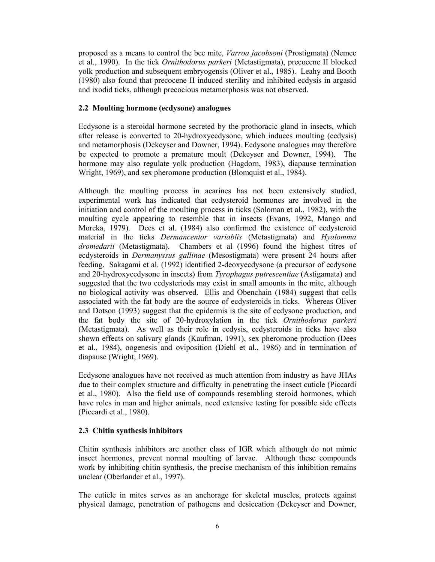proposed as a means to control the bee mite, *Varroa jacobsoni* (Prostigmata) (Nemec et al., 1990). In the tick *Ornithodorus parkeri* (Metastigmata), precocene II blocked yolk production and subsequent embryogensis (Oliver et al., 1985). Leahy and Booth (1980) also found that precocene II induced sterility and inhibited ecdysis in argasid and ixodid ticks, although precocious metamorphosis was not observed.

#### **2.2 Moulting hormone (ecdysone) analogues**

Ecdysone is a steroidal hormone secreted by the prothoracic gland in insects, which after release is converted to 20-hydroxyecdysone, which induces moulting (ecdysis) and metamorphosis (Dekeyser and Downer, 1994). Ecdysone analogues may therefore be expected to promote a premature moult (Dekeyser and Downer, 1994). The hormone may also regulate yolk production (Hagdorn, 1983), diapause termination Wright, 1969), and sex pheromone production (Blomquist et al., 1984).

Although the moulting process in acarines has not been extensively studied, experimental work has indicated that ecdysteroid hormones are involved in the initiation and control of the moulting process in ticks (Soloman et al., 1982), with the moulting cycle appearing to resemble that in insects (Evans, 1992, Mango and Moreka, 1979). Dees et al. (1984) also confirmed the existence of ecdysteroid material in the ticks *Dermancentor variablis* (Metastigmata) and *Hyalomma dromedarii* (Metastigmata). Chambers et al (1996) found the highest titres of ecdysteroids in *Dermanyssus gallinae* (Mesostigmata) were present 24 hours after feeding. Sakagami et al. (1992) identified 2-deoxyecdysone (a precursor of ecdysone and 20-hydroxyecdysone in insects) from *Tyrophagus putrescentiae* (Astigamata) and suggested that the two ecdysteriods may exist in small amounts in the mite, although no biological activity was observed. Ellis and Obenchain (1984) suggest that cells associated with the fat body are the source of ecdysteroids in ticks. Whereas Oliver and Dotson (1993) suggest that the epidermis is the site of ecdysone production, and the fat body the site of 20-hydroxylation in the tick *Ornithodorus parkeri*  (Metastigmata). As well as their role in ecdysis, ecdysteroids in ticks have also shown effects on salivary glands (Kaufman, 1991), sex pheromone production (Dees et al., 1984), oogenesis and oviposition (Diehl et al., 1986) and in termination of diapause (Wright, 1969).

Ecdysone analogues have not received as much attention from industry as have JHAs due to their complex structure and difficulty in penetrating the insect cuticle (Piccardi et al., 1980). Also the field use of compounds resembling steroid hormones, which have roles in man and higher animals, need extensive testing for possible side effects (Piccardi et al., 1980).

#### **2.3 Chitin synthesis inhibitors**

Chitin synthesis inhibitors are another class of IGR which although do not mimic insect hormones, prevent normal moulting of larvae. Although these compounds work by inhibiting chitin synthesis, the precise mechanism of this inhibition remains unclear (Oberlander et al., 1997).

The cuticle in mites serves as an anchorage for skeletal muscles, protects against physical damage, penetration of pathogens and desiccation (Dekeyser and Downer,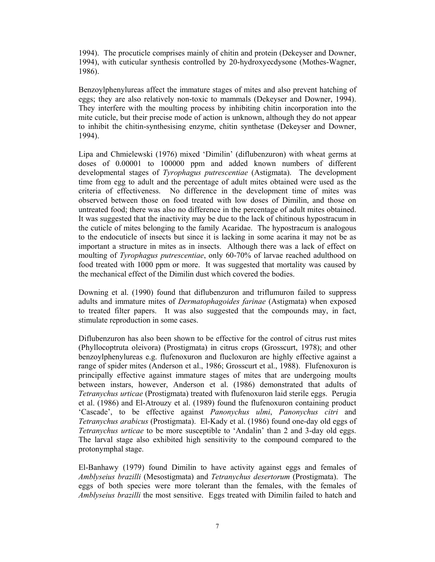1994). The procuticle comprises mainly of chitin and protein (Dekeyser and Downer, 1994), with cuticular synthesis controlled by 20-hydroxyecdysone (Mothes-Wagner, 1986).

Benzoylphenylureas affect the immature stages of mites and also prevent hatching of eggs; they are also relatively non-toxic to mammals (Dekeyser and Downer, 1994). They interfere with the moulting process by inhibiting chitin incorporation into the mite cuticle, but their precise mode of action is unknown, although they do not appear to inhibit the chitin-synthesising enzyme, chitin synthetase (Dekeyser and Downer, 1994).

Lipa and Chmielewski (1976) mixed 'Dimilin' (diflubenzuron) with wheat germs at doses of 0.00001 to 100000 ppm and added known numbers of different developmental stages of *Tyrophagus putrescentiae* (Astigmata). The development time from egg to adult and the percentage of adult mites obtained were used as the criteria of effectiveness. No difference in the development time of mites was observed between those on food treated with low doses of Dimilin, and those on untreated food; there was also no difference in the percentage of adult mites obtained. It was suggested that the inactivity may be due to the lack of chitinous hypostracum in the cuticle of mites belonging to the family Acaridae. The hypostracum is analogous to the endocuticle of insects but since it is lacking in some acarina it may not be as important a structure in mites as in insects. Although there was a lack of effect on moulting of *Tyrophagus putrescentiae*, only 60-70% of larvae reached adulthood on food treated with 1000 ppm or more. It was suggested that mortality was caused by the mechanical effect of the Dimilin dust which covered the bodies.

Downing et al. (1990) found that diflubenzuron and triflumuron failed to suppress adults and immature mites of *Dermatophagoides farinae* (Astigmata) when exposed to treated filter papers. It was also suggested that the compounds may, in fact, stimulate reproduction in some cases.

Diflubenzuron has also been shown to be effective for the control of citrus rust mites (Phyllocoptruta oleivora) (Prostigmata) in citrus crops (Grosscurt, 1978); and other benzoylphenylureas e.g. flufenoxuron and flucloxuron are highly effective against a range of spider mites (Anderson et al., 1986; Grosscurt et al., 1988). Flufenoxuron is principally effective against immature stages of mites that are undergoing moults between instars, however, Anderson et al. (1986) demonstrated that adults of *Tetranychus urticae* (Prostigmata) treated with flufenoxuron laid sterile eggs. Perugia et al. (1986) and El-Atrouzy et al. (1989) found the flufenoxuron containing product 'Cascade', to be effective against *Panonychus ulmi*, *Panonychus citri* and *Tetranychus arabicus* (Prostigmata). El-Kady et al. (1986) found one-day old eggs of *Tetranychus urticae* to be more susceptible to 'Andalin' than 2 and 3-day old eggs. The larval stage also exhibited high sensitivity to the compound compared to the protonymphal stage.

El-Banhawy (1979) found Dimilin to have activity against eggs and females of *Amblyseius brazilli* (Mesostigmata) and *Tetranychus desertorum* (Prostigmata). The eggs of both species were more tolerant than the females, with the females of *Amblyseius brazilli* the most sensitive. Eggs treated with Dimilin failed to hatch and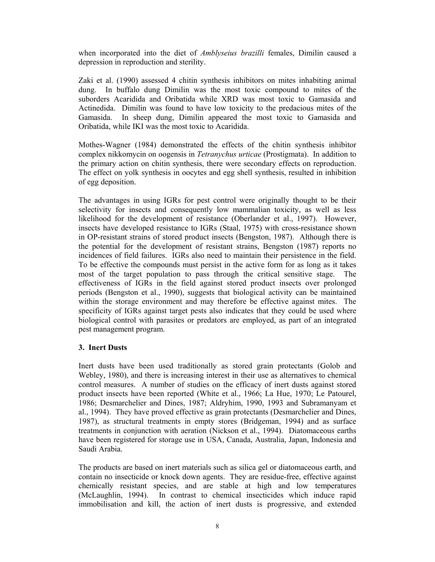when incorporated into the diet of *Amblyseius brazilli* females, Dimilin caused a depression in reproduction and sterility.

Zaki et al. (1990) assessed 4 chitin synthesis inhibitors on mites inhabiting animal dung. In buffalo dung Dimilin was the most toxic compound to mites of the suborders Acaridida and Oribatida while XRD was most toxic to Gamasida and Actinedida. Dimilin was found to have low toxicity to the predacious mites of the Gamasida. In sheep dung, Dimilin appeared the most toxic to Gamasida and Oribatida, while IKI was the most toxic to Acaridida.

Mothes-Wagner (1984) demonstrated the effects of the chitin synthesis inhibitor complex nikkomycin on oogensis in *Tetranychus urticae* (Prostigmata). In addition to the primary action on chitin synthesis, there were secondary effects on reproduction. The effect on yolk synthesis in oocytes and egg shell synthesis, resulted in inhibition of egg deposition.

The advantages in using IGRs for pest control were originally thought to be their selectivity for insects and consequently low mammalian toxicity, as well as less likelihood for the development of resistance (Oberlander et al., 1997). However, insects have developed resistance to IGRs (Staal, 1975) with cross-resistance shown in OP-resistant strains of stored product insects (Bengston, 1987). Although there is the potential for the development of resistant strains, Bengston (1987) reports no incidences of field failures. IGRs also need to maintain their persistence in the field. To be effective the compounds must persist in the active form for as long as it takes most of the target population to pass through the critical sensitive stage. The effectiveness of IGRs in the field against stored product insects over prolonged periods (Bengston et al., 1990), suggests that biological activity can be maintained within the storage environment and may therefore be effective against mites. The specificity of IGRs against target pests also indicates that they could be used where biological control with parasites or predators are employed, as part of an integrated pest management program.

#### **3. Inert Dusts**

Inert dusts have been used traditionally as stored grain protectants (Golob and Webley, 1980), and there is increasing interest in their use as alternatives to chemical control measures. A number of studies on the efficacy of inert dusts against stored product insects have been reported (White et al., 1966; La Hue, 1970; Le Patourel, 1986; Desmarchelier and Dines, 1987; Aldryhim, 1990, 1993 and Subramanyam et al., 1994). They have proved effective as grain protectants (Desmarchelier and Dines, 1987), as structural treatments in empty stores (Bridgeman, 1994) and as surface treatments in conjunction with aeration (Nickson et al., 1994). Diatomaceous earths have been registered for storage use in USA, Canada, Australia, Japan, Indonesia and Saudi Arabia.

The products are based on inert materials such as silica gel or diatomaceous earth, and contain no insecticide or knock down agents. They are residue-free, effective against chemically resistant species, and are stable at high and low temperatures (McLaughlin, 1994). In contrast to chemical insecticides which induce rapid immobilisation and kill, the action of inert dusts is progressive, and extended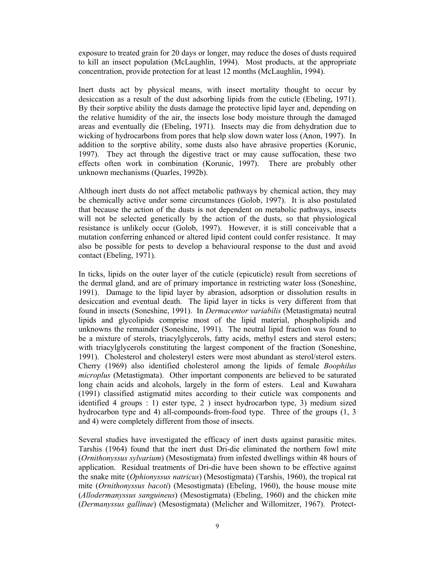exposure to treated grain for 20 days or longer, may reduce the doses of dusts required to kill an insect population (McLaughlin, 1994). Most products, at the appropriate concentration, provide protection for at least 12 months (McLaughlin, 1994).

Inert dusts act by physical means, with insect mortality thought to occur by desiccation as a result of the dust adsorbing lipids from the cuticle (Ebeling, 1971). By their sorptive ability the dusts damage the protective lipid layer and, depending on the relative humidity of the air, the insects lose body moisture through the damaged areas and eventually die (Ebeling, 1971). Insects may die from dehydration due to wicking of hydrocarbons from pores that help slow down water loss (Anon, 1997). In addition to the sorptive ability, some dusts also have abrasive properties (Korunic, 1997). They act through the digestive tract or may cause suffocation, these two effects often work in combination (Korunic, 1997). There are probably other unknown mechanisms (Quarles, 1992b).

Although inert dusts do not affect metabolic pathways by chemical action, they may be chemically active under some circumstances (Golob, 1997). It is also postulated that because the action of the dusts is not dependent on metabolic pathways, insects will not be selected genetically by the action of the dusts, so that physiological resistance is unlikely occur (Golob, 1997). However, it is still conceivable that a mutation conferring enhanced or altered lipid content could confer resistance. It may also be possible for pests to develop a behavioural response to the dust and avoid contact (Ebeling, 1971).

In ticks, lipids on the outer layer of the cuticle (epicuticle) result from secretions of the dermal gland, and are of primary importance in restricting water loss (Soneshine, 1991). Damage to the lipid layer by abrasion, adsorption or dissolution results in desiccation and eventual death. The lipid layer in ticks is very different from that found in insects (Soneshine, 1991). In *Dermacentor variabilis* (Metastigmata) neutral lipids and glycolipids comprise most of the lipid material, phospholipids and unknowns the remainder (Soneshine, 1991). The neutral lipid fraction was found to be a mixture of sterols, triacylglycerols, fatty acids, methyl esters and sterol esters; with triacylglycerols constituting the largest component of the fraction (Soneshine, 1991). Cholesterol and cholesteryl esters were most abundant as sterol/sterol esters. Cherry (1969) also identified cholesterol among the lipids of female *Boophilus microplus* (Metastigmata). Other important components are believed to be saturated long chain acids and alcohols, largely in the form of esters. Leal and Kuwahara (1991) classified astigmatid mites according to their cuticle wax components and identified 4 groups : 1) ester type, 2 ) insect hydrocarbon type, 3) medium sized hydrocarbon type and 4) all-compounds-from-food type. Three of the groups (1, 3 and 4) were completely different from those of insects.

Several studies have investigated the efficacy of inert dusts against parasitic mites. Tarshis (1964) found that the inert dust Dri-die eliminated the northern fowl mite (*Ornithonyssus sylvarium*) (Mesostigmata) from infested dwellings within 48 hours of application. Residual treatments of Dri-die have been shown to be effective against the snake mite (*Ophionyssus natricus*) (Mesostigmata) (Tarshis, 1960), the tropical rat mite (*Ornithonyssus bacoti*) (Mesostigmata) (Ebeling, 1960), the house mouse mite (*Allodermanyssus sanguineus*) (Mesostigmata) (Ebeling, 1960) and the chicken mite (*Dermanyssus gallinae*) (Mesostigmata) (Melicher and Willomitzer, 1967). Protect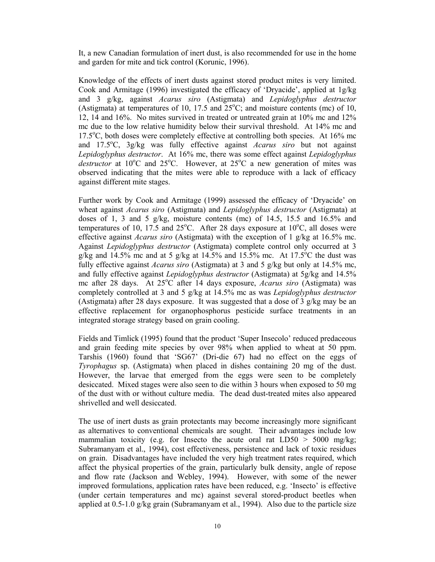It, a new Canadian formulation of inert dust, is also recommended for use in the home and garden for mite and tick control (Korunic, 1996).

Knowledge of the effects of inert dusts against stored product mites is very limited. Cook and Armitage (1996) investigated the efficacy of 'Dryacide', applied at 1g/kg and 3 g/kg, against *Acarus siro* (Astigmata) and *Lepidoglyphus destructor* (Astigmata) at temperatures of 10, 17.5 and  $25^{\circ}$ C; and moisture contents (mc) of 10, 12, 14 and 16%. No mites survived in treated or untreated grain at 10% mc and 12% mc due to the low relative humidity below their survival threshold. At 14% mc and 17.5°C, both doses were completely effective at controlling both species. At 16% mc and 17.5o C, 3g/kg was fully effective against *Acarus siro* but not against *Lepidoglyphus destructor*. At 16% mc, there was some effect against *Lepidoglyphus*  destructor at 10<sup>o</sup>C and 25<sup>o</sup>C. However, at 25<sup>o</sup>C a new generation of mites was observed indicating that the mites were able to reproduce with a lack of efficacy against different mite stages.

Further work by Cook and Armitage (1999) assessed the efficacy of 'Dryacide' on wheat against *Acarus siro* (Astigmata) and *Lepidoglyphus destructor* (Astigmata) at doses of 1, 3 and 5 g/kg, moisture contents (mc) of 14.5, 15.5 and 16.5% and temperatures of 10, 17.5 and  $25^{\circ}$ C. After 28 days exposure at  $10^{\circ}$ C, all doses were effective against *Acarus siro* (Astigmata) with the exception of 1 g/kg at 16.5% mc. Against *Lepidoglyphus destructor* (Astigmata) complete control only occurred at 3 g/kg and  $14.5\%$  mc and at 5 g/kg at 14.5% and 15.5% mc. At 17.5°C the dust was fully effective against *Acarus siro* (Astigmata) at 3 and 5 g/kg but only at 14.5% mc, and fully effective against *Lepidoglyphus destructor* (Astigmata) at 5g/kg and 14.5% mc after 28 days. At 25°C after 14 days exposure, *Acarus siro* (Astigmata) was completely controlled at 3 and 5 g/kg at 14.5% mc as was *Lepidoglyphus destructor* (Astigmata) after 28 days exposure. It was suggested that a dose of 3  $g/kg$  may be an effective replacement for organophosphorus pesticide surface treatments in an integrated storage strategy based on grain cooling.

Fields and Timlick (1995) found that the product 'Super Insecolo' reduced predaceous and grain feeding mite species by over 98% when applied to wheat at 50 ppm. Tarshis (1960) found that 'SG67' (Dri-die 67) had no effect on the eggs of *Tyrophagus* sp. (Astigmata) when placed in dishes containing 20 mg of the dust. However, the larvae that emerged from the eggs were seen to be completely desiccated. Mixed stages were also seen to die within 3 hours when exposed to 50 mg of the dust with or without culture media. The dead dust-treated mites also appeared shrivelled and well desiccated.

The use of inert dusts as grain protectants may become increasingly more significant as alternatives to conventional chemicals are sought. Their advantages include low mammalian toxicity (e.g. for Insecto the acute oral rat  $LD50 > 5000$  mg/kg; Subramanyam et al., 1994), cost effectiveness, persistence and lack of toxic residues on grain. Disadvantages have included the very high treatment rates required, which affect the physical properties of the grain, particularly bulk density, angle of repose and flow rate (Jackson and Webley, 1994). However, with some of the newer improved formulations, application rates have been reduced, e.g. 'Insecto' is effective (under certain temperatures and mc) against several stored-product beetles when applied at 0.5-1.0 g/kg grain (Subramanyam et al., 1994). Also due to the particle size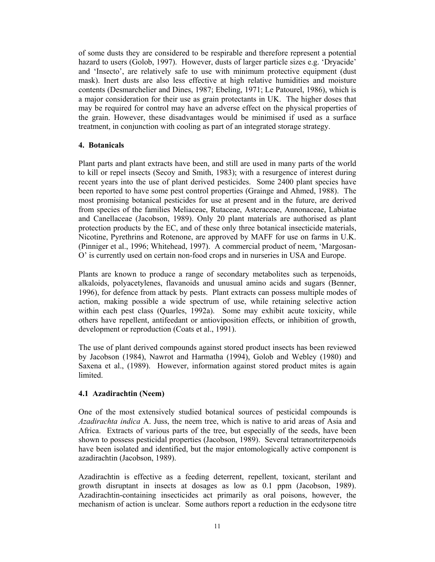of some dusts they are considered to be respirable and therefore represent a potential hazard to users (Golob, 1997). However, dusts of larger particle sizes e.g. 'Dryacide' and 'Insecto', are relatively safe to use with minimum protective equipment (dust mask). Inert dusts are also less effective at high relative humidities and moisture contents (Desmarchelier and Dines, 1987; Ebeling, 1971; Le Patourel, 1986), which is a major consideration for their use as grain protectants in UK. The higher doses that may be required for control may have an adverse effect on the physical properties of the grain. However, these disadvantages would be minimised if used as a surface treatment, in conjunction with cooling as part of an integrated storage strategy.

#### **4. Botanicals**

Plant parts and plant extracts have been, and still are used in many parts of the world to kill or repel insects (Secoy and Smith, 1983); with a resurgence of interest during recent years into the use of plant derived pesticides. Some 2400 plant species have been reported to have some pest control properties (Grainge and Ahmed, 1988). The most promising botanical pesticides for use at present and in the future, are derived from species of the families Meliaceae, Rutaceae, Asteraceae, Annonaceae, Labiatae and Canellaceae (Jacobson, 1989). Only 20 plant materials are authorised as plant protection products by the EC, and of these only three botanical insecticide materials, Nicotine, Pyrethrins and Rotenone, are approved by MAFF for use on farms in U.K. (Pinniger et al., 1996; Whitehead, 1997). A commercial product of neem, 'Margosan-O' is currently used on certain non-food crops and in nurseries in USA and Europe.

Plants are known to produce a range of secondary metabolites such as terpenoids, alkaloids, polyacetylenes, flavanoids and unusual amino acids and sugars (Benner, 1996), for defence from attack by pests. Plant extracts can possess multiple modes of action, making possible a wide spectrum of use, while retaining selective action within each pest class (Quarles, 1992a). Some may exhibit acute toxicity, while others have repellent, antifeedant or antioviposition effects, or inhibition of growth, development or reproduction (Coats et al., 1991).

The use of plant derived compounds against stored product insects has been reviewed by Jacobson (1984), Nawrot and Harmatha (1994), Golob and Webley (1980) and Saxena et al., (1989). However, information against stored product mites is again **limited** 

## **4.1 Azadirachtin (Neem)**

One of the most extensively studied botanical sources of pesticidal compounds is *Azadirachta indica* A. Juss, the neem tree, which is native to arid areas of Asia and Africa. Extracts of various parts of the tree, but especially of the seeds, have been shown to possess pesticidal properties (Jacobson, 1989). Several tetranortriterpenoids have been isolated and identified, but the major entomologically active component is azadirachtin (Jacobson, 1989).

Azadirachtin is effective as a feeding deterrent, repellent, toxicant, sterilant and growth disruptant in insects at dosages as low as 0.1 ppm (Jacobson, 1989). Azadirachtin-containing insecticides act primarily as oral poisons, however, the mechanism of action is unclear. Some authors report a reduction in the ecdysone titre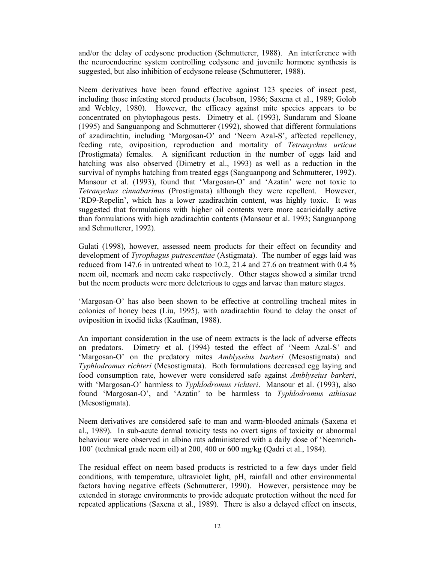and/or the delay of ecdysone production (Schmutterer, 1988). An interference with the neuroendocrine system controlling ecdysone and juvenile hormone synthesis is suggested, but also inhibition of ecdysone release (Schmutterer, 1988).

Neem derivatives have been found effective against 123 species of insect pest, including those infesting stored products (Jacobson, 1986; Saxena et al., 1989; Golob and Webley, 1980). However, the efficacy against mite species appears to be concentrated on phytophagous pests. Dimetry et al. (1993), Sundaram and Sloane (1995) and Sanguanpong and Schmutterer (1992), showed that different formulations of azadirachtin, including 'Margosan-O' and 'Neem Azal-S', affected repellency, feeding rate, oviposition, reproduction and mortality of *Tetranychus urticae* (Prostigmata) females. A significant reduction in the number of eggs laid and hatching was also observed (Dimetry et al., 1993) as well as a reduction in the survival of nymphs hatching from treated eggs (Sanguanpong and Schmutterer, 1992). Mansour et al. (1993), found that 'Margosan-O' and 'Azatin' were not toxic to *Tetranychus cinnabarinus* (Prostigmata) although they were repellent. However, 'RD9-Repelin', which has a lower azadirachtin content, was highly toxic. It was suggested that formulations with higher oil contents were more acaricidally active than formulations with high azadirachtin contents (Mansour et al. 1993; Sanguanpong and Schmutterer, 1992).

Gulati (1998), however, assessed neem products for their effect on fecundity and development of *Tyrophagus putrescentiae* (Astigmata). The number of eggs laid was reduced from 147.6 in untreated wheat to 10.2, 21.4 and 27.6 on treatment with 0.4 % neem oil, neemark and neem cake respectively. Other stages showed a similar trend but the neem products were more deleterious to eggs and larvae than mature stages.

'Margosan-O' has also been shown to be effective at controlling tracheal mites in colonies of honey bees (Liu, 1995), with azadirachtin found to delay the onset of oviposition in ixodid ticks (Kaufman, 1988).

An important consideration in the use of neem extracts is the lack of adverse effects on predators. Dimetry et al. (1994) tested the effect of 'Neem Azal-S' and 'Margosan-O' on the predatory mites *Amblyseius barkeri* (Mesostigmata) and *Typhlodromus richteri* (Mesostigmata). Both formulations decreased egg laying and food consumption rate, however were considered safe against *Amblyseius barkeri*, with 'Margosan-O' harmless to *Typhlodromus richteri*. Mansour et al. (1993), also found 'Margosan-O', and 'Azatin' to be harmless to *Typhlodromus athiasae* (Mesostigmata).

Neem derivatives are considered safe to man and warm-blooded animals (Saxena et al., 1989). In sub-acute dermal toxicity tests no overt signs of toxicity or abnormal behaviour were observed in albino rats administered with a daily dose of 'Neemrich-100' (technical grade neem oil) at 200, 400 or 600 mg/kg (Qadri et al., 1984).

The residual effect on neem based products is restricted to a few days under field conditions, with temperature, ultraviolet light, pH, rainfall and other environmental factors having negative effects (Schmutterer, 1990). However, persistence may be extended in storage environments to provide adequate protection without the need for repeated applications (Saxena et al., 1989). There is also a delayed effect on insects,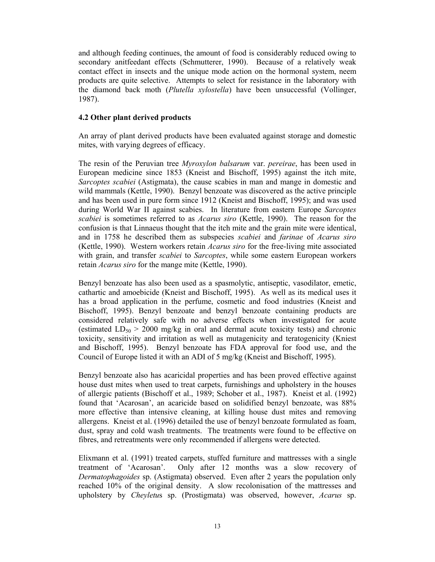and although feeding continues, the amount of food is considerably reduced owing to secondary anitfeedant effects (Schmutterer, 1990). Because of a relatively weak contact effect in insects and the unique mode action on the hormonal system, neem products are quite selective. Attempts to select for resistance in the laboratory with the diamond back moth (*Plutella xylostella*) have been unsuccessful (Vollinger, 1987).

#### **4.2 Other plant derived products**

An array of plant derived products have been evaluated against storage and domestic mites, with varying degrees of efficacy.

The resin of the Peruvian tree *Myroxylon balsarum* var. *pereirae*, has been used in European medicine since 1853 (Kneist and Bischoff, 1995) against the itch mite, *Sarcoptes scabiei* (Astigmata), the cause scabies in man and mange in domestic and wild mammals (Kettle, 1990). Benzyl benzoate was discovered as the active principle and has been used in pure form since 1912 (Kneist and Bischoff, 1995); and was used during World War II against scabies. In literature from eastern Europe *Sarcoptes scabiei* is sometimes referred to as *Acarus siro* (Kettle, 1990). The reason for the confusion is that Linnaeus thought that the itch mite and the grain mite were identical, and in 1758 he described them as subspecies *scabiei* and *farinae* of *Acarus siro* (Kettle, 1990). Western workers retain *Acarus siro* for the free-living mite associated with grain, and transfer *scabiei* to *Sarcoptes*, while some eastern European workers retain *Acarus siro* for the mange mite (Kettle, 1990).

Benzyl benzoate has also been used as a spasmolytic, antiseptic, vasodilator, emetic, cathartic and amoebicide (Kneist and Bischoff, 1995). As well as its medical uses it has a broad application in the perfume, cosmetic and food industries (Kneist and Bischoff, 1995). Benzyl benzoate and benzyl benzoate containing products are considered relatively safe with no adverse effects when investigated for acute (estimated  $LD_{50} > 2000$  mg/kg in oral and dermal acute toxicity tests) and chronic toxicity, sensitivity and irritation as well as mutagenicity and teratogenicity (Kniest and Bischoff, 1995). Benzyl benzoate has FDA approval for food use, and the Council of Europe listed it with an ADI of 5 mg/kg (Kneist and Bischoff, 1995).

Benzyl benzoate also has acaricidal properties and has been proved effective against house dust mites when used to treat carpets, furnishings and upholstery in the houses of allergic patients (Bischoff et al., 1989; Schober et al., 1987). Kneist et al. (1992) found that 'Acarosan', an acaricide based on solidified benzyl benzoate, was 88% more effective than intensive cleaning, at killing house dust mites and removing allergens. Kneist et al. (1996) detailed the use of benzyl benzoate formulated as foam, dust, spray and cold wash treatments. The treatments were found to be effective on fibres, and retreatments were only recommended if allergens were detected.

Elixmann et al. (1991) treated carpets, stuffed furniture and mattresses with a single treatment of 'Acarosan'. Only after 12 months was a slow recovery of *Dermatophagoides* sp. (Astigmata) observed. Even after 2 years the population only reached 10% of the original density. A slow recolonisation of the mattresses and upholstery by *Cheyletu*s sp. (Prostigmata) was observed, however, *Acarus* sp.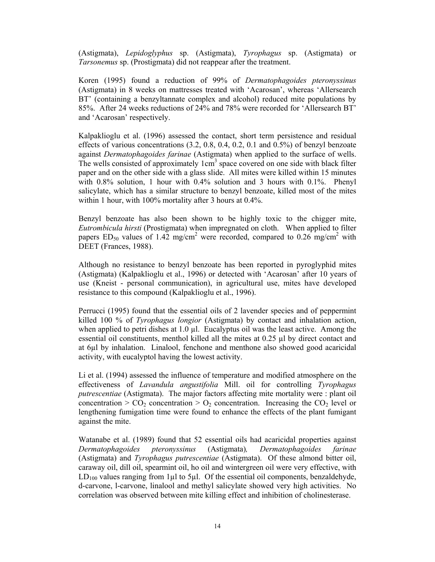(Astigmata), *Lepidoglyphus* sp. (Astigmata), *Tyrophagus* sp. (Astigmata) or *Tarsonemus* sp. (Prostigmata) did not reappear after the treatment.

Koren (1995) found a reduction of 99% of *Dermatophagoides pteronyssinus* (Astigmata) in 8 weeks on mattresses treated with 'Acarosan', whereas 'Allersearch BT' (containing a benzyltannate complex and alcohol) reduced mite populations by 85%. After 24 weeks reductions of 24% and 78% were recorded for 'Allersearch BT' and 'Acarosan' respectively.

Kalpaklioglu et al. (1996) assessed the contact, short term persistence and residual effects of various concentrations  $(3.2, 0.8, 0.4, 0.2, 0.1, 0.1, 0.5%)$  of benzyl benzoate against *Dermatophagoides farinae* (Astigmata) when applied to the surface of wells. The wells consisted of approximately  $1 \text{cm}^3$  space covered on one side with black filter paper and on the other side with a glass slide. All mites were killed within 15 minutes with 0.8% solution, 1 hour with 0.4% solution and 3 hours with 0.1%. Phenyl salicylate, which has a similar structure to benzyl benzoate, killed most of the mites within 1 hour, with 100% mortality after 3 hours at 0.4%.

Benzyl benzoate has also been shown to be highly toxic to the chigger mite, *Eutrombicula hirsti* (Prostigmata) when impregnated on cloth. When applied to filter papers  $ED_{50}$  values of 1.42 mg/cm<sup>2</sup> were recorded, compared to 0.26 mg/cm<sup>2</sup> with DEET (Frances, 1988).

Although no resistance to benzyl benzoate has been reported in pyroglyphid mites (Astigmata) (Kalpaklioglu et al., 1996) or detected with 'Acarosan' after 10 years of use (Kneist - personal communication), in agricultural use, mites have developed resistance to this compound (Kalpaklioglu et al., 1996).

Perrucci (1995) found that the essential oils of 2 lavender species and of peppermint killed 100 % of *Tyrophagus longior* (Astigmata) by contact and inhalation action, when applied to petri dishes at 1.0 µl. Eucalyptus oil was the least active. Among the essential oil constituents, menthol killed all the mites at 0.25 µl by direct contact and at 6µl by inhalation. Linalool, fenchone and menthone also showed good acaricidal activity, with eucalyptol having the lowest activity.

Li et al. (1994) assessed the influence of temperature and modified atmosphere on the effectiveness of *Lavandula angustifolia* Mill. oil for controlling *Tyrophagus putrescentiae* (Astigmata). The major factors affecting mite mortality were : plant oil concentration >  $CO_2$  concentration >  $O_2$  concentration. Increasing the  $CO_2$  level or lengthening fumigation time were found to enhance the effects of the plant fumigant against the mite.

Watanabe et al. (1989) found that 52 essential oils had acaricidal properties against *Dermatophagoides pteronyssinus* (Astigmata)*, Dermatophagoides farinae* (Astigmata) and *Tyrophagus putrescentiae* (Astigmata). Of these almond bitter oil, caraway oil, dill oil, spearmint oil, ho oil and wintergreen oil were very effective, with  $LD<sub>100</sub>$  values ranging from 1µl to 5µl. Of the essential oil components, benzaldehyde, d-carvone, l-carvone, linalool and methyl salicylate showed very high activities. No correlation was observed between mite killing effect and inhibition of cholinesterase.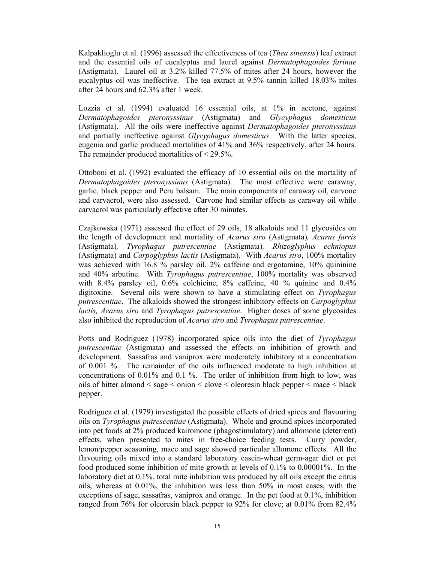Kalpaklioglu et al. (1996) assessed the effectiveness of tea (*Thea sinensis*) leaf extract and the essential oils of eucalyptus and laurel against *Dermatophagoides farinae* (Astigmata). Laurel oil at 3.2% killed 77.5% of mites after 24 hours, however the eucalyptus oil was ineffective. The tea extract at 9.5% tannin killed 18.03% mites after 24 hours and 62.3% after 1 week.

Lozzia et al. (1994) evaluated 16 essential oils, at 1% in acetone, against *Dermatophagoides pteronyssinus* (Astigmata) and *Glycyphagus domesticus*  (Astigmata). All the oils were ineffective against *Dermatophagoides pteronyssinus* and partially ineffective against *Glycyphagus domesticus*. With the latter species, eugenia and garlic produced mortalities of 41% and 36% respectively, after 24 hours. The remainder produced mortalities of < 29.5%.

Ottoboni et al. (1992) evaluated the efficacy of 10 essential oils on the mortality of *Dermatophagoides pteronyssinus* (Astigmata). The most effective were caraway, garlic, black pepper and Peru balsam. The main components of caraway oil, carvone and carvacrol, were also assessed. Carvone had similar effects as caraway oil while carvacrol was particularly effective after 30 minutes.

Czajkowska (1971) assessed the effect of 29 oils, 18 alkaloids and 11 glycosides on the length of development and mortality of *Acarus siro* (Astigmata)*, Acarus farris* (Astigmata)*, Tyrophagus putrescentiae* (Astigmata)*, Rhizoglyphus echniopus* (Astigmata) and *Carpoglyphus lactis* (Astigmata). With *Acarus siro*, 100% mortality was achieved with 16.8 % parsley oil, 2% caffeine and ergotamine, 10% quininine and 40% arbutine. With *Tyrophagus putrescentiae*, 100% mortality was observed with 8.4% parsley oil, 0.6% colchicine, 8% caffeine, 40 % quinine and 0.4% digitoxine. Several oils were shown to have a stimulating effect on *Tyrophagus putrescentiae*. The alkaloids showed the strongest inhibitory effects on *Carpoglyphus lactis, Acarus siro* and *Tyrophagus putrescentiae*. Higher doses of some glycosides also inhibited the reproduction of *Acarus siro* and *Tyrophagus putrescentiae*.

Potts and Rodriguez (1978) incorporated spice oils into the diet of *Tyrophagus putrescentiae* (Astigmata) and assessed the effects on inhibition of growth and development. Sassafras and vaniprox were moderately inhibitory at a concentration of 0.001 %. The remainder of the oils influenced moderate to high inhibition at concentrations of 0.01% and 0.1 %. The order of inhibition from high to low, was oils of bitter almond < sage < onion < clove < oleoresin black pepper < mace < black pepper.

Rodriguez et al. (1979) investigated the possible effects of dried spices and flavouring oils on *Tyrophagus putrescentiae* (Astigmata). Whole and ground spices incorporated into pet foods at 2% produced kairomone (phagostimulatory) and allomone (deterrent) effects, when presented to mites in free-choice feeding tests. Curry powder, lemon/pepper seasoning, mace and sage showed particular allomone effects. All the flavouring oils mixed into a standard laboratory casein-wheat germ-agar diet or pet food produced some inhibition of mite growth at levels of 0.1% to 0.00001%. In the laboratory diet at 0.1%, total mite inhibition was produced by all oils except the citrus oils, whereas at 0.01%, the inhibition was less than 50% in most cases, with the exceptions of sage, sassafras, vaniprox and orange. In the pet food at 0.1%, inhibition ranged from 76% for oleoresin black pepper to 92% for clove; at 0.01% from 82.4%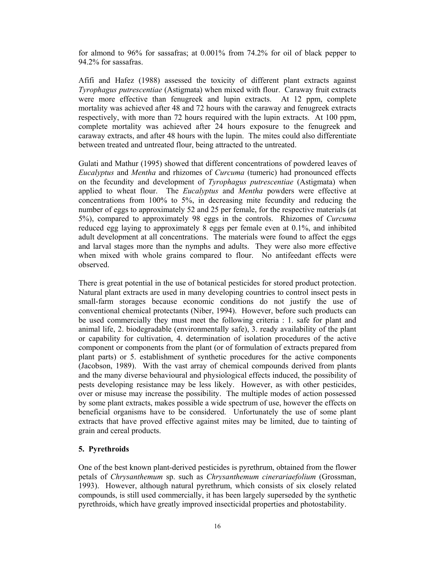for almond to 96% for sassafras; at 0.001% from 74.2% for oil of black pepper to 94.2% for sassafras.

Afifi and Hafez (1988) assessed the toxicity of different plant extracts against *Tyrophagus putrescentiae* (Astigmata) when mixed with flour. Caraway fruit extracts were more effective than fenugreek and lupin extracts. At 12 ppm, complete mortality was achieved after 48 and 72 hours with the caraway and fenugreek extracts respectively, with more than 72 hours required with the lupin extracts. At 100 ppm, complete mortality was achieved after 24 hours exposure to the fenugreek and caraway extracts, and after 48 hours with the lupin. The mites could also differentiate between treated and untreated flour, being attracted to the untreated.

Gulati and Mathur (1995) showed that different concentrations of powdered leaves of *Eucalyptus* and *Mentha* and rhizomes of *Curcuma* (tumeric) had pronounced effects on the fecundity and development of *Tyrophagus putrescentiae* (Astigmata) when applied to wheat flour. The *Eucalyptus* and *Mentha* powders were effective at concentrations from 100% to 5%, in decreasing mite fecundity and reducing the number of eggs to approximately 52 and 25 per female, for the respective materials (at 5%), compared to approximately 98 eggs in the controls. Rhizomes of *Curcuma* reduced egg laying to approximately 8 eggs per female even at 0.1%, and inhibited adult development at all concentrations. The materials were found to affect the eggs and larval stages more than the nymphs and adults. They were also more effective when mixed with whole grains compared to flour. No antifeedant effects were observed.

There is great potential in the use of botanical pesticides for stored product protection. Natural plant extracts are used in many developing countries to control insect pests in small-farm storages because economic conditions do not justify the use of conventional chemical protectants (Niber, 1994). However, before such products can be used commercially they must meet the following criteria : 1. safe for plant and animal life, 2. biodegradable (environmentally safe), 3. ready availability of the plant or capability for cultivation, 4. determination of isolation procedures of the active component or components from the plant (or of formulation of extracts prepared from plant parts) or 5. establishment of synthetic procedures for the active components (Jacobson, 1989). With the vast array of chemical compounds derived from plants and the many diverse behavioural and physiological effects induced, the possibility of pests developing resistance may be less likely. However, as with other pesticides, over or misuse may increase the possibility. The multiple modes of action possessed by some plant extracts, makes possible a wide spectrum of use, however the effects on beneficial organisms have to be considered. Unfortunately the use of some plant extracts that have proved effective against mites may be limited, due to tainting of grain and cereal products.

## **5. Pyrethroids**

One of the best known plant-derived pesticides is pyrethrum, obtained from the flower petals of *Chrysanthemum* sp. such as *Chrysanthemum cinerariaefolium* (Grossman, 1993). However, although natural pyrethrum, which consists of six closely related compounds, is still used commercially, it has been largely superseded by the synthetic pyrethroids, which have greatly improved insecticidal properties and photostability.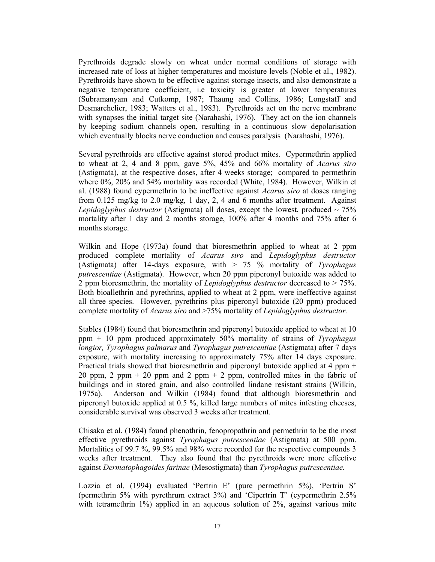Pyrethroids degrade slowly on wheat under normal conditions of storage with increased rate of loss at higher temperatures and moisture levels (Noble et al., 1982). Pyrethroids have shown to be effective against storage insects, and also demonstrate a negative temperature coefficient, i.e toxicity is greater at lower temperatures (Subramanyam and Cutkomp, 1987; Thaung and Collins, 1986; Longstaff and Desmarchelier, 1983; Watters et al., 1983). Pyrethroids act on the nerve membrane with synapses the initial target site (Narahashi, 1976). They act on the ion channels by keeping sodium channels open, resulting in a continuous slow depolarisation which eventually blocks nerve conduction and causes paralysis (Narahashi, 1976).

Several pyrethroids are effective against stored product mites. Cypermethrin applied to wheat at 2, 4 and 8 ppm, gave 5%, 45% and 66% mortality of *Acarus siro* (Astigmata), at the respective doses, after 4 weeks storage; compared to permethrin where 0%, 20% and 54% mortality was recorded (White, 1984). However, Wilkin et al. (1988) found cypermethrin to be ineffective against *Acarus siro* at doses ranging from  $0.125 \text{ mg/kg}$  to  $2.0 \text{ mg/kg}$ , 1 day, 2, 4 and 6 months after treatment. Against *Lepidoglyphus destructor* (Astigmata) all doses, except the lowest, produced  $\sim$  75% mortality after 1 day and 2 months storage, 100% after 4 months and 75% after 6 months storage.

Wilkin and Hope (1973a) found that bioresmethrin applied to wheat at 2 ppm produced complete mortality of *Acarus siro* and *Lepidoglyphus destructor* (Astigmata) after 14-days exposure, with > 75 % mortality of *Tyrophagus putrescentiae* (Astigmata). However, when 20 ppm piperonyl butoxide was added to 2 ppm bioresmethrin, the mortality of *Lepidoglyphus destructor* decreased to > 75%. Both bioallethrin and pyrethrins, applied to wheat at 2 ppm, were ineffective against all three species. However, pyrethrins plus piperonyl butoxide (20 ppm) produced complete mortality of *Acarus siro* and >75% mortality of *Lepidoglyphus destructor.*

Stables (1984) found that bioresmethrin and piperonyl butoxide applied to wheat at 10 ppm + 10 ppm produced approximately 50% mortality of strains of *Tyrophagus longior, Tyrophagus palmarus* and *Tyrophagus putrescentiae* (Astigmata) after 7 days exposure, with mortality increasing to approximately 75% after 14 days exposure. Practical trials showed that bioresmethrin and piperonyl butoxide applied at 4 ppm + 20 ppm, 2 ppm + 20 ppm and 2 ppm + 2 ppm, controlled mites in the fabric of buildings and in stored grain, and also controlled lindane resistant strains (Wilkin, 1975a). Anderson and Wilkin (1984) found that although bioresmethrin and piperonyl butoxide applied at 0.5 %, killed large numbers of mites infesting cheeses, considerable survival was observed 3 weeks after treatment.

Chisaka et al. (1984) found phenothrin, fenopropathrin and permethrin to be the most effective pyrethroids against *Tyrophagus putrescentiae* (Astigmata) at 500 ppm. Mortalities of 99.7 %, 99.5% and 98% were recorded for the respective compounds 3 weeks after treatment. They also found that the pyrethroids were more effective against *Dermatophagoides farinae* (Mesostigmata) than *Tyrophagus putrescentiae.* 

Lozzia et al. (1994) evaluated 'Pertrin E' (pure permethrin 5%), 'Pertrin S' (permethrin 5% with pyrethrum extract 3%) and 'Cipertrin T' (cypermethrin 2.5% with tetramethrin  $1\%$ ) applied in an aqueous solution of  $2\%$ , against various mite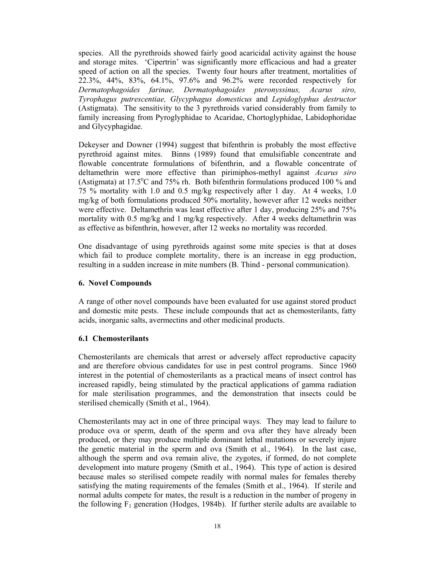species. All the pyrethroids showed fairly good acaricidal activity against the house and storage mites. 'Cipertrin' was significantly more efficacious and had a greater speed of action on all the species. Twenty four hours after treatment, mortalities of 22.3%, 44%, 83%, 64.1%, 97.6% and 96.2% were recorded respectively for *Dermatophagoides farinae, Dermatophagoides pteronyssinus, Acarus siro, Tyrophagus putrescentiae, Glycyphagus domesticus* and *Lepidoglyphus destructor*  (Astigmata). The sensitivity to the 3 pyrethroids varied considerably from family to family increasing from Pyroglyphidae to Acaridae, Chortoglyphidae, Labidophoridae and Glycyphagidae.

Dekeyser and Downer (1994) suggest that bifenthrin is probably the most effective pyrethroid against mites. Binns (1989) found that emulsifiable concentrate and flowable concentrate formulations of bifenthrin, and a flowable concentrate of deltamethrin were more effective than pirimiphos-methyl against *Acarus siro* (Astigmata) at  $17.5^{\circ}$ C and  $75\%$  rh. Both bifenthrin formulations produced 100 % and 75 % mortality with 1.0 and 0.5 mg/kg respectively after 1 day. At 4 weeks, 1.0 mg/kg of both formulations produced 50% mortality, however after 12 weeks neither were effective. Deltamethrin was least effective after 1 day, producing 25% and 75% mortality with 0.5 mg/kg and 1 mg/kg respectively. After 4 weeks deltamethrin was as effective as bifenthrin, however, after 12 weeks no mortality was recorded.

One disadvantage of using pyrethroids against some mite species is that at doses which fail to produce complete mortality, there is an increase in egg production, resulting in a sudden increase in mite numbers (B. Thind - personal communication).

#### **6. Novel Compounds**

A range of other novel compounds have been evaluated for use against stored product and domestic mite pests. These include compounds that act as chemosterilants, fatty acids, inorganic salts, avermectins and other medicinal products.

## **6.1 Chemosterilants**

Chemosterilants are chemicals that arrest or adversely affect reproductive capacity and are therefore obvious candidates for use in pest control programs. Since 1960 interest in the potential of chemosterilants as a practical means of insect control has increased rapidly, being stimulated by the practical applications of gamma radiation for male sterilisation programmes, and the demonstration that insects could be sterilised chemically (Smith et al., 1964).

Chemosterilants may act in one of three principal ways. They may lead to failure to produce ova or sperm, death of the sperm and ova after they have already been produced, or they may produce multiple dominant lethal mutations or severely injure the genetic material in the sperm and ova (Smith et al., 1964). In the last case, although the sperm and ova remain alive, the zygotes, if formed, do not complete development into mature progeny (Smith et al., 1964). This type of action is desired because males so sterilised compete readily with normal males for females thereby satisfying the mating requirements of the females (Smith et al., 1964). If sterile and normal adults compete for mates, the result is a reduction in the number of progeny in the following  $F_1$  generation (Hodges, 1984b). If further sterile adults are available to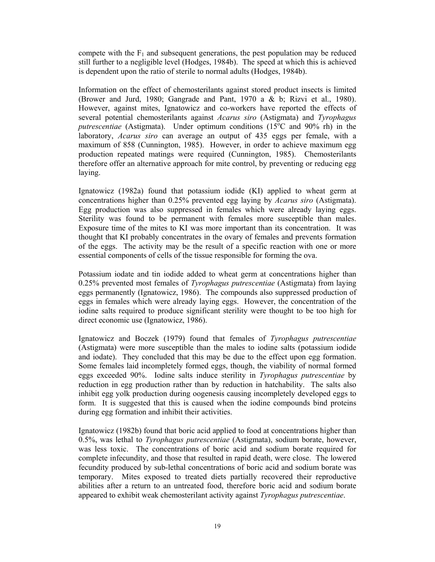compete with the  $F_1$  and subsequent generations, the pest population may be reduced still further to a negligible level (Hodges, 1984b). The speed at which this is achieved is dependent upon the ratio of sterile to normal adults (Hodges, 1984b).

Information on the effect of chemosterilants against stored product insects is limited (Brower and Jurd, 1980; Gangrade and Pant, 1970 a & b; Rizvi et al., 1980). However, against mites, Ignatowicz and co-workers have reported the effects of several potential chemosterilants against *Acarus siro* (Astigmata) and *Tyrophagus*  putrescentiae (Astigmata). Under optimum conditions (15<sup>o</sup>C and 90% rh) in the laboratory, *Acarus siro* can average an output of 435 eggs per female, with a maximum of 858 (Cunnington, 1985). However, in order to achieve maximum egg production repeated matings were required (Cunnington, 1985). Chemosterilants therefore offer an alternative approach for mite control, by preventing or reducing egg laying.

Ignatowicz (1982a) found that potassium iodide (KI) applied to wheat germ at concentrations higher than 0.25% prevented egg laying by *Acarus siro* (Astigmata). Egg production was also suppressed in females which were already laying eggs. Sterility was found to be permanent with females more susceptible than males. Exposure time of the mites to KI was more important than its concentration. It was thought that KI probably concentrates in the ovary of females and prevents formation of the eggs. The activity may be the result of a specific reaction with one or more essential components of cells of the tissue responsible for forming the ova.

Potassium iodate and tin iodide added to wheat germ at concentrations higher than 0.25% prevented most females of *Tyrophagus putrescentiae* (Astigmata) from laying eggs permanently (Ignatowicz, 1986). The compounds also suppressed production of eggs in females which were already laying eggs. However, the concentration of the iodine salts required to produce significant sterility were thought to be too high for direct economic use (Ignatowicz, 1986).

Ignatowicz and Boczek (1979) found that females of *Tyrophagus putrescentiae* (Astigmata) were more susceptible than the males to iodine salts (potassium iodide and iodate). They concluded that this may be due to the effect upon egg formation. Some females laid incompletely formed eggs, though, the viability of normal formed eggs exceeded 90%. Iodine salts induce sterility in *Tyrophagus putrescentiae* by reduction in egg production rather than by reduction in hatchability. The salts also inhibit egg yolk production during oogenesis causing incompletely developed eggs to form. It is suggested that this is caused when the iodine compounds bind proteins during egg formation and inhibit their activities.

Ignatowicz (1982b) found that boric acid applied to food at concentrations higher than 0.5%, was lethal to *Tyrophagus putrescentiae* (Astigmata), sodium borate, however, was less toxic. The concentrations of boric acid and sodium borate required for complete infecundity, and those that resulted in rapid death, were close. The lowered fecundity produced by sub-lethal concentrations of boric acid and sodium borate was temporary. Mites exposed to treated diets partially recovered their reproductive abilities after a return to an untreated food, therefore boric acid and sodium borate appeared to exhibit weak chemosterilant activity against *Tyrophagus putrescentiae*.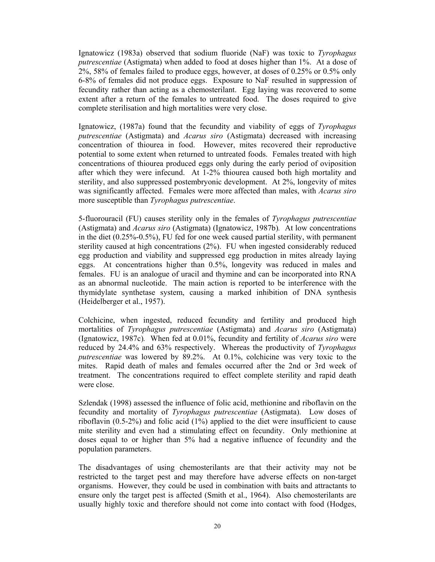Ignatowicz (1983a) observed that sodium fluoride (NaF) was toxic to *Tyrophagus putrescentiae* (Astigmata) when added to food at doses higher than 1%. At a dose of 2%, 58% of females failed to produce eggs, however, at doses of 0.25% or 0.5% only 6-8% of females did not produce eggs. Exposure to NaF resulted in suppression of fecundity rather than acting as a chemosterilant. Egg laying was recovered to some extent after a return of the females to untreated food. The doses required to give complete sterilisation and high mortalities were very close.

Ignatowicz, (1987a) found that the fecundity and viability of eggs of *Tyrophagus putrescentiae* (Astigmata) and *Acarus siro* (Astigmata) decreased with increasing concentration of thiourea in food. However, mites recovered their reproductive potential to some extent when returned to untreated foods. Females treated with high concentrations of thiourea produced eggs only during the early period of oviposition after which they were infecund. At 1-2% thiourea caused both high mortality and sterility, and also suppressed postembryonic development. At 2%, longevity of mites was significantly affected. Females were more affected than males, with *Acarus siro* more susceptible than *Tyrophagus putrescentiae*.

5-fluorouracil (FU) causes sterility only in the females of *Tyrophagus putrescentiae* (Astigmata) and *Acarus siro* (Astigmata) (Ignatowicz, 1987b)*.* At low concentrations in the diet (0.25%-0.5%), FU fed for one week caused partial sterility, with permanent sterility caused at high concentrations (2%). FU when ingested considerably reduced egg production and viability and suppressed egg production in mites already laying eggs. At concentrations higher than 0.5%, longevity was reduced in males and females. FU is an analogue of uracil and thymine and can be incorporated into RNA as an abnormal nucleotide. The main action is reported to be interference with the thymidylate synthetase system, causing a marked inhibition of DNA synthesis (Heidelberger et al., 1957).

Colchicine, when ingested, reduced fecundity and fertility and produced high mortalities of *Tyrophagus putrescentiae* (Astigmata) and *Acarus siro* (Astigmata) (Ignatowicz, 1987c)*.* When fed at 0.01%, fecundity and fertility of *Acarus siro* were reduced by 24.4% and 63% respectively. Whereas the productivity of *Tyrophagus putrescentiae* was lowered by 89.2%. At 0.1%, colchicine was very toxic to the mites. Rapid death of males and females occurred after the 2nd or 3rd week of treatment. The concentrations required to effect complete sterility and rapid death were close.

Szlendak (1998) assessed the influence of folic acid, methionine and riboflavin on the fecundity and mortality of *Tyrophagus putrescentiae* (Astigmata). Low doses of riboflavin (0.5-2%) and folic acid (1%) applied to the diet were insufficient to cause mite sterility and even had a stimulating effect on fecundity. Only methionine at doses equal to or higher than 5% had a negative influence of fecundity and the population parameters.

The disadvantages of using chemosterilants are that their activity may not be restricted to the target pest and may therefore have adverse effects on non-target organisms. However, they could be used in combination with baits and attractants to ensure only the target pest is affected (Smith et al., 1964). Also chemosterilants are usually highly toxic and therefore should not come into contact with food (Hodges,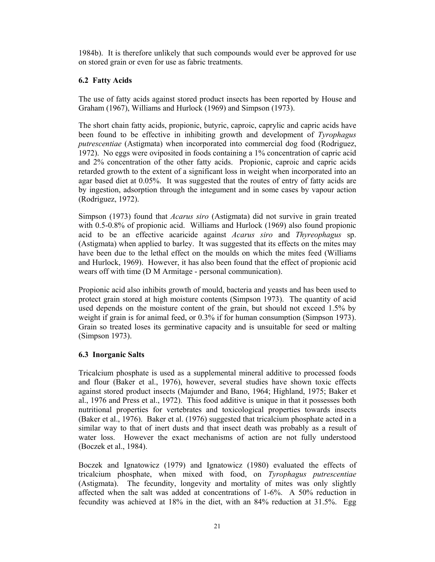1984b). It is therefore unlikely that such compounds would ever be approved for use on stored grain or even for use as fabric treatments.

## **6.2 Fatty Acids**

The use of fatty acids against stored product insects has been reported by House and Graham (1967), Williams and Hurlock (1969) and Simpson (1973).

The short chain fatty acids, propionic, butyric, caproic, caprylic and capric acids have been found to be effective in inhibiting growth and development of *Tyrophagus putrescentiae* (Astigmata) when incorporated into commercial dog food (Rodriguez, 1972). No eggs were oviposited in foods containing a 1% concentration of capric acid and 2% concentration of the other fatty acids. Propionic, caproic and capric acids retarded growth to the extent of a significant loss in weight when incorporated into an agar based diet at 0.05%. It was suggested that the routes of entry of fatty acids are by ingestion, adsorption through the integument and in some cases by vapour action (Rodriguez, 1972).

Simpson (1973) found that *Acarus siro* (Astigmata) did not survive in grain treated with 0.5-0.8% of propionic acid. Williams and Hurlock (1969) also found propionic acid to be an effective acaricide against *Acarus siro* and *Thyreophagus* sp. (Astigmata) when applied to barley. It was suggested that its effects on the mites may have been due to the lethal effect on the moulds on which the mites feed (Williams and Hurlock, 1969). However, it has also been found that the effect of propionic acid wears off with time (D M Armitage - personal communication).

Propionic acid also inhibits growth of mould, bacteria and yeasts and has been used to protect grain stored at high moisture contents (Simpson 1973). The quantity of acid used depends on the moisture content of the grain, but should not exceed 1.5% by weight if grain is for animal feed, or 0.3% if for human consumption (Simpson 1973). Grain so treated loses its germinative capacity and is unsuitable for seed or malting (Simpson 1973).

## **6.3 Inorganic Salts**

Tricalcium phosphate is used as a supplemental mineral additive to processed foods and flour (Baker et al., 1976), however, several studies have shown toxic effects against stored product insects (Majumder and Bano, 1964; Highland, 1975; Baker et al., 1976 and Press et al., 1972). This food additive is unique in that it possesses both nutritional properties for vertebrates and toxicological properties towards insects (Baker et al., 1976). Baker et al. (1976) suggested that tricalcium phosphate acted in a similar way to that of inert dusts and that insect death was probably as a result of water loss. However the exact mechanisms of action are not fully understood (Boczek et al., 1984).

Boczek and Ignatowicz (1979) and Ignatowicz (1980) evaluated the effects of tricalcium phosphate, when mixed with food, on *Tyrophagus putrescentiae* (Astigmata). The fecundity, longevity and mortality of mites was only slightly affected when the salt was added at concentrations of 1-6%. A 50% reduction in fecundity was achieved at 18% in the diet, with an 84% reduction at 31.5%. Egg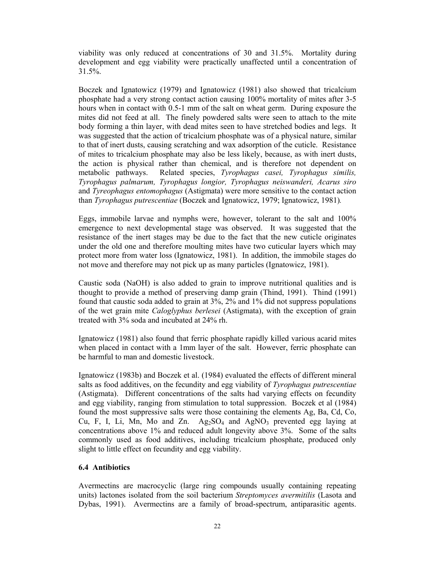viability was only reduced at concentrations of 30 and 31.5%. Mortality during development and egg viability were practically unaffected until a concentration of 31.5%.

Boczek and Ignatowicz (1979) and Ignatowicz (1981) also showed that tricalcium phosphate had a very strong contact action causing 100% mortality of mites after 3-5 hours when in contact with 0.5-1 mm of the salt on wheat germ. During exposure the mites did not feed at all. The finely powdered salts were seen to attach to the mite body forming a thin layer, with dead mites seen to have stretched bodies and legs. It was suggested that the action of tricalcium phosphate was of a physical nature, similar to that of inert dusts, causing scratching and wax adsorption of the cuticle. Resistance of mites to tricalcium phosphate may also be less likely, because, as with inert dusts, the action is physical rather than chemical, and is therefore not dependent on metabolic pathways. Related species, *Tyrophagus casei, Tyrophagus similis, Tyrophagus palmarum, Tyrophagus longior, Tyrophagus neiswanderi, Acarus siro*  and *Tyreophagus entomophagus* (Astigmata) were more sensitive to the contact action than *Tyrophagus putrescentiae* (Boczek and Ignatowicz, 1979; Ignatowicz, 1981)*.*

Eggs, immobile larvae and nymphs were, however, tolerant to the salt and 100% emergence to next developmental stage was observed. It was suggested that the resistance of the inert stages may be due to the fact that the new cuticle originates under the old one and therefore moulting mites have two cuticular layers which may protect more from water loss (Ignatowicz, 1981). In addition, the immobile stages do not move and therefore may not pick up as many particles (Ignatowicz, 1981).

Caustic soda (NaOH) is also added to grain to improve nutritional qualities and is thought to provide a method of preserving damp grain (Thind, 1991). Thind (1991) found that caustic soda added to grain at 3%, 2% and 1% did not suppress populations of the wet grain mite *Caloglyphus berlesei* (Astigmata), with the exception of grain treated with 3% soda and incubated at 24% rh.

Ignatowicz (1981) also found that ferric phosphate rapidly killed various acarid mites when placed in contact with a 1mm layer of the salt. However, ferric phosphate can be harmful to man and domestic livestock.

Ignatowicz (1983b) and Boczek et al. (1984) evaluated the effects of different mineral salts as food additives, on the fecundity and egg viability of *Tyrophagus putrescentiae*  (Astigmata). Different concentrations of the salts had varying effects on fecundity and egg viability, ranging from stimulation to total suppression. Boczek et al (1984) found the most suppressive salts were those containing the elements Ag, Ba, Cd, Co, Cu, F, I, Li, Mn, Mo and Zn.  $Ag_2SO_4$  and  $AgNO_3$  prevented egg laying at concentrations above 1% and reduced adult longevity above 3%. Some of the salts commonly used as food additives, including tricalcium phosphate, produced only slight to little effect on fecundity and egg viability.

## **6.4 Antibiotics**

Avermectins are macrocyclic (large ring compounds usually containing repeating units) lactones isolated from the soil bacterium *Streptomyces avermitilis* (Lasota and Dybas, 1991). Avermectins are a family of broad-spectrum, antiparasitic agents.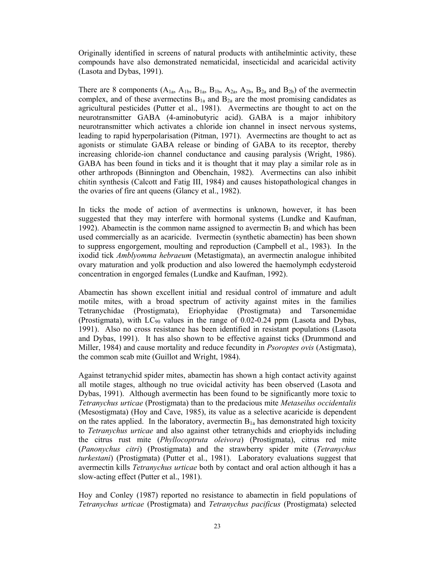Originally identified in screens of natural products with antihelmintic activity, these compounds have also demonstrated nematicidal, insecticidal and acaricidal activity (Lasota and Dybas, 1991).

There are 8 components  $(A_{1a}, A_{1b}, B_{1a}, B_{1b}, A_{2a}, A_{2b}, B_{2a}$  and  $B_{2b}$ ) of the avermectin complex, and of these avermectins  $B_{1a}$  and  $B_{2a}$  are the most promising candidates as agricultural pesticides (Putter et al., 1981). Avermectins are thought to act on the neurotransmitter GABA (4-aminobutyric acid). GABA is a major inhibitory neurotransmitter which activates a chloride ion channel in insect nervous systems, leading to rapid hyperpolarisation (Pitman, 1971). Avermectins are thought to act as agonists or stimulate GABA release or binding of GABA to its receptor, thereby increasing chloride-ion channel conductance and causing paralysis (Wright, 1986). GABA has been found in ticks and it is thought that it may play a similar role as in other arthropods (Binnington and Obenchain, 1982). Avermectins can also inhibit chitin synthesis (Calcott and Fatig III, 1984) and causes histopathological changes in the ovaries of fire ant queens (Glancy et al., 1982).

In ticks the mode of action of avermectins is unknown, however, it has been suggested that they may interfere with hormonal systems (Lundke and Kaufman, 1992). Abamectin is the common name assigned to avermectin  $B_1$  and which has been used commercially as an acaricide. Ivermectin (synthetic abamectin) has been shown to suppress engorgement, moulting and reproduction (Campbell et al., 1983). In the ixodid tick *Amblyomma hebraeum* (Metastigmata), an avermectin analogue inhibited ovary maturation and yolk production and also lowered the haemolymph ecdysteroid concentration in engorged females (Lundke and Kaufman, 1992).

Abamectin has shown excellent initial and residual control of immature and adult motile mites, with a broad spectrum of activity against mites in the families Tetranychidae (Prostigmata), Eriophyidae (Prostigmata) and Tarsonemidae (Prostigmata), with  $LC_{90}$  values in the range of 0.02-0.24 ppm (Lasota and Dybas, 1991). Also no cross resistance has been identified in resistant populations (Lasota and Dybas, 1991). It has also shown to be effective against ticks (Drummond and Miller, 1984) and cause mortality and reduce fecundity in *Psoroptes ovis* (Astigmata), the common scab mite (Guillot and Wright, 1984).

Against tetranychid spider mites, abamectin has shown a high contact activity against all motile stages, although no true ovicidal activity has been observed (Lasota and Dybas, 1991). Although avermectin has been found to be significantly more toxic to *Tetranychus urticae* (Prostigmata) than to the predacious mite *Metaseilus occidentalis* (Mesostigmata) (Hoy and Cave, 1985), its value as a selective acaricide is dependent on the rates applied. In the laboratory, avermectin  $B_{1a}$  has demonstrated high toxicity to *Tetranychus urticae* and also against other tetranychids and eriophyids including the citrus rust mite (*Phyllocoptruta oleivora*) (Prostigmata), citrus red mite (*Panonychus citri*) (Prostigmata) and the strawberry spider mite (*Tetranychus turkestani*) (Prostigmata) (Putter et al., 1981). Laboratory evaluations suggest that avermectin kills *Tetranychus urticae* both by contact and oral action although it has a slow-acting effect (Putter et al., 1981).

Hoy and Conley (1987) reported no resistance to abamectin in field populations of *Tetranychus urticae* (Prostigmata) and *Tetranychus pacificus* (Prostigmata) selected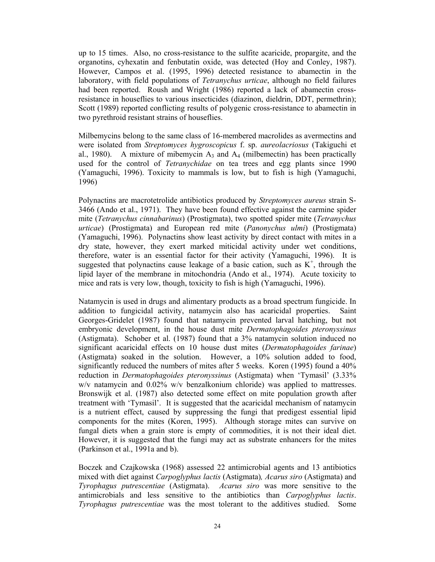up to 15 times. Also, no cross-resistance to the sulfite acaricide, propargite, and the organotins, cyhexatin and fenbutatin oxide, was detected (Hoy and Conley, 1987). However, Campos et al. (1995, 1996) detected resistance to abamectin in the laboratory, with field populations of *Tetranychus urticae*, although no field failures had been reported. Roush and Wright (1986) reported a lack of abamectin crossresistance in houseflies to various insecticides (diazinon, dieldrin, DDT, permethrin); Scott (1989) reported conflicting results of polygenic cross-resistance to abamectin in two pyrethroid resistant strains of houseflies.

Milbemycins belong to the same class of 16-membered macrolides as avermectins and were isolated from *Streptomyces hygroscopicus* f. sp. *aureolacriosus* (Takiguchi et al., 1980). A mixture of mibemycin  $A_3$  and  $A_4$  (milbemectin) has been practically used for the control of *Tetranychidae* on tea trees and egg plants since 1990 (Yamaguchi, 1996). Toxicity to mammals is low, but to fish is high (Yamaguchi, 1996)

Polynactins are macrotetrolide antibiotics produced by *Streptomyces aureus* strain S-3466 (Ando et al., 1971). They have been found effective against the carmine spider mite (*Tetranychus cinnabarinus*) (Prostigmata), two spotted spider mite (*Tetranychus urticae*) (Prostigmata) and European red mite (*Panonychus ulmi*) (Prostigmata) (Yamaguchi, 1996). Polynactins show least activity by direct contact with mites in a dry state, however, they exert marked miticidal activity under wet conditions, therefore, water is an essential factor for their activity (Yamaguchi, 1996). It is suggested that polynactins cause leakage of a basic cation, such as  $K^+$ , through the lipid layer of the membrane in mitochondria (Ando et al., 1974). Acute toxicity to mice and rats is very low, though, toxicity to fish is high (Yamaguchi, 1996).

Natamycin is used in drugs and alimentary products as a broad spectrum fungicide. In addition to fungicidal activity, natamycin also has acaricidal properties. Saint Georges-Gridelet (1987) found that natamycin prevented larval hatching, but not embryonic development, in the house dust mite *Dermatophagoides pteronyssinus*  (Astigmata). Schober et al. (1987) found that a 3% natamycin solution induced no significant acaricidal effects on 10 house dust mites (*Dermatophagoides farinae*) (Astigmata) soaked in the solution. However, a 10% solution added to food, significantly reduced the numbers of mites after 5 weeks. Koren (1995) found a 40% reduction in *Dermatophagoides pteronyssinus* (Astigmata) when 'Tymasil' (3.33% w/v natamycin and 0.02% w/v benzalkonium chloride) was applied to mattresses. Bronswijk et al. (1987) also detected some effect on mite population growth after treatment with 'Tymasil'. It is suggested that the acaricidal mechanism of natamycin is a nutrient effect, caused by suppressing the fungi that predigest essential lipid components for the mites (Koren, 1995). Although storage mites can survive on fungal diets when a grain store is empty of commodities, it is not their ideal diet. However, it is suggested that the fungi may act as substrate enhancers for the mites (Parkinson et al., 1991a and b).

Boczek and Czajkowska (1968) assessed 22 antimicrobial agents and 13 antibiotics mixed with diet against *Carpoglyphus lactis* (Astigmata)*, Acarus siro* (Astigmata) and *Tyrophagus putrescentiae* (Astigmata). *Acarus siro* was more sensitive to the antimicrobials and less sensitive to the antibiotics than *Carpoglyphus lactis*. *Tyrophagus putrescentiae* was the most tolerant to the additives studied. Some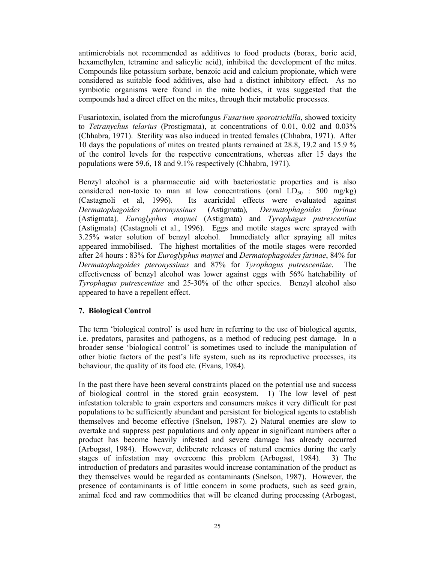antimicrobials not recommended as additives to food products (borax, boric acid, hexamethylen, tetramine and salicylic acid), inhibited the development of the mites. Compounds like potassium sorbate, benzoic acid and calcium propionate, which were considered as suitable food additives, also had a distinct inhibitory effect. As no symbiotic organisms were found in the mite bodies, it was suggested that the compounds had a direct effect on the mites, through their metabolic processes.

Fusariotoxin, isolated from the microfungus *Fusarium sporotrichilla*, showed toxicity to *Tetranychus telarius* (Prostigmata), at concentrations of 0.01, 0.02 and 0.03% (Chhabra, 1971). Sterility was also induced in treated females (Chhabra, 1971). After 10 days the populations of mites on treated plants remained at 28.8, 19.2 and 15.9 % of the control levels for the respective concentrations, whereas after 15 days the populations were 59.6, 18 and 9.1% respectively (Chhabra, 1971).

Benzyl alcohol is a pharmaceutic aid with bacteriostatic properties and is also considered non-toxic to man at low concentrations (oral  $LD_{50}$  : 500 mg/kg) (Castagnoli et al, 1996). Its acaricidal effects were evaluated against *Dermatophagoides pteronyssinus* (Astigmata)*, Dermatophagoides farinae*  (Astigmata)*, Euroglyphus maynei* (Astigmata) and *Tyrophagus putrescentiae* (Astigmata) (Castagnoli et al., 1996). Eggs and motile stages were sprayed with 3.25% water solution of benzyl alcohol. Immediately after spraying all mites appeared immobilised. The highest mortalities of the motile stages were recorded after 24 hours : 83% for *Euroglyphus maynei* and *Dermatophagoides farinae*, 84% for *Dermatophagoides pteronyssinus* and 87% for *Tyrophagus putrescentiae*. The effectiveness of benzyl alcohol was lower against eggs with 56% hatchability of *Tyrophagus putrescentiae* and 25-30% of the other species. Benzyl alcohol also appeared to have a repellent effect.

#### **7. Biological Control**

The term 'biological control' is used here in referring to the use of biological agents, i.e. predators, parasites and pathogens, as a method of reducing pest damage. In a broader sense 'biological control' is sometimes used to include the manipulation of other biotic factors of the pest's life system, such as its reproductive processes, its behaviour, the quality of its food etc. (Evans, 1984).

In the past there have been several constraints placed on the potential use and success of biological control in the stored grain ecosystem. 1) The low level of pest infestation tolerable to grain exporters and consumers makes it very difficult for pest populations to be sufficiently abundant and persistent for biological agents to establish themselves and become effective (Snelson, 1987). 2) Natural enemies are slow to overtake and suppress pest populations and only appear in significant numbers after a product has become heavily infested and severe damage has already occurred (Arbogast, 1984). However, deliberate releases of natural enemies during the early stages of infestation may overcome this problem (Arbogast, 1984). 3) The introduction of predators and parasites would increase contamination of the product as they themselves would be regarded as contaminants (Snelson, 1987). However, the presence of contaminants is of little concern in some products, such as seed grain, animal feed and raw commodities that will be cleaned during processing (Arbogast,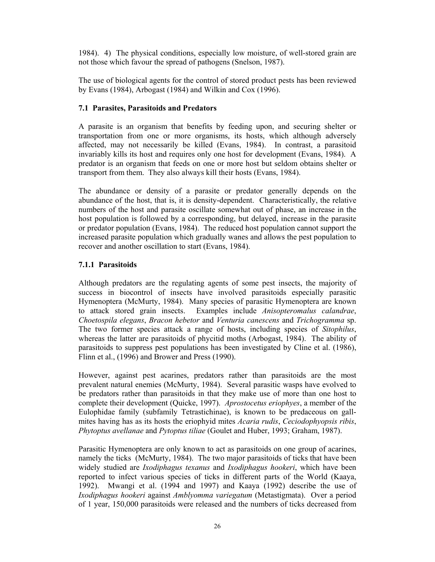1984). 4) The physical conditions, especially low moisture, of well-stored grain are not those which favour the spread of pathogens (Snelson, 1987).

The use of biological agents for the control of stored product pests has been reviewed by Evans (1984), Arbogast (1984) and Wilkin and Cox (1996).

## **7.1 Parasites, Parasitoids and Predators**

A parasite is an organism that benefits by feeding upon, and securing shelter or transportation from one or more organisms, its hosts, which although adversely affected, may not necessarily be killed (Evans, 1984). In contrast, a parasitoid invariably kills its host and requires only one host for development (Evans, 1984). A predator is an organism that feeds on one or more host but seldom obtains shelter or transport from them. They also always kill their hosts (Evans, 1984).

The abundance or density of a parasite or predator generally depends on the abundance of the host, that is, it is density-dependent. Characteristically, the relative numbers of the host and parasite oscillate somewhat out of phase, an increase in the host population is followed by a corresponding, but delayed, increase in the parasite or predator population (Evans, 1984). The reduced host population cannot support the increased parasite population which gradually wanes and allows the pest population to recover and another oscillation to start (Evans, 1984).

## **7.1.1 Parasitoids**

Although predators are the regulating agents of some pest insects, the majority of success in biocontrol of insects have involved parasitoids especially parasitic Hymenoptera (McMurty, 1984). Many species of parasitic Hymenoptera are known to attack stored grain insects. Examples include *Anisopteromalus calandrae*, *Choetospila elegans*, *Bracon hebetor* and *Venturia canescens* and *Trichogramma* sp. The two former species attack a range of hosts, including species of *Sitophilus*, whereas the latter are parasitoids of phycitid moths (Arbogast, 1984). The ability of parasitoids to suppress pest populations has been investigated by Cline et al. (1986), Flinn et al., (1996) and Brower and Press (1990).

However, against pest acarines, predators rather than parasitoids are the most prevalent natural enemies (McMurty, 1984). Several parasitic wasps have evolved to be predators rather than parasitoids in that they make use of more than one host to complete their development (Quicke, 1997). *Aprostocetus eriophyes*, a member of the Eulophidae family (subfamily Tetrastichinae), is known to be predaceous on gallmites having has as its hosts the eriophyid mites *Acaria rudis*, *Ceciodophyopsis ribis*, *Phytoptus avellanae* and *Pytoptus tiliae* (Goulet and Huber, 1993; Graham, 1987).

Parasitic Hymenoptera are only known to act as parasitoids on one group of acarines, namely the ticks (McMurty, 1984). The two major parasitoids of ticks that have been widely studied are *Ixodiphagus texanus* and *Ixodiphagus hookeri*, which have been reported to infect various species of ticks in different parts of the World (Kaaya, 1992). Mwangi et al. (1994 and 1997) and Kaaya (1992) describe the use of *Ixodiphagus hookeri* against *Amblyomma variegatum* (Metastigmata). Over a period of 1 year, 150,000 parasitoids were released and the numbers of ticks decreased from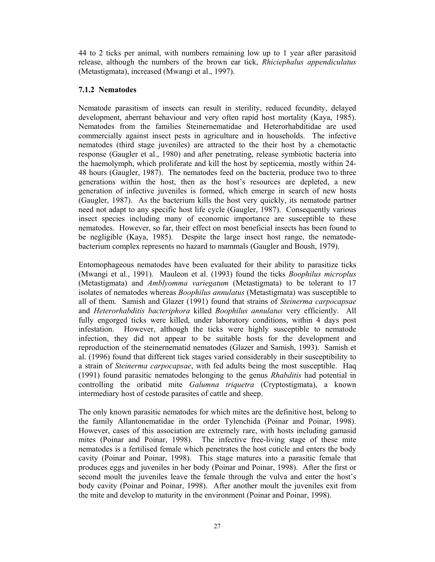44 to 2 ticks per animal, with numbers remaining low up to 1 year after parasitoid release, although the numbers of the brown ear tick, *Rhiciephalus appendiculatus* (Metastigmata), increased (Mwangi et al., 1997).

### **7.1.2 Nematodes**

Nematode parasitism of insects can result in sterility, reduced fecundity, delayed development, aberrant behaviour and very often rapid host mortality (Kaya, 1985). Nematodes from the families Steinernematidae and Heterorhabditidae are used commercially against insect pests in agriculture and in households. The infective nematodes (third stage juveniles) are attracted to the their host by a chemotactic response (Gaugler et al., 1980) and after penetrating, release symbiotic bacteria into the haemolymph, which proliferate and kill the host by septicemia, mostly within 24- 48 hours (Gaugler, 1987). The nematodes feed on the bacteria, produce two to three generations within the host, then as the host's resources are depleted, a new generation of infective juveniles is formed, which emerge in search of new hosts (Gaugler, 1987). As the bacterium kills the host very quickly, its nematode partner need not adapt to any specific host life cycle (Gaugler, 1987). Consequently various insect species including many of economic importance are susceptible to these nematodes. However, so far, their effect on most beneficial insects has been found to be negligible (Kaya, 1985). Despite the large insect host range, the nematodebacterium complex represents no hazard to mammals (Gaugler and Boush, 1979).

Entomophageous nematodes have been evaluated for their ability to parasitize ticks (Mwangi et al., 1991). Mauleon et al. (1993) found the ticks *Boophilus microplus* (Metastigmata) and *Amblyomma variegatum* (Metastigmata) to be tolerant to 17 isolates of nematodes whereas *Boophilus annulatus* (Metastigmata) was susceptible to all of them. Samish and Glazer (1991) found that strains of *Steinerma carpocapsae* and *Heterorhabditis bacteriphora* killed *Boophilus annulatus* very efficiently. All fully engorged ticks were killed, under laboratory conditions, within 4 days post infestation. However, although the ticks were highly susceptible to nematode infection, they did not appear to be suitable hosts for the development and reproduction of the steinernematid nematodes (Glazer and Samish, 1993). Samish et al. (1996) found that different tick stages varied considerably in their susceptibility to a strain of *Steinerma carpocapsae*, with fed adults being the most susceptible. Haq (1991) found parasitic nematodes belonging to the genus *Rhabditis* had potential in controlling the oribatid mite *Galumna triquetra* (Cryptostigmata), a known intermediary host of cestode parasites of cattle and sheep.

The only known parasitic nematodes for which mites are the definitive host, belong to the family Allantonematidae in the order Tylenchida (Poinar and Poinar, 1998). However, cases of this association are extremely rare, with hosts including gamasid mites (Poinar and Poinar, 1998). The infective free-living stage of these mite nematodes is a fertilised female which penetrates the host cuticle and enters the body cavity (Poinar and Poinar, 1998). This stage matures into a parasitic female that produces eggs and juveniles in her body (Poinar and Poinar, 1998). After the first or second moult the juveniles leave the female through the vulva and enter the host's body cavity (Poinar and Poinar, 1998). After another moult the juveniles exit from the mite and develop to maturity in the environment (Poinar and Poinar, 1998).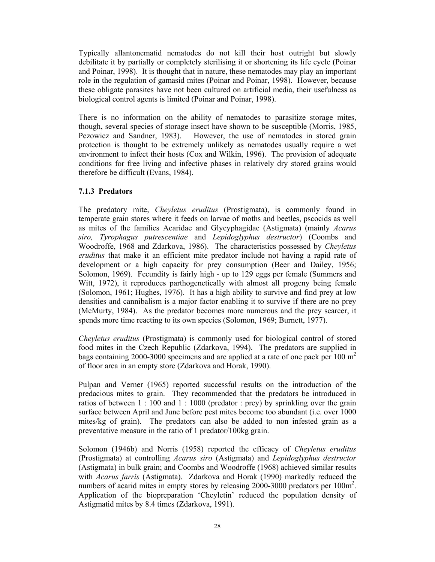Typically allantonematid nematodes do not kill their host outright but slowly debilitate it by partially or completely sterilising it or shortening its life cycle (Poinar and Poinar, 1998). It is thought that in nature, these nematodes may play an important role in the regulation of gamasid mites (Poinar and Poinar, 1998). However, because these obligate parasites have not been cultured on artificial media, their usefulness as biological control agents is limited (Poinar and Poinar, 1998).

There is no information on the ability of nematodes to parasitize storage mites, though, several species of storage insect have shown to be susceptible (Morris, 1985, Pezowicz and Sandner, 1983). However, the use of nematodes in stored grain protection is thought to be extremely unlikely as nematodes usually require a wet environment to infect their hosts (Cox and Wilkin, 1996). The provision of adequate conditions for free living and infective phases in relatively dry stored grains would therefore be difficult (Evans, 1984).

## **7.1.3 Predators**

The predatory mite, *Cheyletus eruditus* (Prostigmata), is commonly found in temperate grain stores where it feeds on larvae of moths and beetles, pscocids as well as mites of the families Acaridae and Glycyphagidae (Astigmata) (mainly *Acarus siro, Tyrophagus putrescentiae* and *Lepidoglyphus destructor*) (Coombs and Woodroffe, 1968 and Zdarkova, 1986). The characteristics possessed by *Cheyletus eruditus* that make it an efficient mite predator include not having a rapid rate of development or a high capacity for prey consumption (Beer and Dailey, 1956; Solomon, 1969). Fecundity is fairly high - up to 129 eggs per female (Summers and Witt, 1972), it reproduces parthogenetically with almost all progeny being female (Solomon, 1961; Hughes, 1976). It has a high ability to survive and find prey at low densities and cannibalism is a major factor enabling it to survive if there are no prey (McMurty, 1984). As the predator becomes more numerous and the prey scarcer, it spends more time reacting to its own species (Solomon, 1969; Burnett, 1977).

*Cheyletus eruditus* (Prostigmata) is commonly used for biological control of stored food mites in the Czech Republic (Zdarkova, 1994). The predators are supplied in bags containing 2000-3000 specimens and are applied at a rate of one pack per 100  $m<sup>2</sup>$ of floor area in an empty store (Zdarkova and Horak, 1990).

Pulpan and Verner (1965) reported successful results on the introduction of the predacious mites to grain. They recommended that the predators be introduced in ratios of between 1 : 100 and 1 : 1000 (predator : prey) by sprinkling over the grain surface between April and June before pest mites become too abundant (i.e. over 1000 mites/kg of grain). The predators can also be added to non infested grain as a preventative measure in the ratio of 1 predator/100kg grain.

Solomon (1946b) and Norris (1958) reported the efficacy of *Cheyletus eruditus* (Prostigmata) at controlling *Acarus siro* (Astigmata) and *Lepidoglyphus destructor* (Astigmata) in bulk grain; and Coombs and Woodroffe (1968) achieved similar results with *Acarus farris* (Astigmata). Zdarkova and Horak (1990) markedly reduced the numbers of acarid mites in empty stores by releasing 2000-3000 predators per 100m<sup>2</sup>. Application of the biopreparation 'Cheyletin' reduced the population density of Astigmatid mites by 8.4 times (Zdarkova, 1991).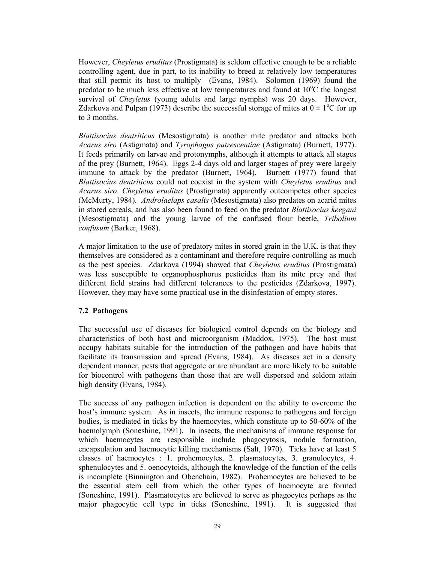However, *Cheyletus eruditus* (Prostigmata) is seldom effective enough to be a reliable controlling agent, due in part, to its inability to breed at relatively low temperatures that still permit its host to multiply (Evans, 1984). Solomon (1969) found the predator to be much less effective at low temperatures and found at  $10^{\circ}$ C the longest survival of *Cheyletus* (young adults and large nymphs) was 20 days. However, Zdarkova and Pulpan (1973) describe the successful storage of mites at  $0 \pm 1$ <sup>o</sup>C for up to 3 months.

*Blattisocius dentriticus* (Mesostigmata) is another mite predator and attacks both *Acarus siro* (Astigmata) and *Tyrophagus putrescentiae* (Astigmata) (Burnett, 1977). It feeds primarily on larvae and protonymphs, although it attempts to attack all stages of the prey (Burnett, 1964). Eggs 2-4 days old and larger stages of prey were largely immune to attack by the predator (Burnett, 1964). Burnett (1977) found that *Blattisocius dentriticus* could not coexist in the system with *Cheyletus eruditus* and *Acarus siro*. *Cheyletus eruditus* (Prostigmata) apparently outcompetes other species (McMurty, 1984). *Androlaelaps casalis* (Mesostigmata) also predates on acarid mites in stored cereals, and has also been found to feed on the predator *Blattisocius keegani* (Mesostigmata) and the young larvae of the confused flour beetle, *Tribolium confusum* (Barker, 1968).

A major limitation to the use of predatory mites in stored grain in the U.K. is that they themselves are considered as a contaminant and therefore require controlling as much as the pest species. Zdarkova (1994) showed that *Cheyletus eruditus* (Prostigmata) was less susceptible to organophosphorus pesticides than its mite prey and that different field strains had different tolerances to the pesticides (Zdarkova, 1997). However, they may have some practical use in the disinfestation of empty stores.

#### **7.2 Pathogens**

The successful use of diseases for biological control depends on the biology and characteristics of both host and microorganism (Maddox, 1975). The host must occupy habitats suitable for the introduction of the pathogen and have habits that facilitate its transmission and spread (Evans, 1984). As diseases act in a density dependent manner, pests that aggregate or are abundant are more likely to be suitable for biocontrol with pathogens than those that are well dispersed and seldom attain high density (Evans, 1984).

The success of any pathogen infection is dependent on the ability to overcome the host's immune system. As in insects, the immune response to pathogens and foreign bodies, is mediated in ticks by the haemocytes, which constitute up to 50-60% of the haemolymph (Soneshine, 1991). In insects, the mechanisms of immune response for which haemocytes are responsible include phagocytosis, nodule formation, encapsulation and haemocytic killing mechanisms (Salt, 1970). Ticks have at least 5 classes of haemocytes : 1. prohemocytes, 2. plasmatocytes, 3. granulocytes, 4. sphenulocytes and 5. oenocytoids, although the knowledge of the function of the cells is incomplete (Binnington and Obenchain, 1982). Prohemocytes are believed to be the essential stem cell from which the other types of haemocyte are formed (Soneshine, 1991). Plasmatocytes are believed to serve as phagocytes perhaps as the major phagocytic cell type in ticks (Soneshine, 1991). It is suggested that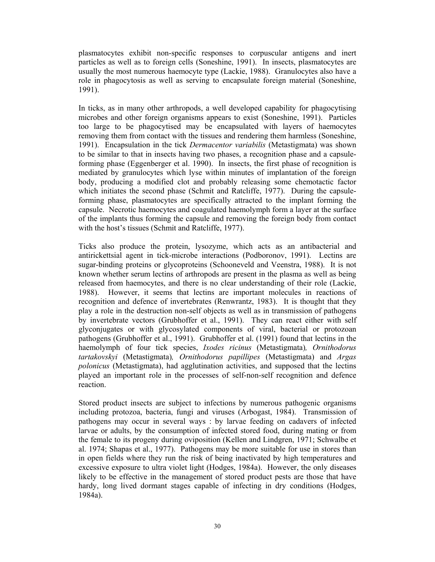plasmatocytes exhibit non-specific responses to corpuscular antigens and inert particles as well as to foreign cells (Soneshine, 1991). In insects, plasmatocytes are usually the most numerous haemocyte type (Lackie, 1988). Granulocytes also have a role in phagocytosis as well as serving to encapsulate foreign material (Soneshine, 1991).

In ticks, as in many other arthropods, a well developed capability for phagocytising microbes and other foreign organisms appears to exist (Soneshine, 1991). Particles too large to be phagocytised may be encapsulated with layers of haemocytes removing them from contact with the tissues and rendering them harmless (Soneshine, 1991). Encapsulation in the tick *Dermacentor variabilis* (Metastigmata) was shown to be similar to that in insects having two phases, a recognition phase and a capsuleforming phase (Eggenberger et al. 1990). In insects, the first phase of recognition is mediated by granulocytes which lyse within minutes of implantation of the foreign body, producing a modified clot and probably releasing some chemotactic factor which initiates the second phase (Schmit and Ratcliffe, 1977). During the capsuleforming phase, plasmatocytes are specifically attracted to the implant forming the capsule. Necrotic haemocytes and coagulated haemolymph form a layer at the surface of the implants thus forming the capsule and removing the foreign body from contact with the host's tissues (Schmit and Ratcliffe, 1977).

Ticks also produce the protein, lysozyme, which acts as an antibacterial and antirickettsial agent in tick-microbe interactions (Podboronov, 1991). Lectins are sugar-binding proteins or glycoproteins (Schooneveld and Veenstra, 1988). It is not known whether serum lectins of arthropods are present in the plasma as well as being released from haemocytes, and there is no clear understanding of their role (Lackie, 1988). However, it seems that lectins are important molecules in reactions of recognition and defence of invertebrates (Renwrantz, 1983). It is thought that they play a role in the destruction non-self objects as well as in transmission of pathogens by invertebrate vectors (Grubhoffer et al., 1991). They can react either with self glyconjugates or with glycosylated components of viral, bacterial or protozoan pathogens (Grubhoffer et al., 1991). Grubhoffer et al. (1991) found that lectins in the haemolymph of four tick species, *Ixodes ricinus* (Metastigmata)*, Ornithodorus tartakovskyi* (Metastigmata)*, Ornithodorus papillipes* (Metastigmata) and *Argas polonicus* (Metastigmata), had agglutination activities, and supposed that the lectins played an important role in the processes of self-non-self recognition and defence reaction.

Stored product insects are subject to infections by numerous pathogenic organisms including protozoa, bacteria, fungi and viruses (Arbogast, 1984). Transmission of pathogens may occur in several ways : by larvae feeding on cadavers of infected larvae or adults, by the consumption of infected stored food, during mating or from the female to its progeny during oviposition (Kellen and Lindgren, 1971; Schwalbe et al. 1974; Shapas et al., 1977). Pathogens may be more suitable for use in stores than in open fields where they run the risk of being inactivated by high temperatures and excessive exposure to ultra violet light (Hodges, 1984a). However, the only diseases likely to be effective in the management of stored product pests are those that have hardy, long lived dormant stages capable of infecting in dry conditions (Hodges, 1984a).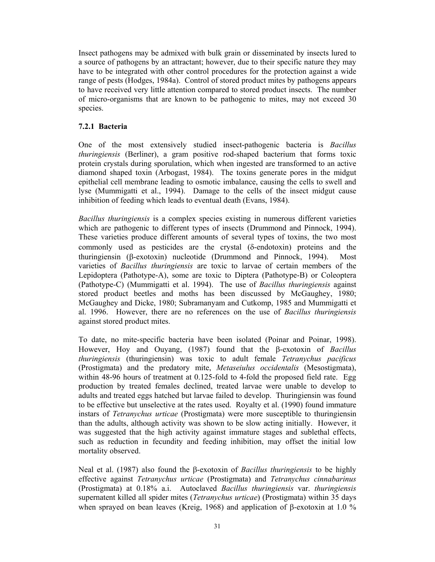Insect pathogens may be admixed with bulk grain or disseminated by insects lured to a source of pathogens by an attractant; however, due to their specific nature they may have to be integrated with other control procedures for the protection against a wide range of pests (Hodges, 1984a). Control of stored product mites by pathogens appears to have received very little attention compared to stored product insects. The number of micro-organisms that are known to be pathogenic to mites, may not exceed 30 species.

#### **7.2.1 Bacteria**

One of the most extensively studied insect-pathogenic bacteria is *Bacillus thuringiensis* (Berliner), a gram positive rod-shaped bacterium that forms toxic protein crystals during sporulation, which when ingested are transformed to an active diamond shaped toxin (Arbogast, 1984). The toxins generate pores in the midgut epithelial cell membrane leading to osmotic imbalance, causing the cells to swell and lyse (Mummigatti et al., 1994). Damage to the cells of the insect midgut cause inhibition of feeding which leads to eventual death (Evans, 1984).

*Bacillus thuringiensis* is a complex species existing in numerous different varieties which are pathogenic to different types of insects (Drummond and Pinnock, 1994). These varieties produce different amounts of several types of toxins, the two most commonly used as pesticides are the crystal (δ-endotoxin) proteins and the thuringiensin (β-exotoxin) nucleotide (Drummond and Pinnock, 1994). Most varieties of *Bacillus thuringiensis* are toxic to larvae of certain members of the Lepidoptera (Pathotype-A), some are toxic to Diptera (Pathotype-B) or Coleoptera (Pathotype-C) (Mummigatti et al. 1994). The use of *Bacillus thuringiensis* against stored product beetles and moths has been discussed by McGaughey, 1980; McGaughey and Dicke, 1980; Subramanyam and Cutkomp, 1985 and Mummigatti et al. 1996. However, there are no references on the use of *Bacillus thuringiensis* against stored product mites.

To date, no mite-specific bacteria have been isolated (Poinar and Poinar, 1998). However, Hoy and Ouyang, (1987) found that the β-exotoxin of *Bacillus thuringiensis* (thuringiensin) was toxic to adult female *Tetranychus pacificus* (Prostigmata) and the predatory mite, *Metaseiulus occidentalis* (Mesostigmata), within 48-96 hours of treatment at 0.125-fold to 4-fold the proposed field rate. Egg production by treated females declined, treated larvae were unable to develop to adults and treated eggs hatched but larvae failed to develop. Thuringiensin was found to be effective but unselective at the rates used. Royalty et al. (1990) found immature instars of *Tetranychus urticae* (Prostigmata) were more susceptible to thuringiensin than the adults, although activity was shown to be slow acting initially. However, it was suggested that the high activity against immature stages and sublethal effects, such as reduction in fecundity and feeding inhibition, may offset the initial low mortality observed.

Neal et al. (1987) also found the β-exotoxin of *Bacillus thuringiensis* to be highly effective against *Tetranychus urticae* (Prostigmata) and *Tetranychus cinnabarinus* (Prostigmata) at 0.18% a.i. Autoclaved *Bacillus thuringiensis* var. *thuringiensis* supernatent killed all spider mites (*Tetranychus urticae*) (Prostigmata) within 35 days when sprayed on bean leaves (Kreig, 1968) and application of β-exotoxin at 1.0 %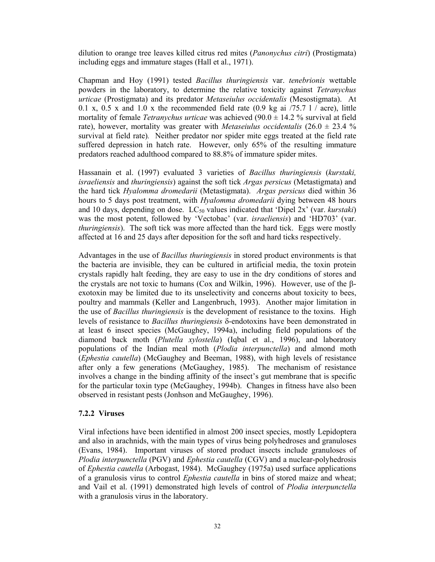dilution to orange tree leaves killed citrus red mites (*Panonychus citri*) (Prostigmata) including eggs and immature stages (Hall et al., 1971).

Chapman and Hoy (1991) tested *Bacillus thuringiensis* var. *tenebrionis* wettable powders in the laboratory, to determine the relative toxicity against *Tetranychus urticae* (Prostigmata) and its predator *Metaseiulus occidentalis* (Mesostigmata). At 0.1 x, 0.5 x and 1.0 x the recommended field rate  $(0.9 \text{ kg at } 75.7 \text{ l}$  / acre), little mortality of female *Tetranychus urticae* was achieved (90.0 ± 14.2 % survival at field rate), however, mortality was greater with *Metaseiulus occidentalis*  $(26.0 \pm 23.4 \%)$ survival at field rate)*.* Neither predator nor spider mite eggs treated at the field rate suffered depression in hatch rate. However, only 65% of the resulting immature predators reached adulthood compared to 88.8% of immature spider mites.

Hassanain et al. (1997) evaluated 3 varieties of *Bacillus thuringiensis* (*kurstaki, israeliensis* and *thuringiensis*) against the soft tick *Argas persicus* (Metastigmata) and the hard tick *Hyalomma dromedarii* (Metastigmata). *Argas persicus* died within 36 hours to 5 days post treatment, with *Hyalomma dromedarii* dying between 48 hours and 10 days, depending on dose. LC<sub>50</sub> values indicated that 'Dipel 2x' (var. *kurstaki*) was the most potent, followed by 'Vectobac' (var. *israeliensis*) and 'HD703' (var. *thuringiensis*). The soft tick was more affected than the hard tick. Eggs were mostly affected at 16 and 25 days after deposition for the soft and hard ticks respectively.

Advantages in the use of *Bacillus thuringiensis* in stored product environments is that the bacteria are invisible, they can be cultured in artificial media, the toxin protein crystals rapidly halt feeding, they are easy to use in the dry conditions of stores and the crystals are not toxic to humans (Cox and Wilkin, 1996). However, use of the βexotoxin may be limited due to its unselectivity and concerns about toxicity to bees, poultry and mammals (Keller and Langenbruch, 1993). Another major limitation in the use of *Bacillus thuringiensis* is the development of resistance to the toxins. High levels of resistance to *Bacillus thuringiensis* δ-endotoxins have been demonstrated in at least 6 insect species (McGaughey, 1994a), including field populations of the diamond back moth (*Plutella xylostella*) (Iqbal et al., 1996), and laboratory populations of the Indian meal moth (*Plodia interpunctella*) and almond moth (*Ephestia cautella*) (McGaughey and Beeman, 1988), with high levels of resistance after only a few generations (McGaughey, 1985). The mechanism of resistance involves a change in the binding affinity of the insect's gut membrane that is specific for the particular toxin type (McGaughey, 1994b). Changes in fitness have also been observed in resistant pests (Jonhson and McGaughey, 1996).

## **7.2.2 Viruses**

Viral infections have been identified in almost 200 insect species, mostly Lepidoptera and also in arachnids, with the main types of virus being polyhedroses and granuloses (Evans, 1984). Important viruses of stored product insects include granuloses of *Plodia interpunctella* (PGV) and *Ephestia cautella* (CGV) and a nuclear-polyhedrosis of *Ephestia cautella* (Arbogast, 1984). McGaughey (1975a) used surface applications of a granulosis virus to control *Ephestia cautella* in bins of stored maize and wheat; and Vail et al. (1991) demonstrated high levels of control of *Plodia interpunctella* with a granulosis virus in the laboratory.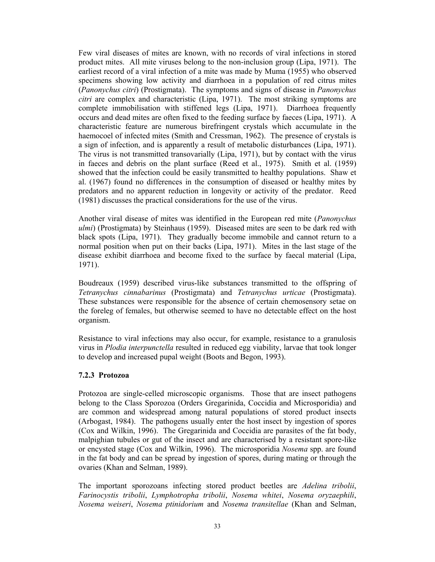Few viral diseases of mites are known, with no records of viral infections in stored product mites. All mite viruses belong to the non-inclusion group (Lipa, 1971). The earliest record of a viral infection of a mite was made by Muma (1955) who observed specimens showing low activity and diarrhoea in a population of red citrus mites (*Panonychus citri*) (Prostigmata). The symptoms and signs of disease in *Panonychus citri* are complex and characteristic (Lipa, 1971). The most striking symptoms are complete immobilisation with stiffened legs (Lipa, 1971). Diarrhoea frequently occurs and dead mites are often fixed to the feeding surface by faeces (Lipa, 1971). A characteristic feature are numerous birefringent crystals which accumulate in the haemocoel of infected mites (Smith and Cressman, 1962). The presence of crystals is a sign of infection, and is apparently a result of metabolic disturbances (Lipa, 1971). The virus is not transmitted transovarially (Lipa, 1971), but by contact with the virus in faeces and debris on the plant surface (Reed et al., 1975). Smith et al. (1959) showed that the infection could be easily transmitted to healthy populations. Shaw et al. (1967) found no differences in the consumption of diseased or healthy mites by predators and no apparent reduction in longevity or activity of the predator. Reed (1981) discusses the practical considerations for the use of the virus.

Another viral disease of mites was identified in the European red mite (*Panonychus ulmi*) (Prostigmata) by Steinhaus (1959). Diseased mites are seen to be dark red with black spots (Lipa, 1971). They gradually become immobile and cannot return to a normal position when put on their backs (Lipa, 1971). Mites in the last stage of the disease exhibit diarrhoea and become fixed to the surface by faecal material (Lipa, 1971).

Boudreaux (1959) described virus-like substances transmitted to the offspring of *Tetranychus cinnabarinus* (Prostigmata) and *Tetranychus urticae* (Prostigmata). These substances were responsible for the absence of certain chemosensory setae on the foreleg of females, but otherwise seemed to have no detectable effect on the host organism.

Resistance to viral infections may also occur, for example, resistance to a granulosis virus in *Plodia interpunctella* resulted in reduced egg viability, larvae that took longer to develop and increased pupal weight (Boots and Begon, 1993).

## **7.2.3 Protozoa**

Protozoa are single-celled microscopic organisms. Those that are insect pathogens belong to the Class Sporozoa (Orders Gregarinida, Coccidia and Microsporidia) and are common and widespread among natural populations of stored product insects (Arbogast, 1984). The pathogens usually enter the host insect by ingestion of spores (Cox and Wilkin, 1996). The Gregarinida and Coccidia are parasites of the fat body, malpighian tubules or gut of the insect and are characterised by a resistant spore-like or encysted stage (Cox and Wilkin, 1996). The microsporidia *Nosema* spp. are found in the fat body and can be spread by ingestion of spores, during mating or through the ovaries (Khan and Selman, 1989).

The important sporozoans infecting stored product beetles are *Adelina tribolii*, *Farinocystis tribolii*, *Lymphotropha tribolii*, *Nosema whitei*, *Nosema oryzaephili*, *Nosema weiseri*, *Nosema ptinidorium* and *Nosema transitellae* (Khan and Selman,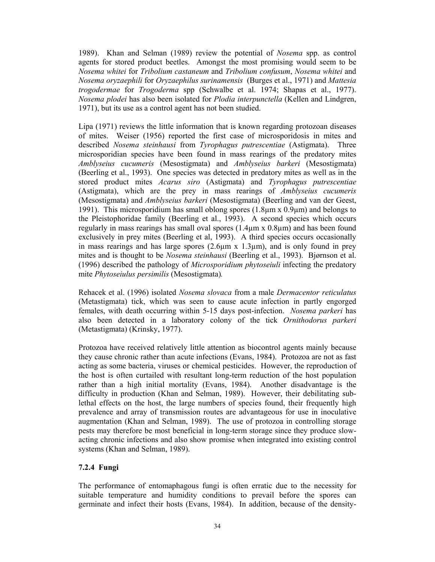1989). Khan and Selman (1989) review the potential of *Nosema* spp. as control agents for stored product beetles. Amongst the most promising would seem to be *Nosema whitei* for *Tribolium castaneum* and *Tribolium confusum*, *Nosema whitei* and *Nosema oryzaephili* for *Oryzaephilus surinamensis* (Burges et al., 1971) and *Mattesia trogodermae* for *Trogoderma* spp (Schwalbe et al. 1974; Shapas et al., 1977). *Nosema plodei* has also been isolated for *Plodia interpunctella* (Kellen and Lindgren, 1971), but its use as a control agent has not been studied.

Lipa (1971) reviews the little information that is known regarding protozoan diseases of mites. Weiser (1956) reported the first case of microsporidosis in mites and described *Nosema steinhausi* from *Tyrophagus putrescentiae* (Astigmata). Three microsporidian species have been found in mass rearings of the predatory mites *Amblyseius cucumeris* (Mesostigmata) and *Amblyseius barkeri* (Mesostigmata) (Beerling et al., 1993). One species was detected in predatory mites as well as in the stored product mites *Acarus siro* (Astigmata) and *Tyrophagus putrescentiae*  (Astigmata), which are the prey in mass rearings of *Amblyseius cucumeris*  (Mesostigmata) and *Amblyseius barkeri* (Mesostigmata) (Beerling and van der Geest, 1991). This microsporidium has small oblong spores (1.8µm x 0.9µm) and belongs to the Pleistophoridae family (Beerling et al., 1993). A second species which occurs regularly in mass rearings has small oval spores (1.4µm x 0.8µm) and has been found exclusively in prey mites (Beerling et al, 1993). A third species occurs occasionally in mass rearings and has large spores  $(2.6\mu m \times 1.3\mu m)$ , and is only found in prey mites and is thought to be *Nosema steinhausi* (Beerling et al., 1993). Bjørnson et al. (1996) described the pathology of *Microsporidium phytoseiuli* infecting the predatory mite *Phytoseiulus persimilis* (Mesostigmata)*.* 

Rehacek et al. (1996) isolated *Nosema slovaca* from a male *Dermacentor reticulatus*  (Metastigmata) tick, which was seen to cause acute infection in partly engorged females, with death occurring within 5-15 days post-infection. *Nosema parkeri* has also been detected in a laboratory colony of the tick *Ornithodorus parkeri*  (Metastigmata) (Krinsky, 1977).

Protozoa have received relatively little attention as biocontrol agents mainly because they cause chronic rather than acute infections (Evans, 1984). Protozoa are not as fast acting as some bacteria, viruses or chemical pesticides. However, the reproduction of the host is often curtailed with resultant long-term reduction of the host population rather than a high initial mortality (Evans, 1984). Another disadvantage is the difficulty in production (Khan and Selman, 1989). However, their debilitating sublethal effects on the host, the large numbers of species found, their frequently high prevalence and array of transmission routes are advantageous for use in inoculative augmentation (Khan and Selman, 1989). The use of protozoa in controlling storage pests may therefore be most beneficial in long-term storage since they produce slowacting chronic infections and also show promise when integrated into existing control systems (Khan and Selman, 1989).

# **7.2.4 Fungi**

The performance of entomaphagous fungi is often erratic due to the necessity for suitable temperature and humidity conditions to prevail before the spores can germinate and infect their hosts (Evans, 1984). In addition, because of the density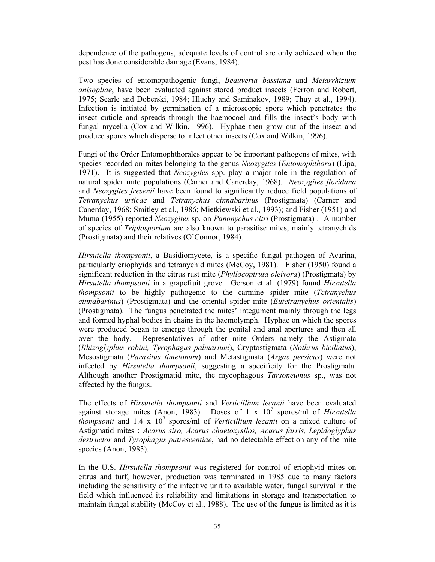dependence of the pathogens, adequate levels of control are only achieved when the pest has done considerable damage (Evans, 1984).

Two species of entomopathogenic fungi, *Beauveria bassiana* and *Metarrhizium anisopliae*, have been evaluated against stored product insects (Ferron and Robert, 1975; Searle and Doberski, 1984; Hluchy and Saminakov, 1989; Thuy et al., 1994). Infection is initiated by germination of a microscopic spore which penetrates the insect cuticle and spreads through the haemocoel and fills the insect's body with fungal mycelia (Cox and Wilkin, 1996). Hyphae then grow out of the insect and produce spores which disperse to infect other insects (Cox and Wilkin, 1996).

Fungi of the Order Entomophthorales appear to be important pathogens of mites, with species recorded on mites belonging to the genus *Neozygites* (*Entomophthora*) (Lipa, 1971). It is suggested that *Neozygites* spp. play a major role in the regulation of natural spider mite populations (Carner and Canerday, 1968). *Neozygites floridana* and *Neozygites fresenii* have been found to significantly reduce field populations of *Tetranychus urticae* and *Tetranychus cinnabarinus* (Prostigmata) (Carner and Canerday, 1968; Smitley et al., 1986; Mietkiewski et al., 1993); and Fisher (1951) and Muma (1955) reported *Neozygites* sp. on *Panonychus citri* (Prostigmata) . A number of species of *Triplosporium* are also known to parasitise mites, mainly tetranychids (Prostigmata) and their relatives (O'Connor, 1984).

*Hirsutella thompsonii*, a Basidiomycete, is a specific fungal pathogen of Acarina, particularly eriophyids and tetranychid mites (McCoy, 1981). Fisher (1950) found a significant reduction in the citrus rust mite (*Phyllocoptruta oleivora*) (Prostigmata) by *Hirsutella thompsonii* in a grapefruit grove. Gerson et al. (1979) found *Hirsutella thompsonii* to be highly pathogenic to the carmine spider mite (*Tetranychus cinnabarinus*) (Prostigmata) and the oriental spider mite (*Eutetranychus orientalis*) (Prostigmata). The fungus penetrated the mites' integument mainly through the legs and formed hyphal bodies in chains in the haemolymph. Hyphae on which the spores were produced began to emerge through the genital and anal apertures and then all over the body. Representatives of other mite Orders namely the Astigmata (*Rhizoglyphus robini, Tyrophagus palmarium*), Cryptostigmata (*Nothrus biciliatus*), Mesostigmata (*Parasitus timetonum*) and Metastigmata (*Argas persicus*) were not infected by *Hirsutella thompsonii*, suggesting a specificity for the Prostigmata. Although another Prostigmatid mite, the mycophagous *Tarsoneumus* sp., was not affected by the fungus.

The effects of *Hirsutella thompsonii* and *Verticillium lecanii* have been evaluated against storage mites (Anon, 1983). Doses of 1 x  $10^7$  spores/ml of *Hirsutella thompsonii* and 1.4 x 10<sup>7</sup> spores/ml of *Verticillium lecanii* on a mixed culture of Astigmatid mites : *Acarus siro, Acarus chaetoxysilos, Acarus farris, Lepidoglyphus destructor* and *Tyrophagus putrescentiae*, had no detectable effect on any of the mite species (Anon, 1983).

In the U.S. *Hirsutella thompsonii* was registered for control of eriophyid mites on citrus and turf, however, production was terminated in 1985 due to many factors including the sensitivity of the infective unit to available water, fungal survival in the field which influenced its reliability and limitations in storage and transportation to maintain fungal stability (McCoy et al., 1988). The use of the fungus is limited as it is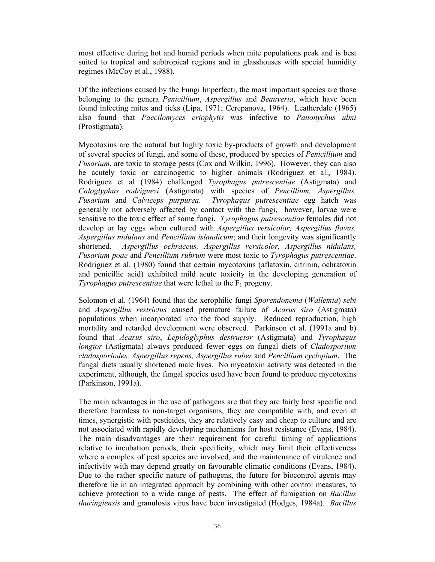most effective during hot and humid periods when mite populations peak and is best suited to tropical and subtropical regions and in glasshouses with special humidity regimes (McCoy et al., 1988).

Of the infections caused by the Fungi Imperfecti, the most important species are those belonging to the genera *Penicillium*, *Aspergillus* and *Beauveria*, which have been found infecting mites and ticks (Lipa, 1971; Cerepanova, 1964). Leatherdale (1965) also found that *Paecilomyces eriophytis* was infective to *Panonychus ulmi*  (Prostigmata).

Mycotoxins are the natural but highly toxic by-products of growth and development of several species of fungi, and some of these, produced by species of *Penicillium* and *Fusarium*, are toxic to storage pests (Cox and Wilkin, 1996). However, they can also be acutely toxic or carcinogenic to higher animals (Rodriguez et al., 1984). Rodriguez et al (1984) challenged *Tyrophagus putrescentiae* (Astigmata) and *Caloglyphus rodriguezi* (Astigmata) with species of *Pencillium, Aspergillus, Fusarium* and *Calviceps purpurea*. *Tyrophagus putrescentiae* egg hatch was generally not adversely affected by contact with the fungi, however, larvae were sensitive to the toxic effect of some fungi. *Tyrophagus putrescentiae* females did not develop or lay eggs when cultured with *Aspergillus versicolor, Aspergillus flavus, Aspergillus nidulans* and *Pencillium islandicum*; and their longevity was significantly shortened. *Aspergillus ochraceus, Aspergillus versicolor, Aspergillus nidulans, Fusarium poae* and *Pencillium rubrum* were most toxic to *Tyrophagus putrescentiae*. Rodriguez et al. (1980) found that certain mycotoxins (aflatoxin, citrinin, ochratoxin and penicillic acid) exhibited mild acute toxicity in the developing generation of *Tyrophagus putrescentiae* that were lethal to the  $F_1$  progeny.

Solomon et al. (1964) found that the xerophilic fungi *Sporendonema* (*Wallemia*) *sebi* and *Aspergillus restrictus* caused premature failure of *Acarus siro* (Astigmata) populations when incorporated into the food supply. Reduced reproduction, high mortality and retarded development were observed. Parkinson et al. (1991a and b) found that *Acarus siro*, *Lepidoglyphus destructor* (Astigmata) and *Tyrophagus longior* (Astigmata) always produced fewer eggs on fungal diets of *Cladosporium cladosporiodes, Aspergillus repens, Aspergillus ruber* and *Pencillium cyclopium*. The fungal diets usually shortened male lives. No mycotoxin activity was detected in the experiment, although, the fungal species used have been found to produce mycotoxins (Parkinson, 1991a).

The main advantages in the use of pathogens are that they are fairly host specific and therefore harmless to non-target organisms, they are compatible with, and even at times, synergistic with pesticides, they are relatively easy and cheap to culture and are not associated with rapidly developing mechanisms for host resistance (Evans, 1984). The main disadvantages are their requirement for careful timing of applications relative to incubation periods, their specificity, which may limit their effectiveness where a complex of pest species are involved, and the maintenance of virulence and infectivity with may depend greatly on favourable climatic conditions (Evans, 1984). Due to the rather specific nature of pathogens, the future for biocontrol agents may therefore lie in an integrated approach by combining with other control measures, to achieve protection to a wide range of pests. The effect of fumigation on *Bacillus thuringiensis* and granulosis virus have been investigated (Hodges, 1984a). *Bacillus*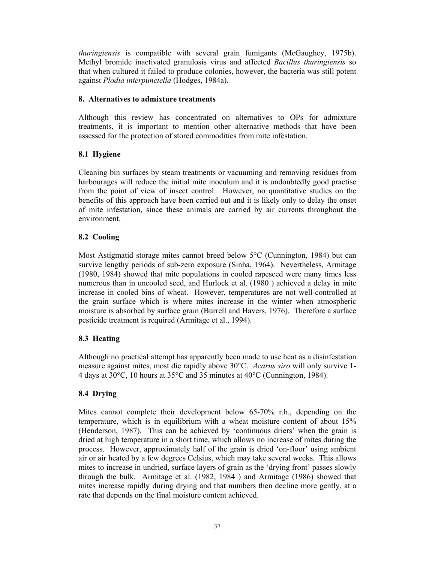*thuringiensis* is compatible with several grain fumigants (McGaughey, 1975b). Methyl bromide inactivated granulosis virus and affected *Bacillus thuringiensis* so that when cultured it failed to produce colonies, however, the bacteria was still potent against *Plodia interpunctella* (Hodges, 1984a).

## **8. Alternatives to admixture treatments**

Although this review has concentrated on alternatives to OPs for admixture treatments, it is important to mention other alternative methods that have been assessed for the protection of stored commodities from mite infestation.

# **8.1 Hygiene**

Cleaning bin surfaces by steam treatments or vacuuming and removing residues from harbourages will reduce the initial mite inoculum and it is undoubtedly good practise from the point of view of insect control. However, no quantitative studies on the benefits of this approach have been carried out and it is likely only to delay the onset of mite infestation, since these animals are carried by air currents throughout the environment.

# **8.2 Cooling**

Most Astigmatid storage mites cannot breed below 5°C (Cunnington, 1984) but can survive lengthy periods of sub-zero exposure (Sinha, 1964). Nevertheless, Armitage (1980, 1984) showed that mite populations in cooled rapeseed were many times less numerous than in uncooled seed, and Hurlock et al. (1980 ) achieved a delay in mite increase in cooled bins of wheat. However, temperatures are not well-controlled at the grain surface which is where mites increase in the winter when atmospheric moisture is absorbed by surface grain (Burrell and Havers, 1976). Therefore a surface pesticide treatment is required (Armitage et al., 1994).

# **8.3 Heating**

Although no practical attempt has apparently been made to use heat as a disinfestation measure against mites, most die rapidly above 30°C. *Acarus siro* will only survive 1- 4 days at 30°C, 10 hours at 35°C and 35 minutes at 40°C (Cunnington, 1984).

# **8.4 Drying**

Mites cannot complete their development below 65-70% r.h., depending on the temperature, which is in equilibrium with a wheat moisture content of about 15% (Henderson, 1987). This can be achieved by 'continuous driers' when the grain is dried at high temperature in a short time, which allows no increase of mites during the process. However, approximately half of the grain is dried 'on-floor' using ambient air or air heated by a few degrees Celsius, which may take several weeks. This allows mites to increase in undried, surface layers of grain as the 'drying front' passes slowly through the bulk. Armitage et al. (1982, 1984 ) and Armitage (1986) showed that mites increase rapidly during drying and that numbers then decline more gently, at a rate that depends on the final moisture content achieved.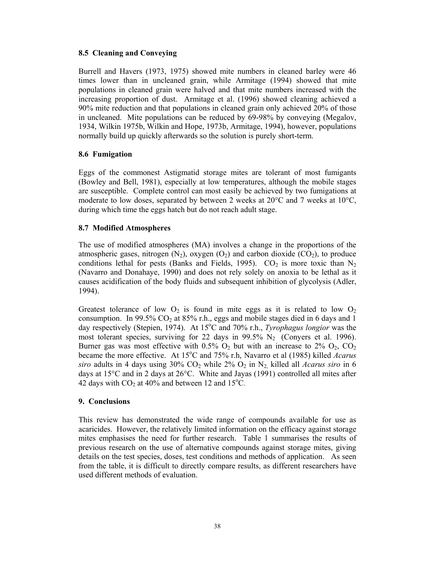### **8.5 Cleaning and Conveying**

Burrell and Havers (1973, 1975) showed mite numbers in cleaned barley were 46 times lower than in uncleaned grain, while Armitage (1994) showed that mite populations in cleaned grain were halved and that mite numbers increased with the increasing proportion of dust. Armitage et al. (1996) showed cleaning achieved a 90% mite reduction and that populations in cleaned grain only achieved 20% of those in uncleaned. Mite populations can be reduced by 69-98% by conveying (Megalov, 1934, Wilkin 1975b, Wilkin and Hope, 1973b, Armitage, 1994), however, populations normally build up quickly afterwards so the solution is purely short-term.

### **8.6 Fumigation**

Eggs of the commonest Astigmatid storage mites are tolerant of most fumigants (Bowley and Bell, 1981), especially at low temperatures, although the mobile stages are susceptible. Complete control can most easily be achieved by two fumigations at moderate to low doses, separated by between 2 weeks at  $20^{\circ}$ C and 7 weeks at  $10^{\circ}$ C, during which time the eggs hatch but do not reach adult stage.

### **8.7 Modified Atmospheres**

The use of modified atmospheres (MA) involves a change in the proportions of the atmospheric gases, nitrogen  $(N_2)$ , oxygen  $(O_2)$  and carbon dioxide  $(CO_2)$ , to produce conditions lethal for pests (Banks and Fields, 1995).  $CO<sub>2</sub>$  is more toxic than N<sub>2</sub> (Navarro and Donahaye, 1990) and does not rely solely on anoxia to be lethal as it causes acidification of the body fluids and subsequent inhibition of glycolysis (Adler, 1994).

Greatest tolerance of low  $O_2$  is found in mite eggs as it is related to low  $O_2$ consumption. In 99.5%  $CO<sub>2</sub>$  at 85% r.h., eggs and mobile stages died in 6 days and 1 day respectively (Stepien, 1974). At 15<sup>o</sup>C and 70% r.h., *Tyrophagus longior* was the most tolerant species, surviving for 22 days in 99.5%  $N_2$  (Convers et al. 1996). Burner gas was most effective with  $0.5\%$  O<sub>2</sub> but with an increase to 2% O<sub>2</sub>, CO<sub>2</sub> became the more effective. At 15<sup>o</sup>C and 75% r.h, Navarro et al (1985) killed *Acarus siro* adults in 4 days using  $30\%$  CO<sub>2</sub> while  $2\%$  O<sub>2</sub> in N<sub>2</sub> killed all *Acarus siro* in 6 days at 15°C and in 2 days at 26°C. White and Jayas (1991) controlled all mites after 42 days with  $CO<sub>2</sub>$  at 40% and between 12 and 15°C.

#### **9. Conclusions**

This review has demonstrated the wide range of compounds available for use as acaricides. However, the relatively limited information on the efficacy against storage mites emphasises the need for further research. Table 1 summarises the results of previous research on the use of alternative compounds against storage mites, giving details on the test species, doses, test conditions and methods of application. As seen from the table, it is difficult to directly compare results, as different researchers have used different methods of evaluation.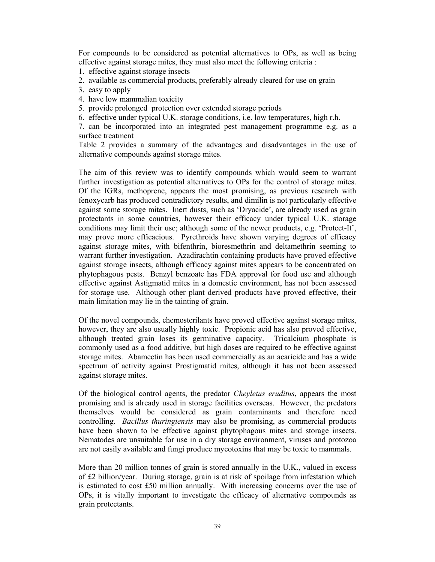For compounds to be considered as potential alternatives to OPs, as well as being effective against storage mites, they must also meet the following criteria :

- 1. effective against storage insects
- 2. available as commercial products, preferably already cleared for use on grain
- 3. easy to apply
- 4. have low mammalian toxicity
- 5. provide prolonged protection over extended storage periods
- 6. effective under typical U.K. storage conditions, i.e. low temperatures, high r.h.

7. can be incorporated into an integrated pest management programme e.g. as a surface treatment

Table 2 provides a summary of the advantages and disadvantages in the use of alternative compounds against storage mites.

The aim of this review was to identify compounds which would seem to warrant further investigation as potential alternatives to OPs for the control of storage mites. Of the IGRs, methoprene, appears the most promising, as previous research with fenoxycarb has produced contradictory results, and dimilin is not particularly effective against some storage mites. Inert dusts, such as 'Dryacide', are already used as grain protectants in some countries, however their efficacy under typical U.K. storage conditions may limit their use; although some of the newer products, e.g. 'Protect-It', may prove more efficacious. Pyrethroids have shown varying degrees of efficacy against storage mites, with bifenthrin, bioresmethrin and deltamethrin seeming to warrant further investigation. Azadirachtin containing products have proved effective against storage insects, although efficacy against mites appears to be concentrated on phytophagous pests. Benzyl benzoate has FDA approval for food use and although effective against Astigmatid mites in a domestic environment, has not been assessed for storage use. Although other plant derived products have proved effective, their main limitation may lie in the tainting of grain.

Of the novel compounds, chemosterilants have proved effective against storage mites, however, they are also usually highly toxic. Propionic acid has also proved effective, although treated grain loses its germinative capacity. Tricalcium phosphate is commonly used as a food additive, but high doses are required to be effective against storage mites. Abamectin has been used commercially as an acaricide and has a wide spectrum of activity against Prostigmatid mites, although it has not been assessed against storage mites.

Of the biological control agents, the predator *Cheyletus eruditus*, appears the most promising and is already used in storage facilities overseas. However, the predators themselves would be considered as grain contaminants and therefore need controlling. *Bacillus thuringiensis* may also be promising, as commercial products have been shown to be effective against phytophagous mites and storage insects. Nematodes are unsuitable for use in a dry storage environment, viruses and protozoa are not easily available and fungi produce mycotoxins that may be toxic to mammals.

More than 20 million tonnes of grain is stored annually in the U.K., valued in excess of £2 billion/year. During storage, grain is at risk of spoilage from infestation which is estimated to cost £50 million annually. With increasing concerns over the use of OPs, it is vitally important to investigate the efficacy of alternative compounds as grain protectants.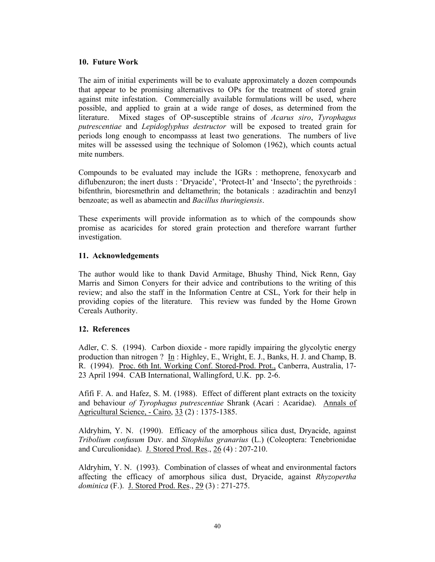#### **10. Future Work**

The aim of initial experiments will be to evaluate approximately a dozen compounds that appear to be promising alternatives to OPs for the treatment of stored grain against mite infestation. Commercially available formulations will be used, where possible, and applied to grain at a wide range of doses, as determined from the literature. Mixed stages of OP-susceptible strains of *Acarus siro*, *Tyrophagus putrescentiae* and *Lepidoglyphus destructor* will be exposed to treated grain for periods long enough to encompasss at least two generations. The numbers of live mites will be assessed using the technique of Solomon (1962), which counts actual mite numbers.

Compounds to be evaluated may include the IGRs : methoprene, fenoxycarb and diflubenzuron; the inert dusts : 'Dryacide', 'Protect-It' and 'Insecto'; the pyrethroids : bifenthrin, bioresmethrin and deltamethrin; the botanicals : azadirachtin and benzyl benzoate; as well as abamectin and *Bacillus thuringiensis*.

These experiments will provide information as to which of the compounds show promise as acaricides for stored grain protection and therefore warrant further investigation.

### **11. Acknowledgements**

The author would like to thank David Armitage, Bhushy Thind, Nick Renn, Gay Marris and Simon Conyers for their advice and contributions to the writing of this review; and also the staff in the Information Centre at CSL, York for their help in providing copies of the literature. This review was funded by the Home Grown Cereals Authority.

# **12. References**

Adler, C. S. (1994). Carbon dioxide - more rapidly impairing the glycolytic energy production than nitrogen ? In : Highley, E., Wright, E. J., Banks, H. J. and Champ, B. R. (1994). Proc. 6th Int. Working Conf. Stored-Prod. Prot., Canberra, Australia, 17- 23 April 1994. CAB International, Wallingford, U.K. pp. 2-6.

Afifi F. A. and Hafez, S. M. (1988). Effect of different plant extracts on the toxicity and behaviour *of Tyrophagus putrescentiae* Shrank (Acari : Acaridae). Annals of Agricultural Science, - Cairo, 33 (2) : 1375-1385.

Aldryhim, Y. N. (1990). Efficacy of the amorphous silica dust, Dryacide, against *Tribolium confusum* Duv. and *Sitophilus granarius* (L.) (Coleoptera: Tenebrionidae and Curculionidae). J. Stored Prod. Res., 26 (4) : 207-210.

Aldryhim, Y. N. (1993). Combination of classes of wheat and environmental factors affecting the efficacy of amorphous silica dust, Dryacide, against *Rhyzopertha dominica* (F.). J. Stored Prod. Res., 29 (3) : 271-275.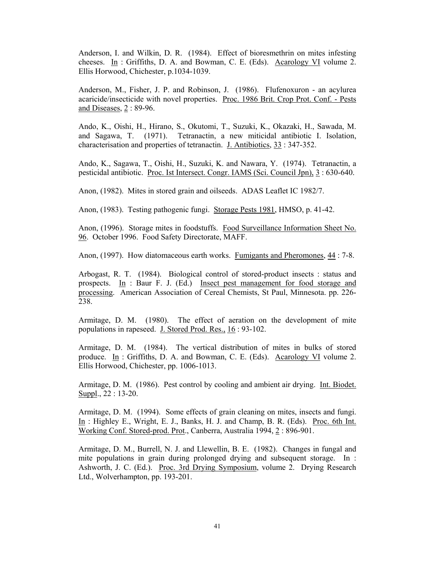Anderson, I. and Wilkin, D. R. (1984). Effect of bioresmethrin on mites infesting cheeses. In : Griffiths, D. A. and Bowman, C. E. (Eds). Acarology VI volume 2. Ellis Horwood, Chichester, p.1034-1039.

Anderson, M., Fisher, J. P. and Robinson, J. (1986). Flufenoxuron - an acylurea acaricide/insecticide with novel properties. Proc. 1986 Brit. Crop Prot. Conf. - Pests and Diseases, 2 : 89-96.

Ando, K., Oishi, H., Hirano, S., Okutomi, T., Suzuki, K., Okazaki, H., Sawada, M. and Sagawa, T. (1971). Tetranactin, a new miticidal antibiotic I. Isolation, characterisation and properties of tetranactin. J. Antibiotics, 33 : 347-352.

Ando, K., Sagawa, T., Oishi, H., Suzuki, K. and Nawara, Y. (1974). Tetranactin, a pesticidal antibiotic. Proc. Ist Intersect. Congr. IAMS (Sci. Council Jpn), 3 : 630-640.

Anon, (1982). Mites in stored grain and oilseeds. ADAS Leaflet IC 1982/7.

Anon, (1983). Testing pathogenic fungi. Storage Pests 1981, HMSO, p. 41-42.

Anon, (1996). Storage mites in foodstuffs. Food Surveillance Information Sheet No. 96. October 1996. Food Safety Directorate, MAFF.

Anon, (1997). How diatomaceous earth works. Fumigants and Pheromones, 44 : 7-8.

Arbogast, R. T. (1984). Biological control of stored-product insects : status and prospects. In : Baur F. J. (Ed.) Insect pest management for food storage and processing. American Association of Cereal Chemists, St Paul, Minnesota. pp. 226- 238.

Armitage, D. M. (1980). The effect of aeration on the development of mite populations in rapeseed. J. Stored Prod. Res., 16 : 93-102.

Armitage, D. M. (1984). The vertical distribution of mites in bulks of stored produce. In : Griffiths, D. A. and Bowman, C. E. (Eds). Acarology VI volume 2. Ellis Horwood, Chichester, pp. 1006-1013.

Armitage, D. M. (1986). Pest control by cooling and ambient air drying. Int. Biodet. Suppl., 22 : 13-20.

Armitage, D. M. (1994). Some effects of grain cleaning on mites, insects and fungi. In : Highley E., Wright, E. J., Banks, H. J. and Champ, B. R. (Eds). Proc. 6th Int. Working Conf. Stored-prod. Prot., Canberra, Australia 1994, 2 : 896-901.

Armitage, D. M., Burrell, N. J. and Llewellin, B. E. (1982). Changes in fungal and mite populations in grain during prolonged drying and subsequent storage. In : Ashworth, J. C. (Ed.). Proc. 3rd Drying Symposium, volume 2. Drying Research Ltd., Wolverhampton, pp. 193-201.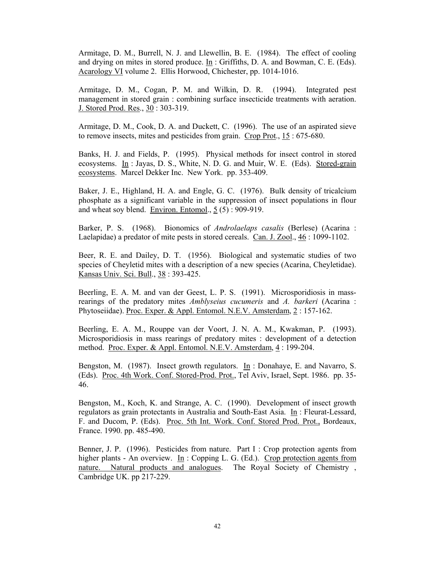Armitage, D. M., Burrell, N. J. and Llewellin, B. E. (1984). The effect of cooling and drying on mites in stored produce. In : Griffiths, D. A. and Bowman, C. E. (Eds). Acarology VI volume 2. Ellis Horwood, Chichester, pp. 1014-1016.

Armitage, D. M., Cogan, P. M. and Wilkin, D. R. (1994). Integrated pest management in stored grain : combining surface insecticide treatments with aeration. J. Stored Prod. Res., 30 : 303-319.

Armitage, D. M., Cook, D. A. and Duckett, C. (1996). The use of an aspirated sieve to remove insects, mites and pesticides from grain. Crop Prot., 15 : 675-680.

Banks, H. J. and Fields, P. (1995). Physical methods for insect control in stored ecosystems. In : Jayas, D. S., White, N. D. G. and Muir, W. E. (Eds). Stored-grain ecosystems. Marcel Dekker Inc. New York. pp. 353-409.

Baker, J. E., Highland, H. A. and Engle, G. C. (1976). Bulk density of tricalcium phosphate as a significant variable in the suppression of insect populations in flour and wheat soy blend. Environ. Entomol., 5 (5) : 909-919.

Barker, P. S. (1968). Bionomics of *Androlaelaps casalis* (Berlese) (Acarina : Laelapidae) a predator of mite pests in stored cereals. Can. J. Zool., 46 : 1099-1102.

Beer, R. E. and Dailey, D. T. (1956). Biological and systematic studies of two species of Cheyletid mites with a description of a new species (Acarina, Cheyletidae). Kansas Univ. Sci. Bull., 38 : 393-425.

Beerling, E. A. M. and van der Geest, L. P. S. (1991). Microsporidiosis in massrearings of the predatory mites *Amblyseius cucumeris* and *A. barkeri* (Acarina : Phytoseiidae). Proc. Exper. & Appl. Entomol. N.E.V. Amsterdam, 2:157-162.

Beerling, E. A. M., Rouppe van der Voort, J. N. A. M., Kwakman, P. (1993). Microsporidiosis in mass rearings of predatory mites : development of a detection method. Proc. Exper. & Appl. Entomol. N.E.V. Amsterdam, 4 : 199-204.

Bengston, M. (1987). Insect growth regulators.  $\underline{\text{In}}$  : Donahaye, E. and Navarro, S. (Eds). Proc. 4th Work. Conf. Stored-Prod. Prot., Tel Aviv, Israel, Sept. 1986. pp. 35- 46.

Bengston, M., Koch, K. and Strange, A. C. (1990). Development of insect growth regulators as grain protectants in Australia and South-East Asia. In : Fleurat-Lessard, F. and Ducom, P. (Eds). Proc. 5th Int. Work. Conf. Stored Prod. Prot., Bordeaux, France. 1990. pp. 485-490.

Benner, J. P. (1996). Pesticides from nature. Part I : Crop protection agents from higher plants - An overview. In : Copping L. G. (Ed.). Crop protection agents from nature. Natural products and analogues. The Royal Society of Chemistry, Cambridge UK. pp 217-229.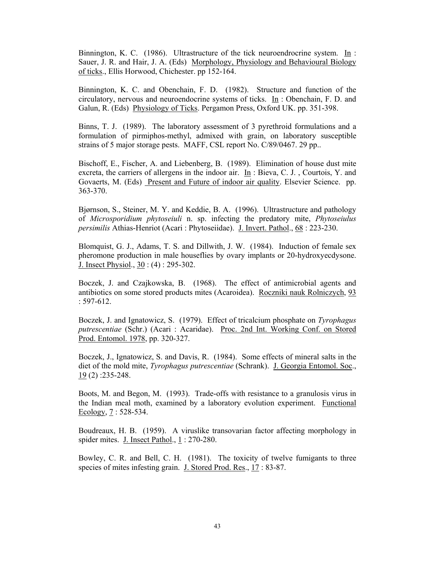Binnington, K. C. (1986). Ultrastructure of the tick neuroendrocrine system. In : Sauer, J. R. and Hair, J. A. (Eds) Morphology, Physiology and Behavioural Biology of ticks., Ellis Horwood, Chichester. pp 152-164.

Binnington, K. C. and Obenchain, F. D. (1982). Structure and function of the circulatory, nervous and neuroendocrine systems of ticks. In : Obenchain, F. D. and Galun, R. (Eds) Physiology of Ticks. Pergamon Press, Oxford UK. pp. 351-398.

Binns, T. J. (1989). The laboratory assessment of 3 pyrethroid formulations and a formulation of pirmiphos-methyl, admixed with grain, on laboratory susceptible strains of 5 major storage pests. MAFF, CSL report No. C/89/0467. 29 pp..

Bischoff, E., Fischer, A. and Liebenberg, B. (1989). Elimination of house dust mite excreta, the carriers of allergens in the indoor air. In : Bieva, C. J. , Courtois, Y. and Govaerts, M. (Eds) Present and Future of indoor air quality. Elsevier Science. pp. 363-370.

Bjørnson, S., Steiner, M. Y. and Keddie, B. A. (1996). Ultrastructure and pathology of *Microsporidium phytoseiuli* n. sp. infecting the predatory mite, *Phytoseiulus persimilis* Athias-Henriot (Acari : Phytoseiidae). J. Invert. Pathol., 68 : 223-230.

Blomquist, G. J., Adams, T. S. and Dillwith, J. W. (1984). Induction of female sex pheromone production in male houseflies by ovary implants or 20-hydroxyecdysone. J. Insect Physiol., 30 : (4) : 295-302.

Boczek, J. and Czajkowska, B. (1968). The effect of antimicrobial agents and antibiotics on some stored products mites (Acaroidea). Roczniki nauk Rolniczych, 93 : 597-612.

Boczek, J. and Ignatowicz, S. (1979). Effect of tricalcium phosphate on *Tyrophagus putrescentiae* (Schr.) (Acari : Acaridae). Proc. 2nd Int. Working Conf. on Stored Prod. Entomol. 1978, pp. 320-327.

Boczek, J., Ignatowicz, S. and Davis, R. (1984). Some effects of mineral salts in the diet of the mold mite, *Tyrophagus putrescentiae* (Schrank). J. Georgia Entomol. Soc.,  $19(2)$ : 235-248.

Boots, M. and Begon, M. (1993). Trade-offs with resistance to a granulosis virus in the Indian meal moth, examined by a laboratory evolution experiment. Functional Ecology, 7 : 528-534.

Boudreaux, H. B. (1959). A viruslike transovarian factor affecting morphology in spider mites. J. Insect Pathol., 1 : 270-280.

Bowley, C. R. and Bell, C. H. (1981). The toxicity of twelve fumigants to three species of mites infesting grain. J. Stored Prod. Res., 17 : 83-87.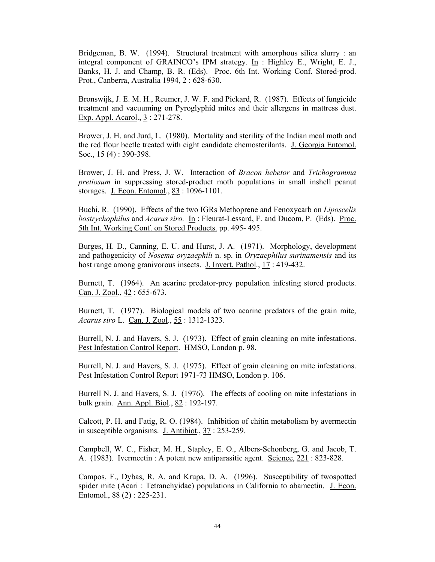Bridgeman, B. W. (1994). Structural treatment with amorphous silica slurry : an integral component of GRAINCO's IPM strategy.  $\underline{\text{In}}$  : Highley E., Wright, E. J., Banks, H. J. and Champ, B. R. (Eds). Proc. 6th Int. Working Conf. Stored-prod. Prot., Canberra, Australia 1994, 2: 628-630.

Bronswijk, J. E. M. H., Reumer, J. W. F. and Pickard, R. (1987). Effects of fungicide treatment and vacuuming on Pyroglyphid mites and their allergens in mattress dust. Exp. Appl. Acarol., 3 : 271-278.

Brower, J. H. and Jurd, L. (1980). Mortality and sterility of the Indian meal moth and the red flour beetle treated with eight candidate chemosterilants. J. Georgia Entomol. Soc., 15 (4) : 390-398.

Brower, J. H. and Press, J. W. Interaction of *Bracon hebetor* and *Trichogramma pretiosum* in suppressing stored-product moth populations in small inshell peanut storages. J. Econ. Entomol., 83: 1096-1101.

Buchi, R. (1990). Effects of the two IGRs Methoprene and Fenoxycarb on *Liposcelis bostrychophilus* and *Acarus siro.* In : Fleurat-Lessard, F. and Ducom, P. (Eds). Proc. 5th Int. Working Conf. on Stored Products. pp. 495- 495.

Burges, H. D., Canning, E. U. and Hurst, J. A. (1971). Morphology, development and pathogenicity of *Nosema oryzaephili* n. sp. in *Oryzaephilus surinamensis* and its host range among granivorous insects. J. Invert. Pathol., 17 : 419-432.

Burnett, T. (1964). An acarine predator-prey population infesting stored products. Can. J. Zool., 42 : 655-673.

Burnett, T. (1977). Biological models of two acarine predators of the grain mite, *Acarus siro* L. Can. J. Zool., 55 : 1312-1323.

Burrell, N. J. and Havers, S. J. (1973). Effect of grain cleaning on mite infestations. Pest Infestation Control Report. HMSO, London p. 98.

Burrell, N. J. and Havers, S. J. (1975). Effect of grain cleaning on mite infestations. Pest Infestation Control Report 1971-73 HMSO, London p. 106.

Burrell N. J. and Havers, S. J. (1976). The effects of cooling on mite infestations in bulk grain. Ann. Appl. Biol., 82 : 192-197.

Calcott, P. H. and Fatig, R. O. (1984). Inhibition of chitin metabolism by avermectin in susceptible organisms. J. Antibiot., 37 : 253-259.

Campbell, W. C., Fisher, M. H., Stapley, E. O., Albers-Schonberg, G. and Jacob, T. A. (1983). Ivermectin : A potent new antiparasitic agent. Science, 221 : 823-828.

Campos, F., Dybas, R. A. and Krupa, D. A. (1996). Susceptibility of twospotted spider mite (Acari : Tetranchyidae) populations in California to abamectin. J. Econ. Entomol., 88 (2) : 225-231.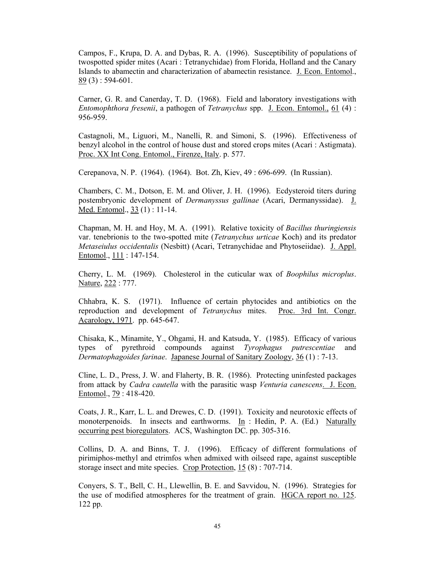Campos, F., Krupa, D. A. and Dybas, R. A. (1996). Susceptibility of populations of twospotted spider mites (Acari : Tetranychidae) from Florida, Holland and the Canary Islands to abamectin and characterization of abamectin resistance. J. Econ. Entomol.,  $89(3)$ : 594-601.

Carner, G. R. and Canerday, T. D. (1968). Field and laboratory investigations with *Entomophthora fresenii*, a pathogen of *Tetranychus* spp. J. Econ. Entomol., 61 (4) : 956-959.

Castagnoli, M., Liguori, M., Nanelli, R. and Simoni, S. (1996). Effectiveness of benzyl alcohol in the control of house dust and stored crops mites (Acari : Astigmata). Proc. XX Int Cong. Entomol., Firenze, Italy. p. 577.

Cerepanova, N. P. (1964). (1964). Bot. Zh, Kiev, 49 : 696-699. (In Russian).

Chambers, C. M., Dotson, E. M. and Oliver, J. H. (1996). Ecdysteroid titers during postembryonic development of *Dermanyssus gallinae* (Acari, Dermanyssidae). J. Med. Entomol., 33 (1) : 11-14.

Chapman, M. H. and Hoy, M. A. (1991). Relative toxicity of *Bacillus thuringiensis* var. tenebrionis to the two-spotted mite (*Tetranychus urticae* Koch) and its predator *Metaseiulus occidentalis* (Nesbitt) (Acari, Tetranychidae and Phytoseiidae). J. Appl. Entomol., 111 : 147-154.

Cherry, L. M. (1969). Cholesterol in the cuticular wax of *Boophilus microplus*. Nature, 222 : 777.

Chhabra, K. S. (1971). Influence of certain phytocides and antibiotics on the reproduction and development of *Tetranychus* mites. Proc. 3rd Int. Congr. Acarology, 1971. pp. 645-647.

Chisaka, K., Minamite, Y., Ohgami, H. and Katsuda, Y. (1985). Efficacy of various types of pyrethroid compounds against *Tyrophagus putrescentiae* and *Dermatophagoides farinae*. Japanese Journal of Sanitary Zoology, 36 (1) : 7-13.

Cline, L. D., Press, J. W. and Flaherty, B. R. (1986). Protecting uninfested packages from attack by *Cadra cautella* with the parasitic wasp *Venturia canescens*. J. Econ. Entomol., 79 : 418-420.

Coats, J. R., Karr, L. L. and Drewes, C. D. (1991). Toxicity and neurotoxic effects of monoterpenoids. In insects and earthworms. In : Hedin, P. A. (Ed.) Naturally occurring pest bioregulators. ACS, Washington DC. pp. 305-316.

Collins, D. A. and Binns, T. J. (1996). Efficacy of different formulations of pirimiphos-methyl and etrimfos when admixed with oilseed rape, against susceptible storage insect and mite species. Crop Protection, 15 (8) : 707-714.

Conyers, S. T., Bell, C. H., Llewellin, B. E. and Savvidou, N. (1996). Strategies for the use of modified atmospheres for the treatment of grain. HGCA report no. 125. 122 pp.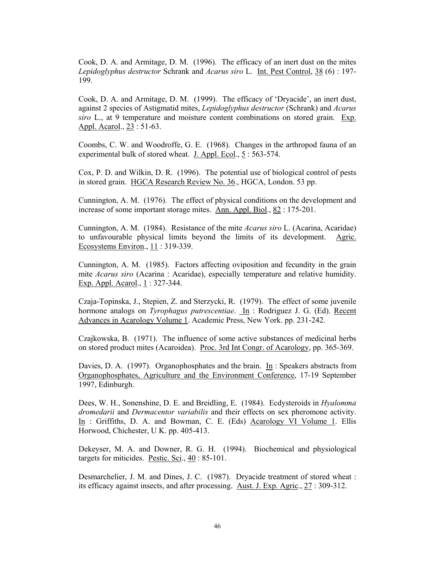Cook, D. A. and Armitage, D. M. (1996). The efficacy of an inert dust on the mites *Lepidoglyphus destructor* Schrank and *Acarus siro* L. Int. Pest Control, 38 (6) : 197- 199.

Cook, D. A. and Armitage, D. M. (1999). The efficacy of 'Dryacide', an inert dust, against 2 species of Astigmatid mites, *Lepidoglyphus destructor* (Schrank) and *Acarus siro* L., at 9 temperature and moisture content combinations on stored grain. Exp. Appl. Acarol., 23 : 51-63.

Coombs, C. W. and Woodroffe, G. E. (1968). Changes in the arthropod fauna of an experimental bulk of stored wheat. J. Appl. Ecol., 5 : 563-574.

Cox, P. D. and Wilkin, D. R. (1996). The potential use of biological control of pests in stored grain. HGCA Research Review No. 36., HGCA, London. 53 pp.

Cunnington, A. M. (1976). The effect of physical conditions on the development and increase of some important storage mites. Ann. Appl. Biol., 82 : 175-201.

Cunnington, A. M. (1984). Resistance of the mite *Acarus siro* L. (Acarina, Acaridae) to unfavourable physical limits beyond the limits of its development. Agric. Ecosystems Environ., 11 : 319-339.

Cunnington, A. M. (1985). Factors affecting oviposition and fecundity in the grain mite *Acarus siro* (Acarina : Acaridae), especially temperature and relative humidity. Exp. Appl. Acarol., 1: 327-344.

Czaja-Topinska, J., Stepien, Z. and Sterzycki, R. (1979). The effect of some juvenile hormone analogs on *Tyrophagus putrescentiae*. In : Rodriguez J. G. (Ed). Recent Advances in Acarology Volume 1. Academic Press, New York. pp. 231-242.

Czajkowska, B. (1971). The influence of some active substances of medicinal herbs on stored product mites (Acaroidea). Proc. 3rd Int Congr. of Acarology, pp. 365-369.

Davies, D. A. (1997). Organophosphates and the brain. In: Speakers abstracts from Organophosphates, Agriculture and the Environment Conference, 17-19 September 1997, Edinburgh.

Dees, W. H., Sonenshine, D. E. and Breidling, E. (1984). Ecdysteroids in *Hyalomma dromedarii* and *Dermacentor variabilis* and their effects on sex pheromone activity. In : Griffiths, D. A. and Bowman, C. E. (Eds) Acarology VI Volume 1. Ellis Horwood, Chichester, U K. pp. 405-413.

Dekeyser, M. A. and Downer, R. G. H. (1994). Biochemical and physiological targets for miticides. Pestic. Sci., 40 : 85-101.

Desmarchelier, J. M. and Dines, J. C. (1987). Dryacide treatment of stored wheat : its efficacy against insects, and after processing. Aust. J. Exp. Agric., 27 : 309-312.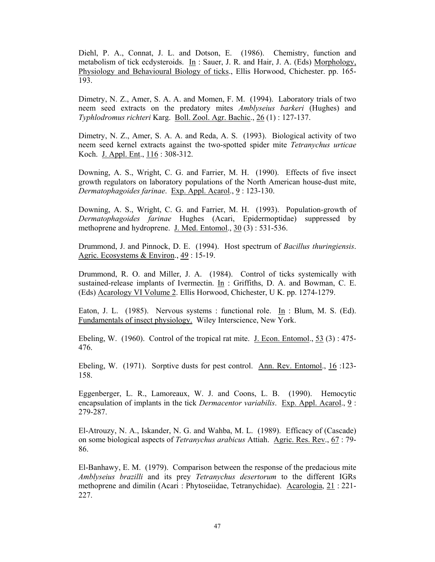Diehl, P. A., Connat, J. L. and Dotson, E. (1986). Chemistry, function and metabolism of tick ecdysteroids. In : Sauer, J. R. and Hair, J. A. (Eds) Morphology, Physiology and Behavioural Biology of ticks., Ellis Horwood, Chichester. pp. 165- 193.

Dimetry, N. Z., Amer, S. A. A. and Momen, F. M. (1994). Laboratory trials of two neem seed extracts on the predatory mites *Amblyseius barkeri* (Hughes) and *Typhlodromus richteri* Karg. Boll. Zool. Agr. Bachic., 26 (1) : 127-137.

Dimetry, N. Z., Amer, S. A. A. and Reda, A. S. (1993). Biological activity of two neem seed kernel extracts against the two-spotted spider mite *Tetranychus urticae* Koch. J. Appl. Ent., 116 : 308-312.

Downing, A. S., Wright, C. G. and Farrier, M. H. (1990). Effects of five insect growth regulators on laboratory populations of the North American house-dust mite, *Dermatophagoides farinae*. Exp. Appl. Acarol., 9 : 123-130.

Downing, A. S., Wright, C. G. and Farrier, M. H. (1993). Population-growth of *Dermatophagoides farinae* Hughes (Acari, Epidermoptidae) suppressed by methoprene and hydroprene. J. Med. Entomol., 30 (3) : 531-536.

Drummond, J. and Pinnock, D. E. (1994). Host spectrum of *Bacillus thuringiensis*. Agric. Ecosystems & Environ., 49 : 15-19.

Drummond, R. O. and Miller, J. A. (1984). Control of ticks systemically with sustained-release implants of Ivermectin. In : Griffiths, D. A. and Bowman, C. E. (Eds) Acarology VI Volume 2. Ellis Horwood, Chichester, U K. pp. 1274-1279.

Eaton, J. L. (1985). Nervous systems : functional role. In : Blum, M. S. (Ed). Fundamentals of insect physiology. Wiley Interscience, New York.

Ebeling, W. (1960). Control of the tropical rat mite. J. Econ. Entomol., 53 (3) : 475- 476.

Ebeling, W. (1971). Sorptive dusts for pest control. Ann. Rev. Entomol., 16 :123- 158.

Eggenberger, L. R., Lamoreaux, W. J. and Coons, L. B. (1990). Hemocytic encapsulation of implants in the tick *Dermacentor variabilis*. Exp. Appl. Acarol., 9 : 279-287.

El-Atrouzy, N. A., Iskander, N. G. and Wahba, M. L. (1989). Efficacy of (Cascade) on some biological aspects of *Tetranychus arabicus* Attiah. Agric. Res. Rev., 67 : 79- 86.

El-Banhawy, E. M. (1979). Comparison between the response of the predacious mite *Amblyseius brazilli* and its prey *Tetranychus desertorum* to the different IGRs methoprene and dimilin (Acari : Phytoseiidae, Tetranychidae). Acarologia, 21 : 221- 227.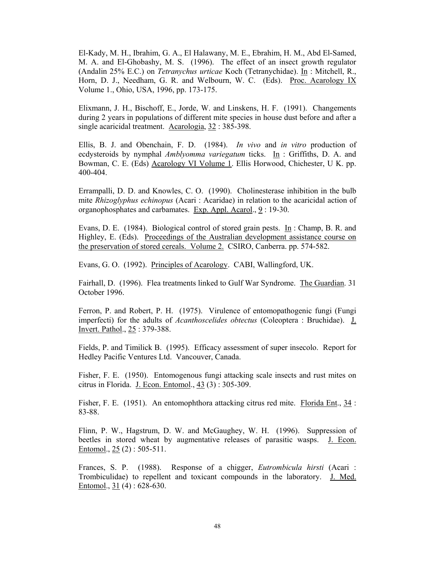El-Kady, M. H., Ibrahim, G. A., El Halawany, M. E., Ebrahim, H. M., Abd El-Samed, M. A. and El-Ghobashy, M. S. (1996). The effect of an insect growth regulator (Andalin 25% E.C.) on *Tetranychus urticae* Koch (Tetranychidae). In : Mitchell, R., Horn, D. J., Needham, G. R. and Welbourn, W. C. (Eds). Proc. Acarology IX Volume 1., Ohio, USA, 1996, pp. 173-175.

Elixmann, J. H., Bischoff, E., Jorde, W. and Linskens, H. F. (1991). Changements during 2 years in populations of different mite species in house dust before and after a single acaricidal treatment. Acarologia, 32 : 385-398.

Ellis, B. J. and Obenchain, F. D. (1984). *In vivo* and *in vitro* production of ecdysteroids by nymphal *Amblyomma variegatum* ticks. In : Griffiths, D. A. and Bowman, C. E. (Eds) Acarology VI Volume 1. Ellis Horwood, Chichester, U K. pp. 400-404.

Errampalli, D. D. and Knowles, C. O. (1990). Cholinesterase inhibition in the bulb mite *Rhizoglyphus echinopus* (Acari : Acaridae) in relation to the acaricidal action of organophosphates and carbamates. Exp. Appl. Acarol., 9 : 19-30.

Evans, D. E. (1984). Biological control of stored grain pests. In : Champ, B. R. and Highley, E. (Eds). Proceedings of the Australian development assistance course on the preservation of stored cereals. Volume 2. CSIRO, Canberra. pp. 574-582.

Evans, G. O. (1992). Principles of Acarology. CABI, Wallingford, UK.

Fairhall, D. (1996). Flea treatments linked to Gulf War Syndrome. The Guardian. 31 October 1996.

Ferron, P. and Robert, P. H. (1975). Virulence of entomopathogenic fungi (Fungi imperfecti) for the adults of *Acanthoscelides obtectus* (Coleoptera : Bruchidae). J. Invert. Pathol., 25 : 379-388.

Fields, P. and Timilick B. (1995). Efficacy assessment of super insecolo. Report for Hedley Pacific Ventures Ltd. Vancouver, Canada.

Fisher, F. E. (1950). Entomogenous fungi attacking scale insects and rust mites on citrus in Florida. J. Econ. Entomol., 43 (3) : 305-309.

Fisher, F. E. (1951). An entomophthora attacking citrus red mite. Florida Ent., 34 : 83-88.

Flinn, P. W., Hagstrum, D. W. and McGaughey, W. H. (1996). Suppression of beetles in stored wheat by augmentative releases of parasitic wasps. J. Econ. Entomol., 25 (2) : 505-511.

Frances, S. P. (1988). Response of a chigger, *Eutrombicula hirsti* (Acari : Trombiculidae) to repellent and toxicant compounds in the laboratory. J. Med. Entomol., 31 (4) : 628-630.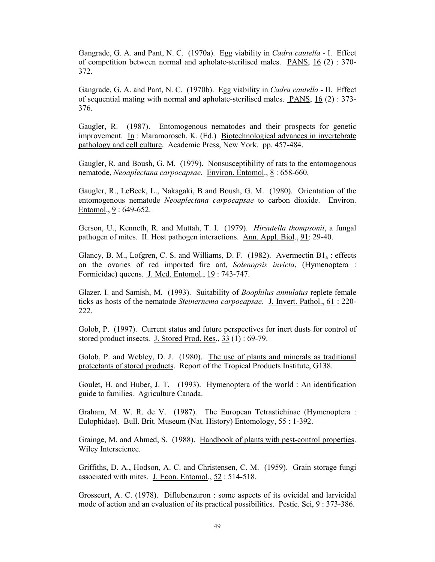Gangrade, G. A. and Pant, N. C. (1970a). Egg viability in *Cadra cautella* - I. Effect of competition between normal and apholate-sterilised males. PANS,  $16$  (2) : 370-372.

Gangrade, G. A. and Pant, N. C. (1970b). Egg viability in *Cadra cautella* - II. Effect of sequential mating with normal and apholate-sterilised males. PANS, 16 (2) : 373- 376.

Gaugler, R. (1987). Entomogenous nematodes and their prospects for genetic improvement. In : Maramorosch, K. (Ed.) Biotechnological advances in invertebrate pathology and cell culture. Academic Press, New York. pp. 457-484.

Gaugler, R. and Boush, G. M. (1979). Nonsusceptibility of rats to the entomogenous nematode, *Neoaplectana carpocapsae*. Environ. Entomol., 8 : 658-660.

Gaugler, R., LeBeck, L., Nakagaki, B and Boush, G. M. (1980). Orientation of the entomogenous nematode *Neoaplectana carpocapsae* to carbon dioxide. Environ. Entomol., 9 : 649-652.

Gerson, U., Kenneth, R. and Muttah, T. I. (1979). *Hirsutella thompsonii*, a fungal pathogen of mites. II. Host pathogen interactions. Ann. Appl. Biol., 91: 29-40.

Glancy, B. M., Lofgren, C. S. and Williams, D. F.  $(1982)$ . Avermectin  $B1<sub>a</sub>$ : effects on the ovaries of red imported fire ant, *Solenopsis invicta*, (Hymenoptera : Formicidae) queens. J. Med. Entomol., 19 : 743-747.

Glazer, I. and Samish, M. (1993). Suitability of *Boophilus annulatus* replete female ticks as hosts of the nematode *Steinernema carpocapsae*. J. Invert. Pathol., 61 : 220- 222.

Golob, P. (1997). Current status and future perspectives for inert dusts for control of stored product insects. J. Stored Prod. Res., 33 (1) : 69-79.

Golob, P. and Webley, D. J. (1980). The use of plants and minerals as traditional protectants of stored products. Report of the Tropical Products Institute, G138.

Goulet, H. and Huber, J. T. (1993). Hymenoptera of the world : An identification guide to families. Agriculture Canada.

Graham, M. W. R. de V. (1987). The European Tetrastichinae (Hymenoptera : Eulophidae). Bull. Brit. Museum (Nat. History) Entomology, 55 : 1-392.

Grainge, M. and Ahmed, S. (1988). Handbook of plants with pest-control properties. Wiley Interscience.

Griffiths, D. A., Hodson, A. C. and Christensen, C. M. (1959). Grain storage fungi associated with mites. J. Econ. Entomol., 52 : 514-518.

Grosscurt, A. C. (1978). Diflubenzuron : some aspects of its ovicidal and larvicidal mode of action and an evaluation of its practical possibilities. Pestic. Sci, 9 : 373-386.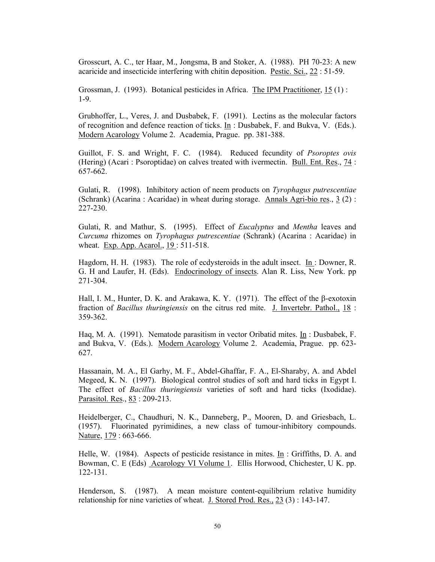Grosscurt, A. C., ter Haar, M., Jongsma, B and Stoker, A. (1988). PH 70-23: A new acaricide and insecticide interfering with chitin deposition. Pestic. Sci., 22 : 51-59.

Grossman, J. (1993). Botanical pesticides in Africa. The IPM Practitioner, 15 (1) : 1-9.

Grubhoffer, L., Veres, J. and Dusbabek, F. (1991). Lectins as the molecular factors of recognition and defence reaction of ticks. In : Dusbabek, F. and Bukva, V. (Eds.). Modern Acarology Volume 2. Academia, Prague. pp. 381-388.

Guillot, F. S. and Wright, F. C. (1984). Reduced fecundity of *Psoroptes ovis* (Hering) (Acari : Psoroptidae) on calves treated with ivermectin. Bull. Ent. Res., 74 : 657-662.

Gulati, R. (1998). Inhibitory action of neem products on *Tyrophagus putrescentiae* (Schrank) (Acarina : Acaridae) in wheat during storage. Annals Agri-bio res.,  $3(2)$ : 227-230.

Gulati, R. and Mathur, S. (1995). Effect of *Eucalyptus* and *Mentha* leaves and *Curcuma* rhizomes on *Tyrophagus putrescentiae* (Schrank) (Acarina : Acaridae) in wheat. Exp. App. Acarol., 19 : 511-518.

Hagdorn, H. H. (1983). The role of ecdysteroids in the adult insect. In : Downer, R. G. H and Laufer, H. (Eds). Endocrinology of insects. Alan R. Liss, New York. pp 271-304.

Hall, I. M., Hunter, D. K. and Arakawa, K. Y. (1971). The effect of the β-exotoxin fraction of *Bacillus thuringiensis* on the citrus red mite. J. Invertebr. Pathol., 18 : 359-362.

Haq, M. A. (1991). Nematode parasitism in vector Oribatid mites. In : Dusbabek, F. and Bukva, V. (Eds.). Modern Acarology Volume 2. Academia, Prague. pp. 623- 627.

Hassanain, M. A., El Garhy, M. F., Abdel-Ghaffar, F. A., El-Sharaby, A. and Abdel Megeed, K. N. (1997). Biological control studies of soft and hard ticks in Egypt I. The effect of *Bacillus thuringiensis* varieties of soft and hard ticks (Ixodidae). Parasitol. Res., 83 : 209-213.

Heidelberger, C., Chaudhuri, N. K., Danneberg, P., Mooren, D. and Griesbach, L. (1957). Fluorinated pyrimidines, a new class of tumour-inhibitory compounds. Nature, 179 : 663-666.

Helle, W. (1984). Aspects of pesticide resistance in mites. In : Griffiths, D. A. and Bowman, C. E (Eds) Acarology VI Volume 1. Ellis Horwood, Chichester, U K. pp. 122-131.

Henderson, S. (1987). A mean moisture content-equilibrium relative humidity relationship for nine varieties of wheat. J. Stored Prod. Res., 23 (3) : 143-147.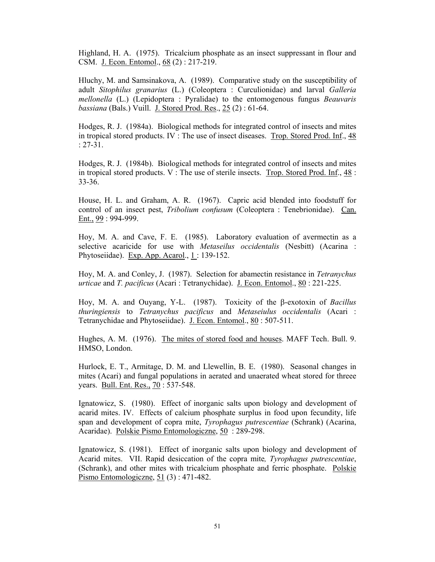Highland, H. A. (1975). Tricalcium phosphate as an insect suppressant in flour and CSM. J. Econ. Entomol., 68 (2) : 217-219.

Hluchy, M. and Samsinakova, A. (1989). Comparative study on the susceptibility of adult *Sitophilus granarius* (L.) (Coleoptera : Curculionidae) and larval *Galleria mellonella* (L.) (Lepidoptera : Pyralidae) to the entomogenous fungus *Beauvaris bassiana* (Bals.) Vuill. J. Stored Prod. Res., 25 (2) : 61-64.

Hodges, R. J. (1984a). Biological methods for integrated control of insects and mites in tropical stored products. IV : The use of insect diseases. Trop. Stored Prod. Inf., 48 : 27-31.

Hodges, R. J. (1984b). Biological methods for integrated control of insects and mites in tropical stored products. V : The use of sterile insects. Trop. Stored Prod. Inf., 48 : 33-36.

House, H. L. and Graham, A. R. (1967). Capric acid blended into foodstuff for control of an insect pest, *Tribolium confusum* (Coleoptera : Tenebrionidae). Can. Ent., 99 : 994-999.

Hoy, M. A. and Cave, F. E. (1985). Laboratory evaluation of avermectin as a selective acaricide for use with *Metaseilus occidentalis* (Nesbitt) (Acarina : Phytoseiidae). Exp. App. Acarol., 1 : 139-152.

Hoy, M. A. and Conley, J. (1987). Selection for abamectin resistance in *Tetranychus urticae* and *T. pacificus* (Acari : Tetranychidae). J. Econ. Entomol., 80 : 221-225.

Hoy, M. A. and Ouyang, Y-L. (1987). Toxicity of the β-exotoxin of *Bacillus thuringiensis* to *Tetranychus pacificus* and *Metaseiulus occidentalis* (Acari : Tetranychidae and Phytoseiidae). J. Econ. Entomol., 80 : 507-511.

Hughes, A. M. (1976). The mites of stored food and houses. MAFF Tech. Bull. 9. HMSO, London.

Hurlock, E. T., Armitage, D. M. and Llewellin, B. E. (1980). Seasonal changes in mites (Acari) and fungal populations in aerated and unaerated wheat stored for threee years. Bull. Ent. Res., 70 : 537-548.

Ignatowicz, S. (1980). Effect of inorganic salts upon biology and development of acarid mites. IV. Effects of calcium phosphate surplus in food upon fecundity, life span and development of copra mite, *Tyrophagus putrescentiae* (Schrank) (Acarina, Acaridae). Polskie Pismo Entomologiczne, 50 : 289-298.

Ignatowicz, S. (1981). Effect of inorganic salts upon biology and development of Acarid mites. VII. Rapid desiccation of the copra mite*, Tyrophagus putrescentiae*, (Schrank), and other mites with tricalcium phosphate and ferric phosphate. Polskie Pismo Entomologiczne, 51 (3) : 471-482.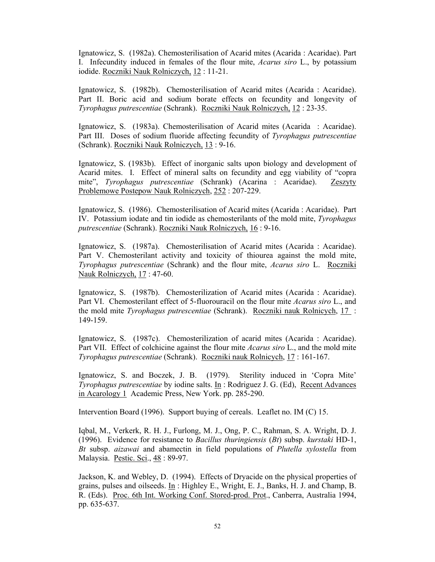Ignatowicz, S. (1982a). Chemosterilisation of Acarid mites (Acarida : Acaridae). Part I. Infecundity induced in females of the flour mite, *Acarus siro* L., by potassium iodide. Roczniki Nauk Rolniczych, 12 : 11-21.

Ignatowicz, S. (1982b). Chemosterilisation of Acarid mites (Acarida : Acaridae). Part II. Boric acid and sodium borate effects on fecundity and longevity of *Tyrophagus putrescentiae* (Schrank). Roczniki Nauk Rolniczych, 12 : 23-35.

Ignatowicz, S. (1983a). Chemosterilisation of Acarid mites (Acarida : Acaridae). Part III. Doses of sodium fluoride affecting fecundity of *Tyrophagus putrescentiae* (Schrank). Roczniki Nauk Rolniczych, 13 : 9-16.

Ignatowicz, S. (1983b). Effect of inorganic salts upon biology and development of Acarid mites. I. Effect of mineral salts on fecundity and egg viability of "copra mite", *Tyrophagus putrescentiae* (Schrank) (Acarina : Acaridae). Zeszyty Problemowe Postepow Nauk Rolniczych, 252 : 207-229.

Ignatowicz, S. (1986). Chemosterilisation of Acarid mites (Acarida : Acaridae). Part IV. Potassium iodate and tin iodide as chemosterilants of the mold mite, *Tyrophagus putrescentiae* (Schrank). Roczniki Nauk Rolniczych, 16 : 9-16.

Ignatowicz, S. (1987a). Chemosterilisation of Acarid mites (Acarida : Acaridae). Part V. Chemosterilant activity and toxicity of thiourea against the mold mite, *Tyrophagus putrescentiae* (Schrank) and the flour mite, *Acarus siro* L. Roczniki Nauk Rolniczych, 17 : 47-60.

Ignatowicz, S. (1987b). Chemosterilization of Acarid mites (Acarida : Acaridae). Part VI. Chemosterilant effect of 5-fluorouracil on the flour mite *Acarus siro* L., and the mold mite *Tyrophagus putrescentiae* (Schrank). Roczniki nauk Rolnicych, 17 : 149-159.

Ignatowicz, S. (1987c). Chemosterilization of acarid mites (Acarida : Acaridae). Part VII. Effect of colchicine against the flour mite *Acarus siro* L., and the mold mite *Tyrophagus putrescentiae* (Schrank). Roczniki nauk Rolnicych, 17 : 161-167.

Ignatowicz, S. and Boczek, J. B. (1979). Sterility induced in 'Copra Mite' *Tyrophagus putrescentiae* by iodine salts. In : Rodriguez J. G. (Ed), Recent Advances in Acarology 1 Academic Press, New York. pp. 285-290.

Intervention Board (1996). Support buying of cereals. Leaflet no. IM (C) 15.

Iqbal, M., Verkerk, R. H. J., Furlong, M. J., Ong, P. C., Rahman, S. A. Wright, D. J. (1996). Evidence for resistance to *Bacillus thuringiensis* (*Bt*) subsp. *kurstaki* HD-1, *Bt* subsp. *aizawai* and abamectin in field populations of *Plutella xylostella* from Malaysia. Pestic. Sci., 48 : 89-97.

Jackson, K. and Webley, D. (1994). Effects of Dryacide on the physical properties of grains, pulses and oilseeds. In : Highley E., Wright, E. J., Banks, H. J. and Champ, B. R. (Eds). Proc. 6th Int. Working Conf. Stored-prod. Prot., Canberra, Australia 1994, pp. 635-637.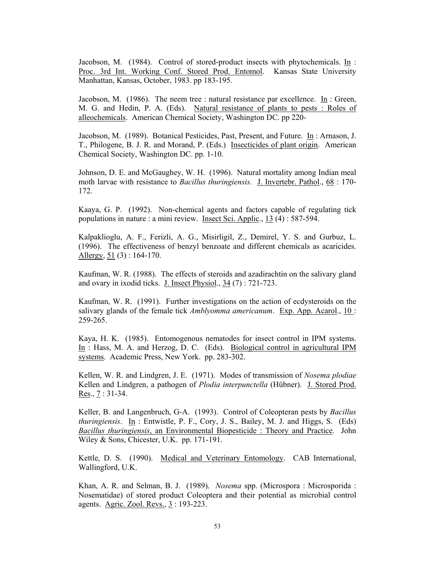Jacobson, M. (1984). Control of stored-product insects with phytochemicals. In: Proc. 3rd Int. Working Conf. Stored Prod. Entomol. Kansas State University Manhattan, Kansas, October, 1983. pp 183-195.

Jacobson, M. (1986). The neem tree : natural resistance par excellence. In : Green, M. G. and Hedin, P. A. (Eds). Natural resistance of plants to pests : Roles of alleochemicals. American Chemical Society, Washington DC. pp 220-

Jacobson, M. (1989). Botanical Pesticides, Past, Present, and Future. In : Arnason, J. T., Philogene, B. J. R. and Morand, P. (Eds.) Insecticides of plant origin. American Chemical Society, Washington DC. pp. 1-10.

Johnson, D. E. and McGaughey, W. H. (1996). Natural mortality among Indian meal moth larvae with resistance to *Bacillus thuringiensis*. J. Invertebr. Pathol., 68 : 170- 172.

Kaaya, G. P. (1992). Non-chemical agents and factors capable of regulating tick populations in nature : a mini review. Insect Sci. Applic., 13 (4) : 587-594.

Kalpaklioglu, A. F., Ferizli, A. G., Misirligil, Z., Demirel, Y. S. and Gurbuz, L. (1996). The effectiveness of benzyl benzoate and different chemicals as acaricides. Allergy,  $51$  (3) : 164-170.

Kaufman, W. R. (1988). The effects of steroids and azadirachtin on the salivary gland and ovary in ixodid ticks. J. Insect Physiol., 34 (7) : 721-723.

Kaufman, W. R. (1991). Further investigations on the action of ecdysteroids on the salivary glands of the female tick *Amblyomma americanum*. Exp. App. Acarol., 10 : 259-265.

Kaya, H. K. (1985). Entomogenous nematodes for insect control in IPM systems. In : Hass, M. A. and Herzog, D. C. (Eds). Biological control in agricultural IPM systems. Academic Press, New York. pp. 283-302.

Kellen, W. R. and Lindgren, J. E. (1971). Modes of transmission of *Nosema plodiae* Kellen and Lindgren, a pathogen of *Plodia interpunctella* (Hübner). J. Stored Prod. Res.,  $7:31-34$ .

Keller, B. and Langenbruch, G-A. (1993). Control of Coleopteran pests by *Bacillus thuringiensis*. In : Entwistle, P. F., Cory, J. S., Bailey, M. J. and Higgs, S. (Eds) *Bacillus thuringiensis*, an Environmental Biopesticide : Theory and Practice. John Wiley & Sons, Chicester, U.K. pp. 171-191.

Kettle, D. S. (1990). Medical and Veterinary Entomology. CAB International, Wallingford, U.K.

Khan, A. R. and Selman, B. J. (1989). *Nosema* spp. (Microspora : Microsporida : Nosematidae) of stored product Coleoptera and their potential as microbial control agents. Agric. Zool. Revs., 3 : 193-223.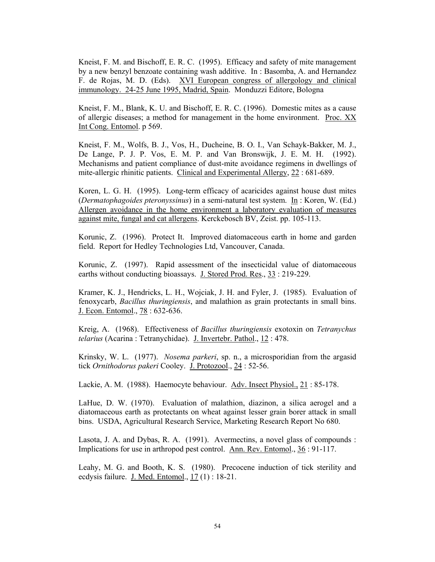Kneist, F. M. and Bischoff, E. R. C. (1995). Efficacy and safety of mite management by a new benzyl benzoate containing wash additive. In : Basomba, A. and Hernandez F. de Rojas, M. D. (Eds). XVI European congress of allergology and clinical immunology. 24-25 June 1995, Madrid, Spain. Monduzzi Editore, Bologna

Kneist, F. M., Blank, K. U. and Bischoff, E. R. C. (1996). Domestic mites as a cause of allergic diseases; a method for management in the home environment. Proc. XX Int Cong. Entomol. p 569.

Kneist, F. M., Wolfs, B. J., Vos, H., Ducheine, B. O. I., Van Schayk-Bakker, M. J., De Lange, P. J. P. Vos, E. M. P. and Van Bronswijk, J. E. M. H. (1992). Mechanisms and patient compliance of dust-mite avoidance regimens in dwellings of mite-allergic rhinitic patients. Clinical and Experimental Allergy, 22 : 681-689.

Koren, L. G. H. (1995). Long-term efficacy of acaricides against house dust mites (*Dermatophagoides pteronyssinus*) in a semi-natural test system. In : Koren, W. (Ed.) Allergen avoidance in the home environment a laboratory evaluation of measures against mite, fungal and cat allergens. Kerckebosch BV, Zeist. pp. 105-113.

Korunic, Z. (1996). Protect It. Improved diatomaceous earth in home and garden field. Report for Hedley Technologies Ltd, Vancouver, Canada.

Korunic, Z. (1997). Rapid assessment of the insecticidal value of diatomaceous earths without conducting bioassays. J. Stored Prod. Res., 33 : 219-229.

Kramer, K. J., Hendricks, L. H., Wojciak, J. H. and Fyler, J. (1985). Evaluation of fenoxycarb, *Bacillus thuringiensis*, and malathion as grain protectants in small bins. J. Econ. Entomol., 78 : 632-636.

Kreig, A. (1968). Effectiveness of *Bacillus thuringiensis* exotoxin on *Tetranychus telarius* (Acarina : Tetranychidae). J. Invertebr. Pathol., 12 : 478.

Krinsky, W. L. (1977). *Nosema parkeri*, sp. n., a microsporidian from the argasid tick *Ornithodorus pakeri* Cooley. J. Protozool., 24 : 52-56.

Lackie, A. M. (1988). Haemocyte behaviour. Adv. Insect Physiol., 21 : 85-178.

LaHue, D. W. (1970). Evaluation of malathion, diazinon, a silica aerogel and a diatomaceous earth as protectants on wheat against lesser grain borer attack in small bins. USDA, Agricultural Research Service, Marketing Research Report No 680.

Lasota, J. A. and Dybas, R. A. (1991). Avermectins, a novel glass of compounds : Implications for use in arthropod pest control. Ann. Rev. Entomol., 36 : 91-117.

Leahy, M. G. and Booth, K. S. (1980). Precocene induction of tick sterility and ecdysis failure. J. Med. Entomol., 17 (1) : 18-21.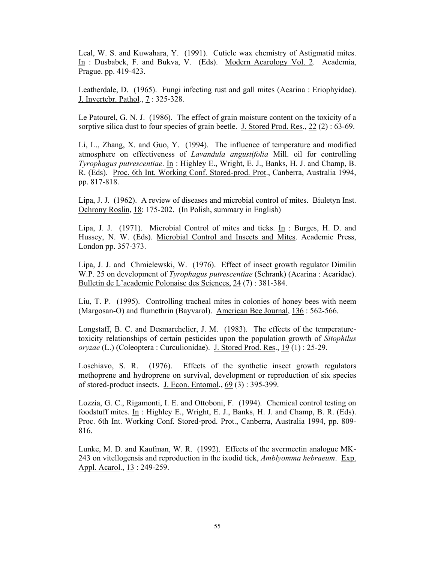Leal, W. S. and Kuwahara, Y. (1991). Cuticle wax chemistry of Astigmatid mites. In : Dusbabek, F. and Bukva, V. (Eds). Modern Acarology Vol. 2. Academia, Prague. pp. 419-423.

Leatherdale, D. (1965). Fungi infecting rust and gall mites (Acarina : Eriophyidae). J. Invertebr. Pathol., 7 : 325-328.

Le Patourel, G. N. J. (1986). The effect of grain moisture content on the toxicity of a sorptive silica dust to four species of grain beetle. J. Stored Prod. Res., 22 (2) : 63-69.

Li, L., Zhang, X. and Guo, Y. (1994). The influence of temperature and modified atmosphere on effectiveness of *Lavandula angustifolia* Mill. oil for controlling *Tyrophagus putrescentiae*. In : Highley E., Wright, E. J., Banks, H. J. and Champ, B. R. (Eds). Proc. 6th Int. Working Conf. Stored-prod. Prot., Canberra, Australia 1994, pp. 817-818.

Lipa, J. J. (1962). A review of diseases and microbial control of mites. Biuletyn Inst. Ochrony Roslin, 18: 175-202. (In Polish, summary in English)

Lipa, J. J. (1971). Microbial Control of mites and ticks. In : Burges, H. D. and Hussey, N. W. (Eds). Microbial Control and Insects and Mites. Academic Press, London pp. 357-373.

Lipa, J. J. and Chmielewski, W. (1976). Effect of insect growth regulator Dimilin W.P. 25 on development of *Tyrophagus putrescentiae* (Schrank) (Acarina : Acaridae). Bulletin de L'academie Polonaise des Sciences, 24 (7) : 381-384.

Liu, T. P. (1995). Controlling tracheal mites in colonies of honey bees with neem (Margosan-O) and flumethrin (Bayvarol). American Bee Journal, 136 : 562-566.

Longstaff, B. C. and Desmarchelier, J. M. (1983). The effects of the temperaturetoxicity relationships of certain pesticides upon the population growth of *Sitophilus oryzae* (L.) (Coleoptera : Curculionidae). J. Stored Prod. Res., 19 (1) : 25-29.

Loschiavo, S. R. (1976). Effects of the synthetic insect growth regulators methoprene and hydroprene on survival, development or reproduction of six species of stored-product insects. J. Econ. Entomol., 69 (3) : 395-399.

Lozzia, G. C., Rigamonti, I. E. and Ottoboni, F. (1994). Chemical control testing on foodstuff mites. In : Highley E., Wright, E. J., Banks, H. J. and Champ, B. R. (Eds). Proc. 6th Int. Working Conf. Stored-prod. Prot., Canberra, Australia 1994, pp. 809- 816.

Lunke, M. D. and Kaufman, W. R. (1992). Effects of the avermectin analogue MK-243 on vitellogensis and reproduction in the ixodid tick, *Amblyomma hebraeum*. Exp. Appl. Acarol., 13: 249-259.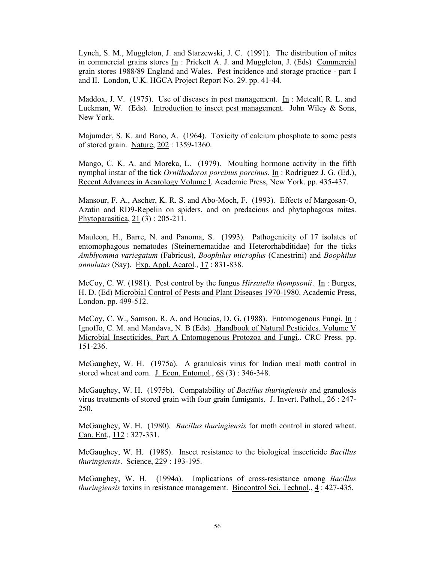Lynch, S. M., Muggleton, J. and Starzewski, J. C. (1991). The distribution of mites in commercial grains stores In : Prickett A. J. and Muggleton, J. (Eds) Commercial grain stores 1988/89 England and Wales. Pest incidence and storage practice - part I and II. London, U.K. HGCA Project Report No. 29. pp. 41-44.

Maddox, J. V. (1975). Use of diseases in pest management. In : Metcalf, R. L. and Luckman, W. (Eds). Introduction to insect pest management. John Wiley & Sons, New York.

Majumder, S. K. and Bano, A. (1964). Toxicity of calcium phosphate to some pests of stored grain. Nature, 202 : 1359-1360.

Mango, C. K. A. and Moreka, L. (1979). Moulting hormone activity in the fifth nymphal instar of the tick *Ornithodoros porcinus porcinus*. In : Rodriguez J. G. (Ed.), Recent Advances in Acarology Volume I. Academic Press, New York. pp. 435-437.

Mansour, F. A., Ascher, K. R. S. and Abo-Moch, F. (1993). Effects of Margosan-O, Azatin and RD9-Repelin on spiders, and on predacious and phytophagous mites. Phytoparasitica, 21 (3) : 205-211.

Mauleon, H., Barre, N. and Panoma, S. (1993). Pathogenicity of 17 isolates of entomophagous nematodes (Steinernematidae and Heterorhabditidae) for the ticks *Amblyomma variegatum* (Fabricus), *Boophilus microplus* (Canestrini) and *Boophilus annulatus* (Say). Exp. Appl. Acarol., 17 : 831-838.

McCoy, C. W. (1981). Pest control by the fungus *Hirsutella thompsonii*. In : Burges, H. D. (Ed) Microbial Control of Pests and Plant Diseases 1970-1980. Academic Press, London. pp. 499-512.

McCoy, C. W., Samson, R. A. and Boucias, D. G. (1988). Entomogenous Fungi. In : Ignoffo, C. M. and Mandava, N. B (Eds). Handbook of Natural Pesticides. Volume V Microbial Insecticides. Part A Entomogenous Protozoa and Fungi.. CRC Press. pp. 151-236.

McGaughey, W. H. (1975a). A granulosis virus for Indian meal moth control in stored wheat and corn. J. Econ. Entomol., 68 (3) : 346-348.

McGaughey, W. H. (1975b). Compatability of *Bacillus thuringiensis* and granulosis virus treatments of stored grain with four grain fumigants. J. Invert. Pathol., 26 : 247- 250.

McGaughey, W. H. (1980). *Bacillus thuringiensis* for moth control in stored wheat. Can. Ent., 112 : 327-331.

McGaughey, W. H. (1985). Insect resistance to the biological insecticide *Bacillus thuringiensis*. Science, 229 : 193-195.

McGaughey, W. H. (1994a). Implications of cross-resistance among *Bacillus thuringiensis* toxins in resistance management. Biocontrol Sci. Technol., 4 : 427-435.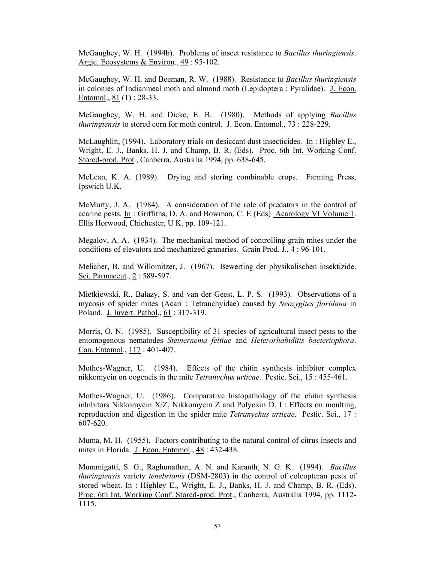McGaughey, W. H. (1994b). Problems of insect resistance to *Bacillus thuringiensis*. Argic. Ecosystems & Environ., 49 : 95-102.

McGaughey, W. H. and Beeman, R. W. (1988). Resistance to *Bacillus thuringiensis* in colonies of Indianmeal moth and almond moth (Lepidoptera : Pyralidae). J. Econ. Entomol., 81 (1) : 28-33.

McGaughey, W. H. and Dicke, E. B. (1980). Methods of applying *Bacillus thuringiensis* to stored corn for moth control. J. Econ. Entomol., 73 : 228-229.

McLaughlin, (1994). Laboratory trials on desiccant dust insecticides. In : Highley E., Wright, E. J., Banks, H. J. and Champ, B. R. (Eds). Proc. 6th Int. Working Conf. Stored-prod. Prot., Canberra, Australia 1994, pp. 638-645.

McLean, K. A. (1989). Drying and storing combinable crops. Farming Press, Ipswich U.K.

McMurty, J. A. (1984). A consideration of the role of predators in the control of acarine pests. In : Griffiths, D. A. and Bowman, C. E (Eds)  $\Delta$ carology VI Volume 1. Ellis Horwood, Chichester, U K. pp. 109-121.

Megalov, A. A. (1934). The mechanical method of controlling grain mites under the conditions of elevators and mechanized granaries. Grain Prod. J., 4 : 96-101.

Melicher, B. and Willomitzer, J. (1967). Bewerting der physikalischen insektizide. Sci. Parmaceut., 2 : 589-597.

Mietkiewski, R., Balazy, S. and van der Geest, L. P. S. (1993). Observations of a mycosis of spider mites (Acari : Tetranchyidae) caused by *Neozygites floridana* in Poland. J. Invert. Pathol., 61 : 317-319.

Morris, O. N. (1985). Susceptibility of 31 species of agricultural insect pests to the entomogenous nematodes *Steinernema feltiae* and *Heterorhabiditis bacteriophora*. Can. Entomol., 117 : 401-407.

Mothes-Wagner, U. (1984). Effects of the chitin synthesis inhibitor complex nikkomycin on oogeneis in the mite *Tetranychus urticae*. Pestic. Sci., 15 : 455-461.

Mothes-Wagner, U. (1986). Comparative histopathology of the chitin synthesis inhibitors Nikkomycin X/Z, Nikkomycin Z and Polyoxin D. I : Effects on moulting, reproduction and digestion in the spider mite *Tetranychus urticae*. Pestic. Sci., 17 : 607-620.

Muma, M. H. (1955). Factors contributing to the natural control of citrus insects and mites in Florida. J. Econ. Entomol., 48: 432-438.

Mummigatti, S. G., Raghunathan, A. N. and Karanth, N. G. K. (1994). *Bacillus thuringiensis* variety *tenebrionis* (DSM-2803) in the control of coleopteran pests of stored wheat. In : Highley E., Wright, E. J., Banks, H. J. and Champ, B. R. (Eds). Proc. 6th Int. Working Conf. Stored-prod. Prot., Canberra, Australia 1994, pp. 1112- 1115.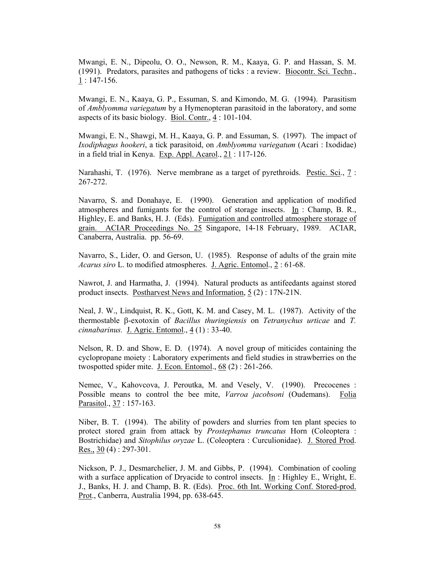Mwangi, E. N., Dipeolu, O. O., Newson, R. M., Kaaya, G. P. and Hassan, S. M. (1991). Predators, parasites and pathogens of ticks : a review. Biocontr. Sci. Techn., 1 : 147-156.

Mwangi, E. N., Kaaya, G. P., Essuman, S. and Kimondo, M. G. (1994). Parasitism of *Amblyomma variegatum* by a Hymenopteran parasitoid in the laboratory, and some aspects of its basic biology. Biol. Contr., 4 : 101-104.

Mwangi, E. N., Shawgi, M. H., Kaaya, G. P. and Essuman, S. (1997). The impact of *Ixodiphagus hookeri*, a tick parasitoid, on *Amblyomma variegatum* (Acari : Ixodidae) in a field trial in Kenya. Exp. Appl. Acarol., 21 : 117-126.

Narahashi, T. (1976). Nerve membrane as a target of pyrethroids. Pestic. Sci., 7 : 267-272.

Navarro, S. and Donahaye, E. (1990). Generation and application of modified atmospheres and fumigants for the control of storage insects. In : Champ, B. R., Highley, E. and Banks, H. J. (Eds). Fumigation and controlled atmosphere storage of grain. ACIAR Proceedings No. 25 Singapore, 14-18 February, 1989. ACIAR, Canaberra, Australia. pp. 56-69.

Navarro, S., Lider, O. and Gerson, U. (1985). Response of adults of the grain mite *Acarus siro* L. to modified atmospheres. J. Agric. Entomol., 2 : 61-68.

Nawrot, J. and Harmatha, J. (1994). Natural products as antifeedants against stored product insects. Postharvest News and Information, 5 (2) : 17N-21N.

Neal, J. W., Lindquist, R. K., Gott, K. M. and Casey, M. L. (1987). Activity of the thermostable β-exotoxin of *Bacillus thuringiensis* on *Tetranychus urticae* and *T. cinnabarinus.* J. Agric. Entomol., 4 (1) : 33-40.

Nelson, R. D. and Show, E. D. (1974). A novel group of miticides containing the cyclopropane moiety : Laboratory experiments and field studies in strawberries on the twospotted spider mite. J. Econ. Entomol., 68 (2) : 261-266.

Nemec, V., Kahovcova, J. Peroutka, M. and Vesely, V. (1990). Precocenes : Possible means to control the bee mite, *Varroa jacobsoni* (Oudemans). Folia Parasitol., 37 : 157-163.

Niber, B. T. (1994). The ability of powders and slurries from ten plant species to protect stored grain from attack by *Prostephanus truncatus* Horn (Coleoptera : Bostrichidae) and *Sitophilus oryzae* L. (Coleoptera : Curculionidae). J. Stored Prod. Res.,  $30(4)$ : 297-301.

Nickson, P. J., Desmarchelier, J. M. and Gibbs, P. (1994). Combination of cooling with a surface application of Dryacide to control insects. In : Highley E., Wright, E. J., Banks, H. J. and Champ, B. R. (Eds). Proc. 6th Int. Working Conf. Stored-prod. Prot., Canberra, Australia 1994, pp. 638-645.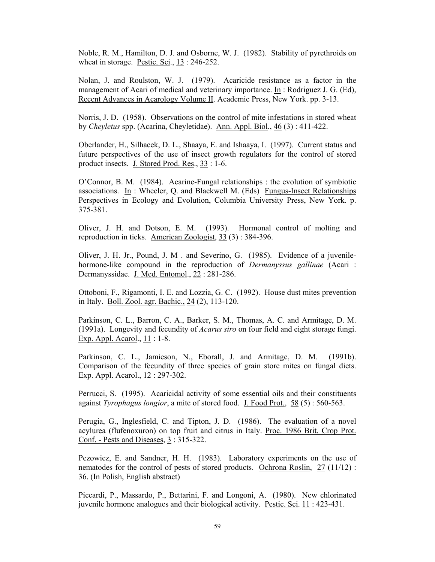Noble, R. M., Hamilton, D. J. and Osborne, W. J. (1982). Stability of pyrethroids on wheat in storage. Pestic. Sci., 13 : 246-252.

Nolan, J. and Roulston, W. J. (1979). Acaricide resistance as a factor in the management of Acari of medical and veterinary importance. In : Rodriguez J. G. (Ed), Recent Advances in Acarology Volume II. Academic Press, New York. pp. 3-13.

Norris, J. D. (1958). Observations on the control of mite infestations in stored wheat by *Cheyletus* spp. (Acarina, Cheyletidae). Ann. Appl. Biol., 46 (3) : 411-422.

Oberlander, H., Silhacek, D. L., Shaaya, E. and Ishaaya, I. (1997). Current status and future perspectives of the use of insect growth regulators for the control of stored product insects. J. Stored Prod. Res., 33 : 1-6.

O'Connor, B. M. (1984). Acarine-Fungal relationships : the evolution of symbiotic associations. In : Wheeler, Q. and Blackwell M. (Eds) Fungus-Insect Relationships Perspectives in Ecology and Evolution, Columbia University Press, New York. p. 375-381.

Oliver, J. H. and Dotson, E. M. (1993). Hormonal control of molting and reproduction in ticks. American Zoologist, 33 (3) : 384-396.

Oliver, J. H. Jr., Pound, J. M . and Severino, G. (1985). Evidence of a juvenilehormone-like compound in the reproduction of *Dermanyssus gallinae* (Acari : Dermanyssidae. J. Med. Entomol., 22 : 281-286.

Ottoboni, F., Rigamonti, I. E. and Lozzia, G. C. (1992). House dust mites prevention in Italy. Boll. Zool. agr. Bachic., 24 (2), 113-120.

Parkinson, C. L., Barron, C. A., Barker, S. M., Thomas, A. C. and Armitage, D. M. (1991a). Longevity and fecundity of *Acarus siro* on four field and eight storage fungi. Exp. Appl. Acarol., 11 : 1-8.

Parkinson, C. L., Jamieson, N., Eborall, J. and Armitage, D. M. (1991b). Comparison of the fecundity of three species of grain store mites on fungal diets. Exp. Appl. Acarol., 12 : 297-302.

Perrucci, S. (1995). Acaricidal activity of some essential oils and their constituents against *Tyrophagus longior*, a mite of stored food. J. Food Prot., 58 (5) : 560-563.

Perugia, G., Inglesfield, C. and Tipton, J. D. (1986). The evaluation of a novel acylurea (flufenoxuron) on top fruit and citrus in Italy. Proc. 1986 Brit. Crop Prot. Conf. - Pests and Diseases, 3 : 315-322.

Pezowicz, E. and Sandner, H. H. (1983). Laboratory experiments on the use of nematodes for the control of pests of stored products. Ochrona Roslin, 27 (11/12) : 36. (In Polish, English abstract)

Piccardi, P., Massardo, P., Bettarini, F. and Longoni, A. (1980). New chlorinated juvenile hormone analogues and their biological activity. Pestic. Sci. 11 : 423-431.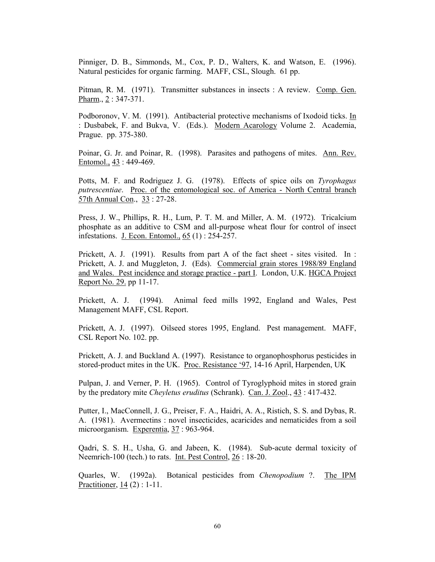Pinniger, D. B., Simmonds, M., Cox, P. D., Walters, K. and Watson, E. (1996). Natural pesticides for organic farming. MAFF, CSL, Slough. 61 pp.

Pitman, R. M. (1971). Transmitter substances in insects : A review. Comp. Gen. Pharm., 2 : 347-371.

Podboronov, V. M. (1991). Antibacterial protective mechanisms of Ixodoid ticks. In : Dusbabek, F. and Bukva, V. (Eds.). Modern Acarology Volume 2. Academia, Prague. pp. 375-380.

Poinar, G. Jr. and Poinar, R. (1998). Parasites and pathogens of mites. Ann. Rev. Entomol., 43 : 449-469.

Potts, M. F. and Rodriguez J. G. (1978). Effects of spice oils on *Tyrophagus putrescentiae*. Proc. of the entomological soc. of America - North Central branch 57th Annual Con., 33 : 27-28.

Press, J. W., Phillips, R. H., Lum, P. T. M. and Miller, A. M. (1972). Tricalcium phosphate as an additive to CSM and all-purpose wheat flour for control of insect infestations. J. Econ. Entomol., 65 (1) : 254-257.

Prickett, A. J. (1991). Results from part A of the fact sheet - sites visited. In : Prickett, A. J. and Muggleton, J. (Eds). Commercial grain stores 1988/89 England and Wales. Pest incidence and storage practice - part I. London, U.K. HGCA Project Report No. 29. pp 11-17.

Prickett, A. J. (1994). Animal feed mills 1992, England and Wales, Pest Management MAFF, CSL Report.

Prickett, A. J. (1997). Oilseed stores 1995, England. Pest management. MAFF, CSL Report No. 102. pp.

Prickett, A. J. and Buckland A. (1997). Resistance to organophosphorus pesticides in stored-product mites in the UK. Proc. Resistance '97, 14-16 April, Harpenden, UK

Pulpan, J. and Verner, P. H. (1965). Control of Tyroglyphoid mites in stored grain by the predatory mite *Cheyletus eruditus* (Schrank). Can. J. Zool., 43 : 417-432.

Putter, I., MacConnell, J. G., Preiser, F. A., Haidri, A. A., Ristich, S. S. and Dybas, R. A. (1981). Avermectins : novel insecticides, acaricides and nematicides from a soil microorganism. Experentia, 37: 963-964.

Qadri, S. S. H., Usha, G. and Jabeen, K. (1984). Sub-acute dermal toxicity of Neemrich-100 (tech.) to rats. Int. Pest Control, 26 : 18-20.

Quarles, W. (1992a). Botanical pesticides from *Chenopodium* ?. The IPM Practitioner, 14 (2) : 1-11.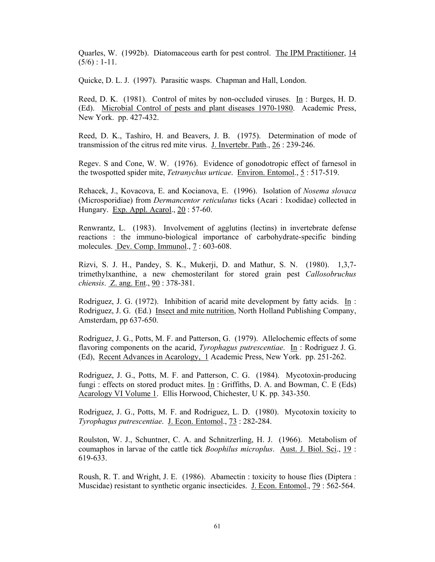Quarles, W. (1992b). Diatomaceous earth for pest control. The IPM Practitioner, 14  $(5/6)$ : 1-11.

Quicke, D. L. J. (1997). Parasitic wasps. Chapman and Hall, London.

Reed, D. K. (1981). Control of mites by non-occluded viruses. In : Burges, H. D. (Ed). Microbial Control of pests and plant diseases 1970-1980. Academic Press, New York. pp. 427-432.

Reed, D. K., Tashiro, H. and Beavers, J. B. (1975). Determination of mode of transmission of the citrus red mite virus. J. Invertebr. Path., 26 : 239-246.

Regev. S and Cone, W. W. (1976). Evidence of gonodotropic effect of farnesol in the twospotted spider mite, *Tetranychus urticae*. Environ. Entomol., 5 : 517-519.

Rehacek, J., Kovacova, E. and Kocianova, E. (1996). Isolation of *Nosema slovaca* (Microsporidiae) from *Dermancentor reticulatus* ticks (Acari : Ixodidae) collected in Hungary. Exp. Appl. Acarol., 20 : 57-60.

Renwrantz, L. (1983). Involvement of agglutins (lectins) in invertebrate defense reactions : the immuno-biological importance of carbohydrate-specific binding molecules. Dev. Comp. Immunol., 7 : 603-608.

Rizvi, S. J. H., Pandey, S. K., Mukerji, D. and Mathur, S. N. (1980). 1,3,7 trimethylxanthine, a new chemosterilant for stored grain pest *Callosobruchus chiensis*. Z. ang. Ent., 90 : 378-381.

Rodriguez, J. G. (1972). Inhibition of acarid mite development by fatty acids. In : Rodriguez, J. G. (Ed.) Insect and mite nutrition, North Holland Publishing Company, Amsterdam, pp 637-650.

Rodriguez, J. G., Potts, M. F. and Patterson, G. (1979). Allelochemic effects of some flavoring components on the acarid, *Tyrophagus putrescentiae*. In : Rodriguez J. G. (Ed), Recent Advances in Acarology, 1 Academic Press, New York. pp. 251-262.

Rodriguez, J. G., Potts, M. F. and Patterson, C. G. (1984). Mycotoxin-producing fungi : effects on stored product mites. In : Griffiths, D. A. and Bowman, C. E (Eds) Acarology VI Volume 1. Ellis Horwood, Chichester, U K. pp. 343-350.

Rodriguez, J. G., Potts, M. F. and Rodriguez, L. D. (1980). Mycotoxin toxicity to *Tyrophagus putrescentiae*. J. Econ. Entomol., 73 : 282-284.

Roulston, W. J., Schuntner, C. A. and Schnitzerling, H. J. (1966). Metabolism of coumaphos in larvae of the cattle tick *Boophilus microplus*. Aust. J. Biol. Sci., 19 : 619-633.

Roush, R. T. and Wright, J. E. (1986). Abamectin : toxicity to house flies (Diptera : Muscidae) resistant to synthetic organic insecticides. J. Econ. Entomol., 79 : 562-564.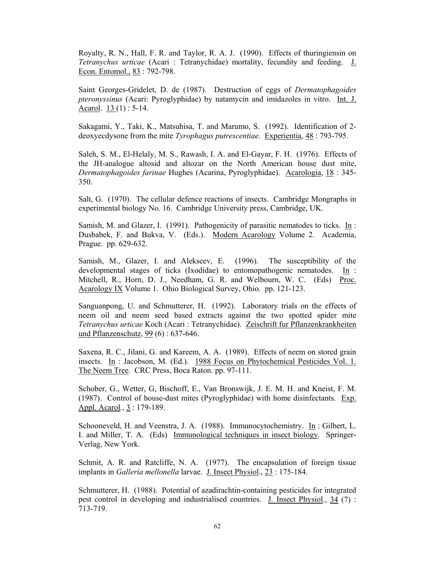Royalty, R. N., Hall, F. R. and Taylor, R. A. J. (1990). Effects of thuringiensin on *Tetranychus urticae* (Acari : Tetranychidae) mortality, fecundity and feeding. J. Econ. Entomol., 83: 792-798.

Saint Georges-Gridelet, D. de (1987). Destruction of eggs of *Dermatophagoides pteronyssinus* (Acari: Pyroglyphidae) by natamycin and imidazoles in vitro. Int. J. Acarol.  $13(1)$ : 5-14.

Sakagami, Y., Taki, K., Matsuhisa, T. and Marumo, S. (1992). Identification of 2 deoxyecdysone from the mite *Tyrophagus putrescentiae*. Experientia, 48 : 793-795.

Saleh, S. M., El-Helaly, M. S., Rawash, I. A. and El-Gayar, F. H. (1976). Effects of the JH-analogue altosid and altozar on the North American house dust mite, *Dermatophagoides farinae* Hughes (Acarina, Pyroglyphidae). Acarologia, 18 : 345- 350.

Salt, G. (1970). The cellular defence reactions of insects. Cambridge Mongraphs in experimental biology No. 16. Cambridge University press, Cambridge, UK.

Samish, M. and Glazer, I. (1991). Pathogenicity of parasitic nematodes to ticks.  $In$ : Dusbabek, F. and Bukva, V. (Eds.). Modern Acarology Volume 2. Academia, Prague. pp. 629-632.

Samish, M., Glazer, I. and Alekseev, E. (1996). The susceptibility of the developmental stages of ticks (Ixodidae) to entomopathogenic nematodes. In : Mitchell, R., Horn, D. J., Needham, G. R. and Welbourn, W. C. (Eds) Proc. Acarology IX Volume 1. Ohio Biological Survey, Ohio. pp. 121-123.

Sanguanpong, U. and Schmutterer, H. (1992). Laboratory trials on the effects of neem oil and neem seed based extracts against the two spotted spider mite *Tetranychus urticae* Koch (Acari : Tetranychidae). Zeischrift fur Pflanzenkrankheiten und Pflanzenschutz, 99 (6) : 637-646.

Saxena, R. C., Jilani, G. and Kareem, A. A. (1989). Effects of neem on stored grain insects. In : Jacobson, M. (Ed.). 1988 Focus on Phytochemical Pesticides Vol. 1. The Neem Tree. CRC Press, Boca Raton. pp. 97-111.

Schober, G., Wetter, G, Bischoff, E., Van Bronswijk, J. E. M. H. and Kneist, F. M. (1987). Control of house-dust mites (Pyroglyphidae) with home disinfectants. Exp. Appl. Acarol., 3 : 179-189.

Schooneveld, H. and Veenstra, J. A. (1988). Immunocytochemistry. In : Gilbert, L. I. and Miller, T. A. (Eds) Immunological techniques in insect biology. Springer-Verlag, New York.

Schmit, A. R. and Ratcliffe, N. A. (1977). The encapsulation of foreign tissue implants in *Galleria mellonella* larvae. J. Insect Physiol., 23 : 175-184.

Schmutterer, H. (1988). Potential of azadirachtin-containing pesticides for integrated pest control in developing and industrialised countries. J. Insect Physiol., 34 (7) : 713-719.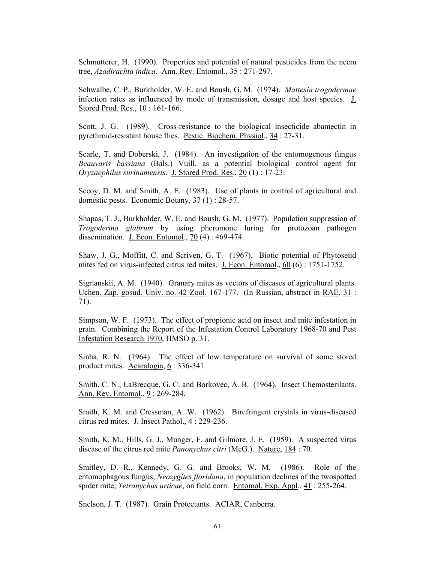Schmutterer, H. (1990). Properties and potential of natural pesticides from the neem tree, *Azadirachta indica*. Ann. Rev. Entomol., 35 : 271-297.

Schwalbe, C. P., Burkholder, W. E. and Boush, G. M. (1974). *Mattesia trogodermae* infection rates as influenced by mode of transmission, dosage and host species. J. Stored Prod. Res., 10 : 161-166.

Scott, J. G. (1989). Cross-resistance to the biological insecticide abamectin in pyrethroid-resistant house flies. Pestic. Biochem. Physiol., 34 : 27-31.

Searle, T. and Doberski, J. (1984). An investigation of the entomogenous fungus *Beauvaris bassiana* (Bals.) Vuill. as a potential biological control agent for *Oryzaephilus surinamensis*. J. Stored Prod. Res., 20 (1) : 17-23.

Secoy, D. M. and Smith, A. E. (1983). Use of plants in control of agricultural and domestic pests. Economic Botany, 37 (1) : 28-57.

Shapas, T. J., Burkholder, W. E. and Boush, G. M. (1977). Population suppression of *Trogoderma glabrum* by using pheromone luring for protozoan pathogen dissemination. J. Econ. Entomol., 70 (4) : 469-474.

Shaw, J. G., Moffitt, C. and Scriven, G. T. (1967). Biotic potential of Phytoseiid mites fed on virus-infected citrus red mites. J. Econ. Entomol., 60 (6) : 1751-1752.

Sigrianskii, A. M. (1940). Granary mites as vectors of diseases of agricultural plants. Uchen. Zap. gosud. Univ. no. 42 Zool. 167-177. (In Russian, abstract in RAE, 31 : 71).

Simpson, W. F. (1973). The effect of propionic acid on insect and mite infestation in grain. Combining the Report of the Infestation Control Laboratory 1968-70 and Pest Infestation Research 1970, HMSO p. 31.

Sinha, R. N. (1964). The effect of low temperature on survival of some stored product mites. Acaralogia, 6 : 336-341.

Smith, C. N., LaBrecque, G. C. and Borkovec, A. B. (1964). Insect Chemosterilants. Ann. Rev. Entomol., 9: 269-284.

Smith, K. M. and Cressman, A. W. (1962). Birefringent crystals in virus-diseased citrus red mites. J. Insect Pathol., 4 : 229-236.

Smith, K. M., Hills, G. J., Munger, F. and Gilmore, J. E. (1959). A suspected virus disease of the citrus red mite *Panonychus citri* (McG.). Nature, 184 : 70.

Smitley, D. R., Kennedy, G. G. and Brooks, W. M. (1986). Role of the entomophagous fungus, *Neozygites floridana*, in population declines of the twospotted spider mite, *Tetranychus urticae*, on field corn. Entomol. Exp. Appl., 41 : 255-264.

Snelson, J. T. (1987). Grain Protectants. ACIAR, Canberra.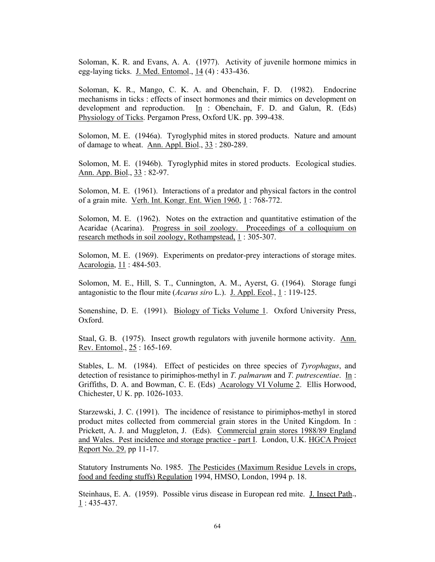Soloman, K. R. and Evans, A. A. (1977). Activity of juvenile hormone mimics in egg-laying ticks. J. Med. Entomol., 14 (4) : 433-436.

Soloman, K. R., Mango, C. K. A. and Obenchain, F. D. (1982). Endocrine mechanisms in ticks : effects of insect hormones and their mimics on development on development and reproduction. In : Obenchain, F. D. and Galun, R. (Eds) Physiology of Ticks. Pergamon Press, Oxford UK. pp. 399-438.

Solomon, M. E. (1946a). Tyroglyphid mites in stored products. Nature and amount of damage to wheat. Ann. Appl. Biol., 33 : 280-289.

Solomon, M. E. (1946b). Tyroglyphid mites in stored products. Ecological studies. Ann. App. Biol., 33 : 82-97.

Solomon, M. E. (1961). Interactions of a predator and physical factors in the control of a grain mite. Verh. Int. Kongr. Ent. Wien 1960, 1 : 768-772.

Solomon, M. E. (1962). Notes on the extraction and quantitative estimation of the Acaridae (Acarina). Progress in soil zoology. Proceedings of a colloquium on research methods in soil zoology, Rothampstead, 1 : 305-307.

Solomon, M. E. (1969). Experiments on predator-prey interactions of storage mites. Acarologia, 11 : 484-503.

Solomon, M. E., Hill, S. T., Cunnington, A. M., Ayerst, G. (1964). Storage fungi antagonistic to the flour mite (*Acarus siro* L.). J. Appl. Ecol., 1 : 119-125.

Sonenshine, D. E. (1991). Biology of Ticks Volume 1. Oxford University Press, Oxford.

Staal, G. B. (1975). Insect growth regulators with juvenile hormone activity. Ann. Rev. Entomol., 25 : 165-169.

Stables, L. M. (1984). Effect of pesticides on three species of *Tyrophagus*, and detection of resistance to pirimiphos-methyl in *T. palmarum* and *T. putrescentiae*. In : Griffiths, D. A. and Bowman, C. E. (Eds) Acarology VI Volume 2. Ellis Horwood, Chichester, U K. pp. 1026-1033.

Starzewski, J. C. (1991). The incidence of resistance to pirimiphos-methyl in stored product mites collected from commercial grain stores in the United Kingdom. In : Prickett, A. J. and Muggleton, J. (Eds). Commercial grain stores 1988/89 England and Wales. Pest incidence and storage practice - part I. London, U.K. HGCA Project Report No. 29. pp 11-17.

Statutory Instruments No. 1985. The Pesticides (Maximum Residue Levels in crops, food and feeding stuffs) Regulation 1994, HMSO, London, 1994 p. 18.

Steinhaus, E. A. (1959). Possible virus disease in European red mite. J. Insect Path.,  $1:435-437.$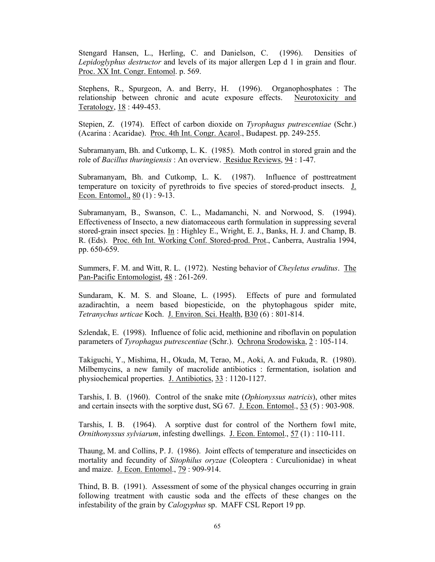Stengard Hansen, L., Herling, C. and Danielson, C. (1996). Densities of *Lepidoglyphus destructor* and levels of its major allergen Lep d 1 in grain and flour. Proc. XX Int. Congr. Entomol. p. 569.

Stephens, R., Spurgeon, A. and Berry, H. (1996). Organophosphates : The relationship between chronic and acute exposure effects. Neurotoxicity and Teratology, 18 : 449-453.

Stepien, Z. (1974). Effect of carbon dioxide on *Tyrophagus putrescentiae* (Schr.) (Acarina : Acaridae). Proc. 4th Int. Congr. Acarol., Budapest. pp. 249-255.

Subramanyam, Bh. and Cutkomp, L. K. (1985). Moth control in stored grain and the role of *Bacillus thuringiensis* : An overview. Residue Reviews, 94 : 1-47.

Subramanyam, Bh. and Cutkomp, L. K. (1987). Influence of posttreatment temperature on toxicity of pyrethroids to five species of stored-product insects. J. Econ. Entomol., 80 (1) : 9-13.

Subramanyam, B., Swanson, C. L., Madamanchi, N. and Norwood, S. (1994). Effectiveness of Insecto, a new diatomaceous earth formulation in suppressing several stored-grain insect species. In : Highley E., Wright, E. J., Banks, H. J. and Champ, B. R. (Eds). Proc. 6th Int. Working Conf. Stored-prod. Prot., Canberra, Australia 1994, pp. 650-659.

Summers, F. M. and Witt, R. L. (1972). Nesting behavior of *Cheyletus eruditus*. The Pan-Pacific Entomologist, 48 : 261-269.

Sundaram, K. M. S. and Sloane, L. (1995). Effects of pure and formulated azadirachtin, a neem based biopesticide, on the phytophagous spider mite, *Tetranychus urticae* Koch. J. Environ. Sci. Health, B30 (6) : 801-814.

Szlendak, E. (1998). Influence of folic acid, methionine and riboflavin on population parameters of *Tyrophagus putrescentiae* (Schr.). Ochrona Srodowiska, 2 : 105-114.

Takiguchi, Y., Mishima, H., Okuda, M, Terao, M., Aoki, A. and Fukuda, R. (1980). Milbemycins, a new family of macrolide antibiotics : fermentation, isolation and physiochemical properties. J. Antibiotics, 33 : 1120-1127.

Tarshis, I. B. (1960). Control of the snake mite (*Ophionyssus natricis*), other mites and certain insects with the sorptive dust, SG 67. J. Econ. Entomol., 53 (5) : 903-908.

Tarshis, I. B. (1964). A sorptive dust for control of the Northern fowl mite, *Ornithonyssus sylviarum*, infesting dwellings. J. Econ. Entomol., 57 (1) : 110-111.

Thaung, M. and Collins, P. J. (1986). Joint effects of temperature and insecticides on mortality and fecundity of *Sitophilus oryzae* (Coleoptera : Curculionidae) in wheat and maize. J. Econ. Entomol., 79 : 909-914.

Thind, B. B. (1991). Assessment of some of the physical changes occurring in grain following treatment with caustic soda and the effects of these changes on the infestability of the grain by *Calogyphus* sp. MAFF CSL Report 19 pp.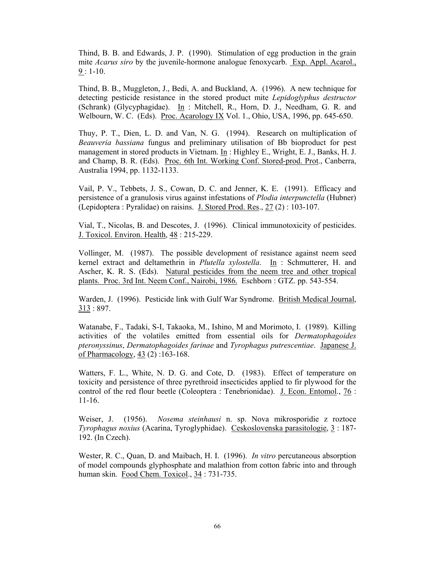Thind, B. B. and Edwards, J. P. (1990). Stimulation of egg production in the grain mite *Acarus siro* by the juvenile-hormone analogue fenoxycarb. Exp. Appl. Acarol.,  $9:1-10.$ 

Thind, B. B., Muggleton, J., Bedi, A. and Buckland, A. (1996). A new technique for detecting pesticide resistance in the stored product mite *Lepidoglyphus destructor* (Schrank) (Glycyphagidae). In: Mitchell, R., Horn, D. J., Needham, G. R. and Welbourn, W. C. (Eds). Proc. Acarology IX Vol. 1., Ohio, USA, 1996, pp. 645-650.

Thuy, P. T., Dien, L. D. and Van, N. G. (1994). Research on multiplication of *Beauveria bassiana* fungus and preliminary utilisation of Bb bioproduct for pest management in stored products in Vietnam. In : Highley E., Wright, E. J., Banks, H. J. and Champ, B. R. (Eds). Proc. 6th Int. Working Conf. Stored-prod. Prot., Canberra, Australia 1994, pp. 1132-1133.

Vail, P. V., Tebbets, J. S., Cowan, D. C. and Jenner, K. E. (1991). Efficacy and persistence of a granulosis virus against infestations of *Plodia interpunctella* (Hubner) (Lepidoptera : Pyralidae) on raisins. J. Stored Prod. Res., 27 (2) : 103-107.

Vial, T., Nicolas, B. and Descotes, J. (1996). Clinical immunotoxicity of pesticides. J. Toxicol. Environ. Health, 48 : 215-229.

Vollinger, M. (1987). The possible development of resistance against neem seed kernel extract and deltamethrin in *Plutella xylostella*. In : Schmutterer, H. and Ascher, K. R. S. (Eds). Natural pesticides from the neem tree and other tropical plants. Proc. 3rd Int. Neem Conf., Nairobi, 1986. Eschborn : GTZ. pp. 543-554.

Warden, J. (1996). Pesticide link with Gulf War Syndrome. British Medical Journal, 313 : 897.

Watanabe, F., Tadaki, S-I, Takaoka, M., Ishino, M and Morimoto, I. (1989). Killing activities of the volatiles emitted from essential oils for *Dermatophagoides pteronyssinus*, *Dermatophagoides farinae* and *Tyrophagus putrescentiae*. Japanese J. of Pharmacology, 43 (2) :163-168.

Watters, F. L., White, N. D. G. and Cote, D. (1983). Effect of temperature on toxicity and persistence of three pyrethroid insecticides applied to fir plywood for the control of the red flour beetle (Coleoptera : Tenebrionidae). J. Econ. Entomol., 76 : 11-16.

Weiser, J. (1956). *Nosema steinhausi* n. sp. Nova mikrosporidie z roztoce *Tyrophagus noxius* (Acarina, Tyroglyphidae). Ceskoslovenska parasitologie, 3 : 187- 192. (In Czech).

Wester, R. C., Quan, D. and Maibach, H. I. (1996). *In vitro* percutaneous absorption of model compounds glyphosphate and malathion from cotton fabric into and through human skin. Food Chem. Toxicol., 34 : 731-735.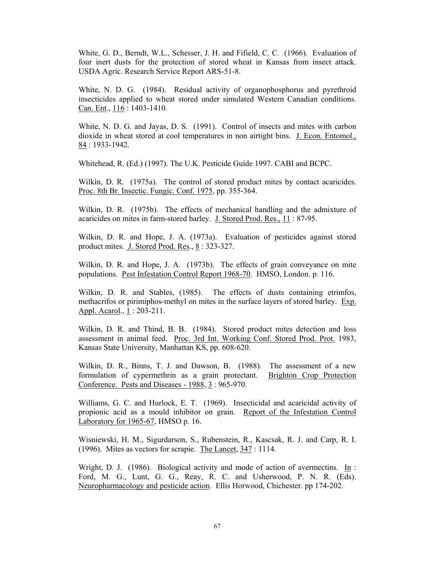White, G. D., Berndt, W.L., Schesser, J. H. and Fifield, C. C. (1966). Evaluation of four inert dusts for the protection of stored wheat in Kansas from insect attack. USDA Agric. Research Service Report ARS-51-8.

White, N. D. G. (1984). Residual activity of organophosphorus and pyrethroid insecticides applied to wheat stored under simulated Western Canadian conditions. Can. Ent., 116 : 1403-1410.

White, N. D. G. and Jayas, D. S. (1991). Control of insects and mites with carbon dioxide in wheat stored at cool temperatures in non airtight bins. J. Econ. Entomol., 84 : 1933-1942.

Whitehead, R. (Ed.) (1997). The U.K. Pesticide Guide 1997. CABI and BCPC.

Wilkin, D. R. (1975a). The control of stored product mites by contact acaricides. Proc. 8th Br. Insectic. Fungic. Conf. 1975, pp. 355-364.

Wilkin, D. R. (1975b). The effects of mechanical handling and the admixture of acaricides on mites in farm-stored barley. J. Stored Prod. Res., 11 : 87-95.

Wilkin, D. R. and Hope, J. A. (1973a). Evaluation of pesticides against stored product mites. J. Stored Prod. Res., 8 : 323-327.

Wilkin, D. R. and Hope, J. A. (1973b). The effects of grain conveyance on mite populations. Pest Infestation Control Report 1968-70. HMSO, London. p. 116.

Wilkin, D. R. and Stables, (1985). The effects of dusts containing etrimfos, methacrifos or pirimiphos-methyl on mites in the surface layers of stored barley. Exp. Appl. Acarol., 1: 203-211.

Wilkin, D. R. and Thind, B. B. (1984). Stored product mites detection and loss assessment in animal feed. Proc. 3rd Int. Working Conf. Stored Prod. Prot. 1983, Kansas State University, Manhattan KS, pp. 608-620.

Wilkin, D. R., Binns, T. J. and Dawson, B. (1988). The assessment of a new formulation of cypermethrin as a grain protectant. Brighton Crop Protection Conference. Pests and Diseases - 1988, 3 : 965-970.

Williams, G. C. and Hurlock, E. T. (1969). Insecticidal and acaricidal activity of propionic acid as a mould inhibitor on grain. Report of the Infestation Control Laboratory for 1965-67, HMSO p. 16.

Wisniewski, H. M., Sigurdarson, S., Rubenstein, R., Kascsak, R. J. and Carp, R. I. (1996). Mites as vectors for scrapie. The Lancet, 347 : 1114.

Wright, D. J. (1986). Biological activity and mode of action of avermectins. In : Ford, M. G., Lunt, G. G., Reay, R. C. and Usherwood, P. N. R. (Eds). Neuropharmacology and pesticide action. Ellis Horwood, Chichester. pp 174-202.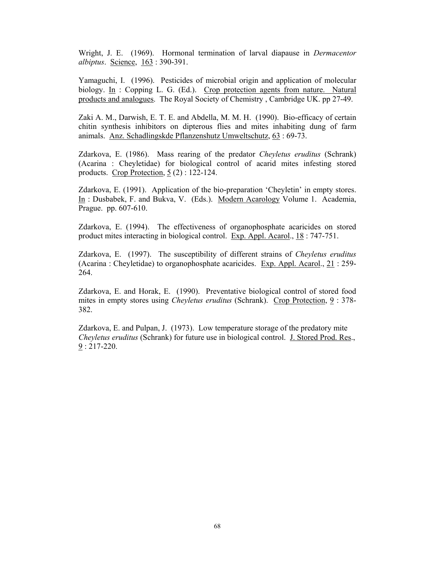Wright, J. E. (1969). Hormonal termination of larval diapause in *Dermacentor albiptus*. Science, 163 : 390-391.

Yamaguchi, I. (1996). Pesticides of microbial origin and application of molecular biology. In : Copping L. G. (Ed.). Crop protection agents from nature. Natural products and analogues. The Royal Society of Chemistry , Cambridge UK. pp 27-49.

Zaki A. M., Darwish, E. T. E. and Abdella, M. M. H. (1990). Bio-efficacy of certain chitin synthesis inhibitors on dipterous flies and mites inhabiting dung of farm animals. Anz. Schadlingskde Pflanzenshutz Umweltschutz, 63 : 69-73.

Zdarkova, E. (1986). Mass rearing of the predator *Cheyletus eruditus* (Schrank) (Acarina : Cheyletidae) for biological control of acarid mites infesting stored products. Crop Protection, 5 (2) : 122-124.

Zdarkova, E. (1991). Application of the bio-preparation 'Cheyletin' in empty stores. In : Dusbabek, F. and Bukva, V. (Eds.). Modern Acarology Volume 1. Academia, Prague. pp. 607-610.

Zdarkova, E. (1994). The effectiveness of organophosphate acaricides on stored product mites interacting in biological control. Exp. Appl. Acarol., 18 : 747-751.

Zdarkova, E. (1997). The susceptibility of different strains of *Cheyletus eruditus* (Acarina : Cheyletidae) to organophosphate acaricides. Exp. Appl. Acarol., 21 : 259- 264.

Zdarkova, E. and Horak, E. (1990). Preventative biological control of stored food mites in empty stores using *Cheyletus eruditus* (Schrank). Crop Protection, 9 : 378- 382.

Zdarkova, E. and Pulpan, J. (1973). Low temperature storage of the predatory mite *Cheyletus eruditus* (Schrank) for future use in biological control. J. Stored Prod. Res., 9 : 217-220.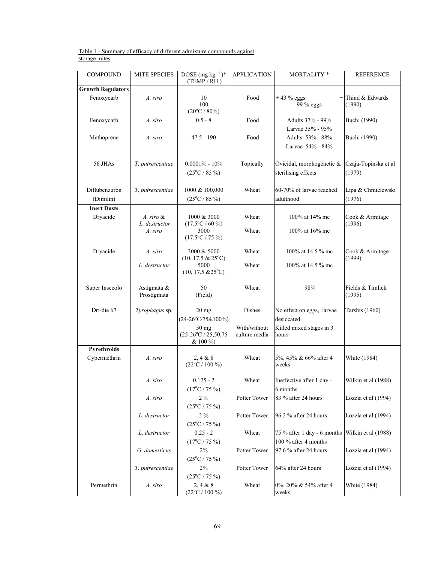#### Table 1 - Summary of efficacy of different admixture compounds against storage mites

| <b>COMPOUND</b>            | <b>MITE SPECIES</b>        | DOSE (mg kg $^{-1}$ )*<br>(TEMP / RH)              | <b>APPLICATION</b>            | MORTALITY *                                              | <b>REFERENCE</b>               |
|----------------------------|----------------------------|----------------------------------------------------|-------------------------------|----------------------------------------------------------|--------------------------------|
| <b>Growth Regulators</b>   |                            |                                                    |                               |                                                          |                                |
| Fenoxycarb                 | A. siro                    | 10<br>100<br>$(20^{\circ}C / 80\%)$                | Food                          | $+43%$ eggs<br>99 % eggs                                 | Thind & Edwards<br>(1990)      |
| Fenoxycarb                 | A. siro                    | $0.5 - 8$                                          | Food                          | Adults 37% - 99%                                         | Buchi (1990)                   |
| Methoprene                 | A. siro                    | $47.5 - 190$                                       | Food                          | Larvae 35% - 95%<br>Adults 53% - 88%<br>Larvae 54% - 84% | <b>Buchi</b> (1990)            |
| 56 JHAs                    | T. putrescentiae           | $0.0001\% - 10\%$<br>$(25^{\circ}C / 85 \%)$       | Topically                     | Ovicidal, morphogenetic &<br>sterilising effects         | Czaja-Topinska et al<br>(1979) |
| Diflubenzuron<br>(Dimilin) | T. putrescentiae           | 1000 & 100,000<br>$(25^{\circ}C / 85 \%)$          | Wheat                         | 60-70% of larvae reached<br>adulthood                    | Lipa & Chmielewski<br>(1976)   |
| <b>Inert Dusts</b>         |                            |                                                    |                               |                                                          |                                |
| Dryacide                   | A. siro &<br>L. destructor | 1000 & 3000<br>$(17.5^{\circ}C / 60 \%)$           | Wheat                         | 100% at 14% mc                                           | Cook & Armitage<br>(1996)      |
|                            | A. siro                    | 3000<br>$(17.5^{\circ}C / 75 \%)$                  | Wheat                         | 100% at 16% mc                                           |                                |
| Dryacide                   | A. siro                    | 3000 & 5000<br>$(10, 17.5 \& 25^{\circ}C)$         | Wheat                         | 100% at 14.5 % mc                                        | Cook & Armitage<br>(1999)      |
|                            | L. destructor              | 5000<br>$(10, 17.5 \& 25^{\circ}C)$                | Wheat                         | 100% at 14.5 % mc                                        |                                |
| Super Insecolo             | Astigmata &<br>Prostigmata | 50<br>(Field)                                      | Wheat                         | 98%                                                      | Fields & Timlick<br>(1995)     |
| Dri-die 67                 | Tyrophagus sp.             | $20$ mg<br>$(24-26\degree C/75\&100\%)$            | Dishes                        | No effect on eggs, larvae<br>desiccated                  | Tarshis (1960)                 |
|                            |                            | 50 mg<br>$(25-26\degree C / 25,50,75$<br>$& 100\%$ | With/without<br>culture media | Killed mixed stages in 3<br>hours                        |                                |
| Pyrethroids                |                            |                                                    |                               |                                                          |                                |
| Cypermethrin               | A. siro                    | 2, 4 & 8<br>$(22^{\circ}C / 100 \%)$               | Wheat                         | 5%, 45% & 66% after 4<br>weeks                           | White (1984)                   |
|                            | A. siro                    | $0.125 - 2$<br>$(17^{\circ}C / 75 \%)$             | Wheat                         | Ineffective after 1 day -<br>6 months                    | Wilkin et al (1988)            |
|                            | A. siro                    | $2\%$<br>$(25^{\circ}C / 75 \%)$                   | Potter Tower                  | 83 % after 24 hours                                      | Lozzia et al (1994)            |
|                            | L. destructor              | $2\ \%$<br>$(25^{\circ}C / 75 \%)$                 | Potter Tower                  | 96.2 % after 24 hours                                    | Lozzia et al (1994)            |
|                            | L. destructor              | $0.25 - 2$<br>$(17^{\circ}C / 75 \%)$              | Wheat                         | 75 % after 1 day - 6 months<br>100 % after 4 months      | Wilkin et al (1988)            |
|                            | G. domesticus              | 2%<br>$(25^{\circ}C / 75 \%)$                      | Potter Tower                  | 97.6 % after 24 hours                                    | Lozzia et al (1994)            |
|                            | T. putrescentiae           | $2\%$<br>$(25^{\circ}C / 75 \%)$                   | Potter Tower                  | 64% after 24 hours                                       | Lozzia et al (1994)            |
| Permethrin                 | A. siro                    | 2, 4 & 8<br>$(22^{\circ}C / 100 \%)$               | Wheat                         | 0%, 20% & 54% after 4<br>weeks                           | White (1984)                   |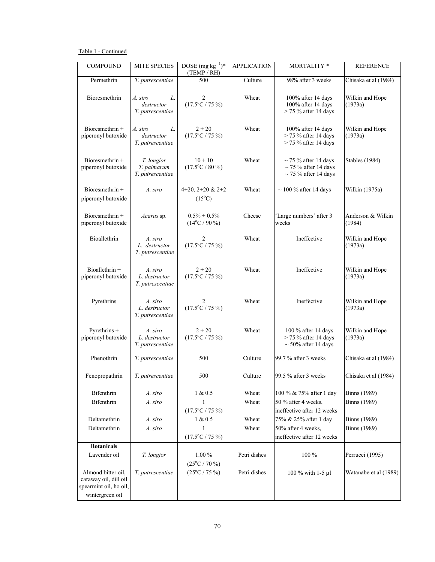## Table 1 - Continued

| <b>COMPOUND</b>                                                                          | <b>MITE SPECIES</b>                             | DOSE $(mg kg^{-1})$ *<br>(TEMP / RH)       | <b>APPLICATION</b> | <b>MORTALITY*</b>                                                                   | <b>REFERENCE</b>                           |
|------------------------------------------------------------------------------------------|-------------------------------------------------|--------------------------------------------|--------------------|-------------------------------------------------------------------------------------|--------------------------------------------|
| Permethrin                                                                               | T. putrescentiae                                | 500                                        | Culture            | 98% after 3 weeks                                                                   | Chisaka et al (1984)                       |
| Bioresmethrin                                                                            | A. siro<br>L.<br>destructor<br>T. putrescentiae | 2<br>$(17.5^{\circ}C / 75 \%)$             | Wheat              | 100% after 14 days<br>100% after 14 days<br>$>$ 75 % after 14 days                  | Wilkin and Hope<br>(1973a)                 |
| Bioresmethrin +<br>piperonyl butoxide                                                    | A. siro<br>L.<br>destructor<br>T. putrescentiae | $2 + 20$<br>$(17.5^{\circ}C / 75 \%)$      | Wheat              | 100% after 14 days<br>$>$ 75 % after 14 days<br>$>$ 75 % after 14 days              | Wilkin and Hope<br>(1973a)                 |
| Bioresmethrin +<br>piperonyl butoxide                                                    | T. longior<br>T. palmarum<br>T. putrescentiae   | $10 + 10$<br>$(17.5^{\circ}C / 80 \%)$     | Wheat              | $\sim$ 75 % after 14 days<br>$\sim$ 75 % after 14 days<br>$\sim$ 75 % after 14 days | <b>Stables</b> (1984)                      |
| Bioresmethrin +<br>piperonyl butoxide                                                    | A. siro                                         | 4+20, 2+20 & 2+2<br>$(15^{\circ}C)$        | Wheat              | $\sim$ 100 % after 14 days                                                          | Wilkin (1975a)                             |
| Bioresmethrin +<br>piperonyl butoxide                                                    | Acarus sp.                                      | $0.5\% + 0.5\%$<br>$(14^{\circ}C / 90 \%)$ | Cheese             | 'Large numbers' after 3<br>weeks                                                    | Anderson & Wilkin<br>(1984)                |
| Bioallethrin                                                                             | A. siro<br>L destructor<br>T. putrescentiae     | 2<br>$(17.5^{\circ}C / 75 \%)$             | Wheat              | Ineffective                                                                         | Wilkin and Hope<br>(1973a)                 |
| Bioallethrin +<br>piperonyl butoxide                                                     | A. siro<br>L. destructor<br>T. putrescentiae    | $2 + 20$<br>$(17.5^{\circ}C / 75 \%)$      | Wheat              | Ineffective                                                                         | Wilkin and Hope<br>(1973a)                 |
| Pyrethrins                                                                               | A. siro<br>L. destructor<br>T. putrescentiae    | 2<br>$(17.5^{\circ}C / 75 \%)$             | Wheat              | Ineffective                                                                         | Wilkin and Hope<br>(1973a)                 |
| Pyrethrins +<br>piperonyl butoxide                                                       | A. siro<br>L. destructor<br>T. putrescentiae    | $2 + 20$<br>$(17.5^{\circ}C / 75 \%)$      | Wheat              | 100 % after 14 days<br>$>$ 75 % after 14 days<br>$\sim$ 50% after 14 days           | Wilkin and Hope<br>(1973a)                 |
| Phenothrin                                                                               | T. putrescentiae                                | 500                                        | Culture            | 99.7 % after 3 weeks                                                                | Chisaka et al (1984)                       |
| Fenopropathrin                                                                           | T. putrescentiae                                | 500                                        | Culture            | 99.5 % after 3 weeks                                                                | Chisaka et al (1984)                       |
| Bifenthrin<br>Bifenthrin                                                                 | A. siro<br>A. siro                              | 1 & 0.5<br>1<br>$(17.5^{\circ}C / 75 \%)$  | Wheat<br>Wheat     | 100 % & 75% after 1 day<br>50 % after 4 weeks,<br>ineffective after 12 weeks        | <b>Binns</b> (1989)<br><b>Binns</b> (1989) |
| Deltamethrin                                                                             | A. siro                                         | 1 & 0.5                                    | Wheat              | 75% & 25% after 1 day                                                               | <b>Binns</b> (1989)                        |
| Deltamethrin                                                                             | A. siro                                         | 1                                          | Wheat              | 50% after 4 weeks,                                                                  | <b>Binns</b> (1989)                        |
|                                                                                          |                                                 | $(17.5^{\circ}C / 75 \%)$                  |                    | ineffective after 12 weeks                                                          |                                            |
| <b>Botanicals</b>                                                                        |                                                 |                                            |                    |                                                                                     |                                            |
| Lavender oil                                                                             | T. longior                                      | $1.00\%$<br>$(25^{\circ}C / 70 \%)$        | Petri dishes       | 100 %                                                                               | Perrucci (1995)                            |
| Almond bitter oil,<br>caraway oil, dill oil<br>spearmint oil, ho oil,<br>wintergreen oil | T. putrescentiae                                | $(25^{\circ}C / 75 \%)$                    | Petri dishes       | 100 % with 1-5 µl                                                                   | Watanabe et al (1989)                      |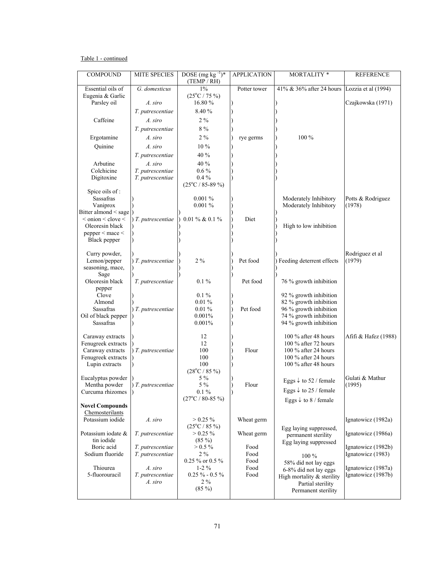## Table 1 - continued

| $1\%$<br>Essential oils of<br>G. domesticus<br>41% & 36% after 24 hours<br>Lozzia et al (1994)<br>Potter tower<br>Eugenia & Garlic<br>$(25^{\circ}C / 75 \%)$<br>Parsley oil<br>16.80%<br>Czajkowska (1971)<br>A. siro<br>8.40 %<br>T. putrescentiae<br>Caffeine<br>$2\%$<br>A. siro<br>$8\ \%$<br>T. putrescentiae<br>Ergotamine<br>$2\%$<br>100 %<br>A. siro<br>rye germs<br>10%<br>Ouinine<br>A. siro<br>40 %<br>T. putrescentiae<br>40 %<br>Arbutine<br>A. siro<br>Colchicine<br>$0.6\%$<br>T. putrescentiae<br>Digitoxine<br>T. putrescentiae<br>$0.4\%$<br>$(25^{\circ}C / 85 - 89 \%)$<br>Spice oils of:<br><b>Sassafras</b><br>0.001%<br>Moderately Inhibitory<br>Potts & Rodriguez<br>Vaniprox<br>Moderately Inhibitory<br>(1978)<br>0.001%<br>Bitter almond < sage<br>$\alpha$ < onion $\alpha$ clove $\alpha$<br>) T. putrescentiae<br>0.01 % & 0.1 %<br>Diet<br>Oleoresin black<br>High to low inhibition<br>pepper < mace <<br>Black pepper<br>Curry powder,<br>Rodriguez et al<br>$2\ \%$<br>Lemon/pepper<br>Pet food<br>Feeding deterrent effects<br>(1979)<br>$)$ T. putrescentiae<br>seasoning, mace,<br>Sage<br>Oleoresin black<br>$0.1\%$<br>Pet food<br>76 % growth inhibition<br>T. putrescentiae<br>pepper<br>$0.1\%$<br>Clove<br>92 % growth inhibition<br>$0.01\%$<br>82 % growth inhibition<br>Almond<br>Pet food<br>Sassafras<br>96 % growth inhibition<br>) T. putrescentiae<br>$0.01\%$<br>Oil of black pepper<br>74 % growth inhibition<br>0.001%<br>Sassafras<br>94 % growth inhibition<br>0.001%<br>100 % after 48 hours<br>12<br>Afifi & Hafez (1988)<br>Caraway extracts<br>12<br>100 % after 72 hours<br>Fenugreek extracts<br>Flour<br>Caraway extracts<br>) T. putrescentiae<br>100<br>100 $%$ after 24 hours<br>100 % after 24 hours<br>Fenugreek extracts<br>100<br>100<br>100 % after 48 hours<br>Lupin extracts<br>$(28^{\circ}C / 85 \%)$<br>Eucalyptus powder<br>5 %<br>Gulati & Mathur<br>Eggs $\downarrow$ to 52 / female<br>5 %<br>Flour<br>(1995)<br>Mentha powder<br>$)$ T. putrescentiae<br>Eggs $\downarrow$ to 25 / female<br>$0.1\%$<br>Curcuma rhizomes<br>I)<br>$(27^{\circ}C / 80 - 85 \%)$<br>Eggs $\downarrow$ to 8 / female<br><b>Novel Compounds</b><br>Chemosterilants<br>Potassium iodide<br>$> 0.25 \%$<br>Ignatowicz (1982a)<br>A. siro<br>Wheat germ<br>$(25^{\circ}C / 85 \%)$<br>Egg laying suppressed,<br>Potassium iodate &<br>$> 0.25 \%$<br>Ignatowicz (1986a)<br>T. putrescentiae<br>Wheat germ<br>permanent sterility<br>tin iodide<br>$(85\%)$<br>Egg laying suppressed<br>Boric acid<br>$> 0.5 \%$<br>T. putrescentiae<br>Food<br>Ignatowicz (1982b)<br>Sodium fluoride<br>T. putrescentiae<br>$2\%$<br>Food<br>Ignatowicz (1983)<br>$100\%$<br>$0.25$ % or $0.5$ %<br>Food<br>58% did not lay eggs<br>Ignatowicz (1987a)<br>Thiourea<br>A. siro<br>$1-2\%$<br>Food<br>6-8% did not lay eggs<br>5-fluorouracil<br>$0.25 \% - 0.5 \%$<br>T. putrescentiae<br>Food<br>Ignatowicz (1987b)<br>High mortality $&$ sterility<br>$2\%$<br>A. siro<br>Partial sterility<br>$(85\%)$<br>Permanent sterility | <b>COMPOUND</b> | <b>MITE SPECIES</b> | DOSE (mg kg $^{-1}$ )*<br>(TEMP/RH) | <b>APPLICATION</b> | <b>MORTALITY*</b> | <b>REFERENCE</b> |
|-----------------------------------------------------------------------------------------------------------------------------------------------------------------------------------------------------------------------------------------------------------------------------------------------------------------------------------------------------------------------------------------------------------------------------------------------------------------------------------------------------------------------------------------------------------------------------------------------------------------------------------------------------------------------------------------------------------------------------------------------------------------------------------------------------------------------------------------------------------------------------------------------------------------------------------------------------------------------------------------------------------------------------------------------------------------------------------------------------------------------------------------------------------------------------------------------------------------------------------------------------------------------------------------------------------------------------------------------------------------------------------------------------------------------------------------------------------------------------------------------------------------------------------------------------------------------------------------------------------------------------------------------------------------------------------------------------------------------------------------------------------------------------------------------------------------------------------------------------------------------------------------------------------------------------------------------------------------------------------------------------------------------------------------------------------------------------------------------------------------------------------------------------------------------------------------------------------------------------------------------------------------------------------------------------------------------------------------------------------------------------------------------------------------------------------------------------------------------------------------------------------------------------------------------------------------------------------------------------------------------------------------------------------------------------------------------------------------------------------------------------------------------------------------------------------------------------------------------------------------------------------------------------------------------------------------------------------------------------------------------------------------------------------------------------------------------------|-----------------|---------------------|-------------------------------------|--------------------|-------------------|------------------|
|                                                                                                                                                                                                                                                                                                                                                                                                                                                                                                                                                                                                                                                                                                                                                                                                                                                                                                                                                                                                                                                                                                                                                                                                                                                                                                                                                                                                                                                                                                                                                                                                                                                                                                                                                                                                                                                                                                                                                                                                                                                                                                                                                                                                                                                                                                                                                                                                                                                                                                                                                                                                                                                                                                                                                                                                                                                                                                                                                                                                                                                                             |                 |                     |                                     |                    |                   |                  |
|                                                                                                                                                                                                                                                                                                                                                                                                                                                                                                                                                                                                                                                                                                                                                                                                                                                                                                                                                                                                                                                                                                                                                                                                                                                                                                                                                                                                                                                                                                                                                                                                                                                                                                                                                                                                                                                                                                                                                                                                                                                                                                                                                                                                                                                                                                                                                                                                                                                                                                                                                                                                                                                                                                                                                                                                                                                                                                                                                                                                                                                                             |                 |                     |                                     |                    |                   |                  |
|                                                                                                                                                                                                                                                                                                                                                                                                                                                                                                                                                                                                                                                                                                                                                                                                                                                                                                                                                                                                                                                                                                                                                                                                                                                                                                                                                                                                                                                                                                                                                                                                                                                                                                                                                                                                                                                                                                                                                                                                                                                                                                                                                                                                                                                                                                                                                                                                                                                                                                                                                                                                                                                                                                                                                                                                                                                                                                                                                                                                                                                                             |                 |                     |                                     |                    |                   |                  |
|                                                                                                                                                                                                                                                                                                                                                                                                                                                                                                                                                                                                                                                                                                                                                                                                                                                                                                                                                                                                                                                                                                                                                                                                                                                                                                                                                                                                                                                                                                                                                                                                                                                                                                                                                                                                                                                                                                                                                                                                                                                                                                                                                                                                                                                                                                                                                                                                                                                                                                                                                                                                                                                                                                                                                                                                                                                                                                                                                                                                                                                                             |                 |                     |                                     |                    |                   |                  |
|                                                                                                                                                                                                                                                                                                                                                                                                                                                                                                                                                                                                                                                                                                                                                                                                                                                                                                                                                                                                                                                                                                                                                                                                                                                                                                                                                                                                                                                                                                                                                                                                                                                                                                                                                                                                                                                                                                                                                                                                                                                                                                                                                                                                                                                                                                                                                                                                                                                                                                                                                                                                                                                                                                                                                                                                                                                                                                                                                                                                                                                                             |                 |                     |                                     |                    |                   |                  |
|                                                                                                                                                                                                                                                                                                                                                                                                                                                                                                                                                                                                                                                                                                                                                                                                                                                                                                                                                                                                                                                                                                                                                                                                                                                                                                                                                                                                                                                                                                                                                                                                                                                                                                                                                                                                                                                                                                                                                                                                                                                                                                                                                                                                                                                                                                                                                                                                                                                                                                                                                                                                                                                                                                                                                                                                                                                                                                                                                                                                                                                                             |                 |                     |                                     |                    |                   |                  |
|                                                                                                                                                                                                                                                                                                                                                                                                                                                                                                                                                                                                                                                                                                                                                                                                                                                                                                                                                                                                                                                                                                                                                                                                                                                                                                                                                                                                                                                                                                                                                                                                                                                                                                                                                                                                                                                                                                                                                                                                                                                                                                                                                                                                                                                                                                                                                                                                                                                                                                                                                                                                                                                                                                                                                                                                                                                                                                                                                                                                                                                                             |                 |                     |                                     |                    |                   |                  |
|                                                                                                                                                                                                                                                                                                                                                                                                                                                                                                                                                                                                                                                                                                                                                                                                                                                                                                                                                                                                                                                                                                                                                                                                                                                                                                                                                                                                                                                                                                                                                                                                                                                                                                                                                                                                                                                                                                                                                                                                                                                                                                                                                                                                                                                                                                                                                                                                                                                                                                                                                                                                                                                                                                                                                                                                                                                                                                                                                                                                                                                                             |                 |                     |                                     |                    |                   |                  |
|                                                                                                                                                                                                                                                                                                                                                                                                                                                                                                                                                                                                                                                                                                                                                                                                                                                                                                                                                                                                                                                                                                                                                                                                                                                                                                                                                                                                                                                                                                                                                                                                                                                                                                                                                                                                                                                                                                                                                                                                                                                                                                                                                                                                                                                                                                                                                                                                                                                                                                                                                                                                                                                                                                                                                                                                                                                                                                                                                                                                                                                                             |                 |                     |                                     |                    |                   |                  |
|                                                                                                                                                                                                                                                                                                                                                                                                                                                                                                                                                                                                                                                                                                                                                                                                                                                                                                                                                                                                                                                                                                                                                                                                                                                                                                                                                                                                                                                                                                                                                                                                                                                                                                                                                                                                                                                                                                                                                                                                                                                                                                                                                                                                                                                                                                                                                                                                                                                                                                                                                                                                                                                                                                                                                                                                                                                                                                                                                                                                                                                                             |                 |                     |                                     |                    |                   |                  |
|                                                                                                                                                                                                                                                                                                                                                                                                                                                                                                                                                                                                                                                                                                                                                                                                                                                                                                                                                                                                                                                                                                                                                                                                                                                                                                                                                                                                                                                                                                                                                                                                                                                                                                                                                                                                                                                                                                                                                                                                                                                                                                                                                                                                                                                                                                                                                                                                                                                                                                                                                                                                                                                                                                                                                                                                                                                                                                                                                                                                                                                                             |                 |                     |                                     |                    |                   |                  |
|                                                                                                                                                                                                                                                                                                                                                                                                                                                                                                                                                                                                                                                                                                                                                                                                                                                                                                                                                                                                                                                                                                                                                                                                                                                                                                                                                                                                                                                                                                                                                                                                                                                                                                                                                                                                                                                                                                                                                                                                                                                                                                                                                                                                                                                                                                                                                                                                                                                                                                                                                                                                                                                                                                                                                                                                                                                                                                                                                                                                                                                                             |                 |                     |                                     |                    |                   |                  |
|                                                                                                                                                                                                                                                                                                                                                                                                                                                                                                                                                                                                                                                                                                                                                                                                                                                                                                                                                                                                                                                                                                                                                                                                                                                                                                                                                                                                                                                                                                                                                                                                                                                                                                                                                                                                                                                                                                                                                                                                                                                                                                                                                                                                                                                                                                                                                                                                                                                                                                                                                                                                                                                                                                                                                                                                                                                                                                                                                                                                                                                                             |                 |                     |                                     |                    |                   |                  |
|                                                                                                                                                                                                                                                                                                                                                                                                                                                                                                                                                                                                                                                                                                                                                                                                                                                                                                                                                                                                                                                                                                                                                                                                                                                                                                                                                                                                                                                                                                                                                                                                                                                                                                                                                                                                                                                                                                                                                                                                                                                                                                                                                                                                                                                                                                                                                                                                                                                                                                                                                                                                                                                                                                                                                                                                                                                                                                                                                                                                                                                                             |                 |                     |                                     |                    |                   |                  |
|                                                                                                                                                                                                                                                                                                                                                                                                                                                                                                                                                                                                                                                                                                                                                                                                                                                                                                                                                                                                                                                                                                                                                                                                                                                                                                                                                                                                                                                                                                                                                                                                                                                                                                                                                                                                                                                                                                                                                                                                                                                                                                                                                                                                                                                                                                                                                                                                                                                                                                                                                                                                                                                                                                                                                                                                                                                                                                                                                                                                                                                                             |                 |                     |                                     |                    |                   |                  |
|                                                                                                                                                                                                                                                                                                                                                                                                                                                                                                                                                                                                                                                                                                                                                                                                                                                                                                                                                                                                                                                                                                                                                                                                                                                                                                                                                                                                                                                                                                                                                                                                                                                                                                                                                                                                                                                                                                                                                                                                                                                                                                                                                                                                                                                                                                                                                                                                                                                                                                                                                                                                                                                                                                                                                                                                                                                                                                                                                                                                                                                                             |                 |                     |                                     |                    |                   |                  |
|                                                                                                                                                                                                                                                                                                                                                                                                                                                                                                                                                                                                                                                                                                                                                                                                                                                                                                                                                                                                                                                                                                                                                                                                                                                                                                                                                                                                                                                                                                                                                                                                                                                                                                                                                                                                                                                                                                                                                                                                                                                                                                                                                                                                                                                                                                                                                                                                                                                                                                                                                                                                                                                                                                                                                                                                                                                                                                                                                                                                                                                                             |                 |                     |                                     |                    |                   |                  |
|                                                                                                                                                                                                                                                                                                                                                                                                                                                                                                                                                                                                                                                                                                                                                                                                                                                                                                                                                                                                                                                                                                                                                                                                                                                                                                                                                                                                                                                                                                                                                                                                                                                                                                                                                                                                                                                                                                                                                                                                                                                                                                                                                                                                                                                                                                                                                                                                                                                                                                                                                                                                                                                                                                                                                                                                                                                                                                                                                                                                                                                                             |                 |                     |                                     |                    |                   |                  |
|                                                                                                                                                                                                                                                                                                                                                                                                                                                                                                                                                                                                                                                                                                                                                                                                                                                                                                                                                                                                                                                                                                                                                                                                                                                                                                                                                                                                                                                                                                                                                                                                                                                                                                                                                                                                                                                                                                                                                                                                                                                                                                                                                                                                                                                                                                                                                                                                                                                                                                                                                                                                                                                                                                                                                                                                                                                                                                                                                                                                                                                                             |                 |                     |                                     |                    |                   |                  |
|                                                                                                                                                                                                                                                                                                                                                                                                                                                                                                                                                                                                                                                                                                                                                                                                                                                                                                                                                                                                                                                                                                                                                                                                                                                                                                                                                                                                                                                                                                                                                                                                                                                                                                                                                                                                                                                                                                                                                                                                                                                                                                                                                                                                                                                                                                                                                                                                                                                                                                                                                                                                                                                                                                                                                                                                                                                                                                                                                                                                                                                                             |                 |                     |                                     |                    |                   |                  |
|                                                                                                                                                                                                                                                                                                                                                                                                                                                                                                                                                                                                                                                                                                                                                                                                                                                                                                                                                                                                                                                                                                                                                                                                                                                                                                                                                                                                                                                                                                                                                                                                                                                                                                                                                                                                                                                                                                                                                                                                                                                                                                                                                                                                                                                                                                                                                                                                                                                                                                                                                                                                                                                                                                                                                                                                                                                                                                                                                                                                                                                                             |                 |                     |                                     |                    |                   |                  |
|                                                                                                                                                                                                                                                                                                                                                                                                                                                                                                                                                                                                                                                                                                                                                                                                                                                                                                                                                                                                                                                                                                                                                                                                                                                                                                                                                                                                                                                                                                                                                                                                                                                                                                                                                                                                                                                                                                                                                                                                                                                                                                                                                                                                                                                                                                                                                                                                                                                                                                                                                                                                                                                                                                                                                                                                                                                                                                                                                                                                                                                                             |                 |                     |                                     |                    |                   |                  |
|                                                                                                                                                                                                                                                                                                                                                                                                                                                                                                                                                                                                                                                                                                                                                                                                                                                                                                                                                                                                                                                                                                                                                                                                                                                                                                                                                                                                                                                                                                                                                                                                                                                                                                                                                                                                                                                                                                                                                                                                                                                                                                                                                                                                                                                                                                                                                                                                                                                                                                                                                                                                                                                                                                                                                                                                                                                                                                                                                                                                                                                                             |                 |                     |                                     |                    |                   |                  |
|                                                                                                                                                                                                                                                                                                                                                                                                                                                                                                                                                                                                                                                                                                                                                                                                                                                                                                                                                                                                                                                                                                                                                                                                                                                                                                                                                                                                                                                                                                                                                                                                                                                                                                                                                                                                                                                                                                                                                                                                                                                                                                                                                                                                                                                                                                                                                                                                                                                                                                                                                                                                                                                                                                                                                                                                                                                                                                                                                                                                                                                                             |                 |                     |                                     |                    |                   |                  |
|                                                                                                                                                                                                                                                                                                                                                                                                                                                                                                                                                                                                                                                                                                                                                                                                                                                                                                                                                                                                                                                                                                                                                                                                                                                                                                                                                                                                                                                                                                                                                                                                                                                                                                                                                                                                                                                                                                                                                                                                                                                                                                                                                                                                                                                                                                                                                                                                                                                                                                                                                                                                                                                                                                                                                                                                                                                                                                                                                                                                                                                                             |                 |                     |                                     |                    |                   |                  |
|                                                                                                                                                                                                                                                                                                                                                                                                                                                                                                                                                                                                                                                                                                                                                                                                                                                                                                                                                                                                                                                                                                                                                                                                                                                                                                                                                                                                                                                                                                                                                                                                                                                                                                                                                                                                                                                                                                                                                                                                                                                                                                                                                                                                                                                                                                                                                                                                                                                                                                                                                                                                                                                                                                                                                                                                                                                                                                                                                                                                                                                                             |                 |                     |                                     |                    |                   |                  |
|                                                                                                                                                                                                                                                                                                                                                                                                                                                                                                                                                                                                                                                                                                                                                                                                                                                                                                                                                                                                                                                                                                                                                                                                                                                                                                                                                                                                                                                                                                                                                                                                                                                                                                                                                                                                                                                                                                                                                                                                                                                                                                                                                                                                                                                                                                                                                                                                                                                                                                                                                                                                                                                                                                                                                                                                                                                                                                                                                                                                                                                                             |                 |                     |                                     |                    |                   |                  |
|                                                                                                                                                                                                                                                                                                                                                                                                                                                                                                                                                                                                                                                                                                                                                                                                                                                                                                                                                                                                                                                                                                                                                                                                                                                                                                                                                                                                                                                                                                                                                                                                                                                                                                                                                                                                                                                                                                                                                                                                                                                                                                                                                                                                                                                                                                                                                                                                                                                                                                                                                                                                                                                                                                                                                                                                                                                                                                                                                                                                                                                                             |                 |                     |                                     |                    |                   |                  |
|                                                                                                                                                                                                                                                                                                                                                                                                                                                                                                                                                                                                                                                                                                                                                                                                                                                                                                                                                                                                                                                                                                                                                                                                                                                                                                                                                                                                                                                                                                                                                                                                                                                                                                                                                                                                                                                                                                                                                                                                                                                                                                                                                                                                                                                                                                                                                                                                                                                                                                                                                                                                                                                                                                                                                                                                                                                                                                                                                                                                                                                                             |                 |                     |                                     |                    |                   |                  |
|                                                                                                                                                                                                                                                                                                                                                                                                                                                                                                                                                                                                                                                                                                                                                                                                                                                                                                                                                                                                                                                                                                                                                                                                                                                                                                                                                                                                                                                                                                                                                                                                                                                                                                                                                                                                                                                                                                                                                                                                                                                                                                                                                                                                                                                                                                                                                                                                                                                                                                                                                                                                                                                                                                                                                                                                                                                                                                                                                                                                                                                                             |                 |                     |                                     |                    |                   |                  |
|                                                                                                                                                                                                                                                                                                                                                                                                                                                                                                                                                                                                                                                                                                                                                                                                                                                                                                                                                                                                                                                                                                                                                                                                                                                                                                                                                                                                                                                                                                                                                                                                                                                                                                                                                                                                                                                                                                                                                                                                                                                                                                                                                                                                                                                                                                                                                                                                                                                                                                                                                                                                                                                                                                                                                                                                                                                                                                                                                                                                                                                                             |                 |                     |                                     |                    |                   |                  |
|                                                                                                                                                                                                                                                                                                                                                                                                                                                                                                                                                                                                                                                                                                                                                                                                                                                                                                                                                                                                                                                                                                                                                                                                                                                                                                                                                                                                                                                                                                                                                                                                                                                                                                                                                                                                                                                                                                                                                                                                                                                                                                                                                                                                                                                                                                                                                                                                                                                                                                                                                                                                                                                                                                                                                                                                                                                                                                                                                                                                                                                                             |                 |                     |                                     |                    |                   |                  |
|                                                                                                                                                                                                                                                                                                                                                                                                                                                                                                                                                                                                                                                                                                                                                                                                                                                                                                                                                                                                                                                                                                                                                                                                                                                                                                                                                                                                                                                                                                                                                                                                                                                                                                                                                                                                                                                                                                                                                                                                                                                                                                                                                                                                                                                                                                                                                                                                                                                                                                                                                                                                                                                                                                                                                                                                                                                                                                                                                                                                                                                                             |                 |                     |                                     |                    |                   |                  |
|                                                                                                                                                                                                                                                                                                                                                                                                                                                                                                                                                                                                                                                                                                                                                                                                                                                                                                                                                                                                                                                                                                                                                                                                                                                                                                                                                                                                                                                                                                                                                                                                                                                                                                                                                                                                                                                                                                                                                                                                                                                                                                                                                                                                                                                                                                                                                                                                                                                                                                                                                                                                                                                                                                                                                                                                                                                                                                                                                                                                                                                                             |                 |                     |                                     |                    |                   |                  |
|                                                                                                                                                                                                                                                                                                                                                                                                                                                                                                                                                                                                                                                                                                                                                                                                                                                                                                                                                                                                                                                                                                                                                                                                                                                                                                                                                                                                                                                                                                                                                                                                                                                                                                                                                                                                                                                                                                                                                                                                                                                                                                                                                                                                                                                                                                                                                                                                                                                                                                                                                                                                                                                                                                                                                                                                                                                                                                                                                                                                                                                                             |                 |                     |                                     |                    |                   |                  |
|                                                                                                                                                                                                                                                                                                                                                                                                                                                                                                                                                                                                                                                                                                                                                                                                                                                                                                                                                                                                                                                                                                                                                                                                                                                                                                                                                                                                                                                                                                                                                                                                                                                                                                                                                                                                                                                                                                                                                                                                                                                                                                                                                                                                                                                                                                                                                                                                                                                                                                                                                                                                                                                                                                                                                                                                                                                                                                                                                                                                                                                                             |                 |                     |                                     |                    |                   |                  |
|                                                                                                                                                                                                                                                                                                                                                                                                                                                                                                                                                                                                                                                                                                                                                                                                                                                                                                                                                                                                                                                                                                                                                                                                                                                                                                                                                                                                                                                                                                                                                                                                                                                                                                                                                                                                                                                                                                                                                                                                                                                                                                                                                                                                                                                                                                                                                                                                                                                                                                                                                                                                                                                                                                                                                                                                                                                                                                                                                                                                                                                                             |                 |                     |                                     |                    |                   |                  |
|                                                                                                                                                                                                                                                                                                                                                                                                                                                                                                                                                                                                                                                                                                                                                                                                                                                                                                                                                                                                                                                                                                                                                                                                                                                                                                                                                                                                                                                                                                                                                                                                                                                                                                                                                                                                                                                                                                                                                                                                                                                                                                                                                                                                                                                                                                                                                                                                                                                                                                                                                                                                                                                                                                                                                                                                                                                                                                                                                                                                                                                                             |                 |                     |                                     |                    |                   |                  |
|                                                                                                                                                                                                                                                                                                                                                                                                                                                                                                                                                                                                                                                                                                                                                                                                                                                                                                                                                                                                                                                                                                                                                                                                                                                                                                                                                                                                                                                                                                                                                                                                                                                                                                                                                                                                                                                                                                                                                                                                                                                                                                                                                                                                                                                                                                                                                                                                                                                                                                                                                                                                                                                                                                                                                                                                                                                                                                                                                                                                                                                                             |                 |                     |                                     |                    |                   |                  |
|                                                                                                                                                                                                                                                                                                                                                                                                                                                                                                                                                                                                                                                                                                                                                                                                                                                                                                                                                                                                                                                                                                                                                                                                                                                                                                                                                                                                                                                                                                                                                                                                                                                                                                                                                                                                                                                                                                                                                                                                                                                                                                                                                                                                                                                                                                                                                                                                                                                                                                                                                                                                                                                                                                                                                                                                                                                                                                                                                                                                                                                                             |                 |                     |                                     |                    |                   |                  |
|                                                                                                                                                                                                                                                                                                                                                                                                                                                                                                                                                                                                                                                                                                                                                                                                                                                                                                                                                                                                                                                                                                                                                                                                                                                                                                                                                                                                                                                                                                                                                                                                                                                                                                                                                                                                                                                                                                                                                                                                                                                                                                                                                                                                                                                                                                                                                                                                                                                                                                                                                                                                                                                                                                                                                                                                                                                                                                                                                                                                                                                                             |                 |                     |                                     |                    |                   |                  |
|                                                                                                                                                                                                                                                                                                                                                                                                                                                                                                                                                                                                                                                                                                                                                                                                                                                                                                                                                                                                                                                                                                                                                                                                                                                                                                                                                                                                                                                                                                                                                                                                                                                                                                                                                                                                                                                                                                                                                                                                                                                                                                                                                                                                                                                                                                                                                                                                                                                                                                                                                                                                                                                                                                                                                                                                                                                                                                                                                                                                                                                                             |                 |                     |                                     |                    |                   |                  |
|                                                                                                                                                                                                                                                                                                                                                                                                                                                                                                                                                                                                                                                                                                                                                                                                                                                                                                                                                                                                                                                                                                                                                                                                                                                                                                                                                                                                                                                                                                                                                                                                                                                                                                                                                                                                                                                                                                                                                                                                                                                                                                                                                                                                                                                                                                                                                                                                                                                                                                                                                                                                                                                                                                                                                                                                                                                                                                                                                                                                                                                                             |                 |                     |                                     |                    |                   |                  |
|                                                                                                                                                                                                                                                                                                                                                                                                                                                                                                                                                                                                                                                                                                                                                                                                                                                                                                                                                                                                                                                                                                                                                                                                                                                                                                                                                                                                                                                                                                                                                                                                                                                                                                                                                                                                                                                                                                                                                                                                                                                                                                                                                                                                                                                                                                                                                                                                                                                                                                                                                                                                                                                                                                                                                                                                                                                                                                                                                                                                                                                                             |                 |                     |                                     |                    |                   |                  |
|                                                                                                                                                                                                                                                                                                                                                                                                                                                                                                                                                                                                                                                                                                                                                                                                                                                                                                                                                                                                                                                                                                                                                                                                                                                                                                                                                                                                                                                                                                                                                                                                                                                                                                                                                                                                                                                                                                                                                                                                                                                                                                                                                                                                                                                                                                                                                                                                                                                                                                                                                                                                                                                                                                                                                                                                                                                                                                                                                                                                                                                                             |                 |                     |                                     |                    |                   |                  |
|                                                                                                                                                                                                                                                                                                                                                                                                                                                                                                                                                                                                                                                                                                                                                                                                                                                                                                                                                                                                                                                                                                                                                                                                                                                                                                                                                                                                                                                                                                                                                                                                                                                                                                                                                                                                                                                                                                                                                                                                                                                                                                                                                                                                                                                                                                                                                                                                                                                                                                                                                                                                                                                                                                                                                                                                                                                                                                                                                                                                                                                                             |                 |                     |                                     |                    |                   |                  |
|                                                                                                                                                                                                                                                                                                                                                                                                                                                                                                                                                                                                                                                                                                                                                                                                                                                                                                                                                                                                                                                                                                                                                                                                                                                                                                                                                                                                                                                                                                                                                                                                                                                                                                                                                                                                                                                                                                                                                                                                                                                                                                                                                                                                                                                                                                                                                                                                                                                                                                                                                                                                                                                                                                                                                                                                                                                                                                                                                                                                                                                                             |                 |                     |                                     |                    |                   |                  |
|                                                                                                                                                                                                                                                                                                                                                                                                                                                                                                                                                                                                                                                                                                                                                                                                                                                                                                                                                                                                                                                                                                                                                                                                                                                                                                                                                                                                                                                                                                                                                                                                                                                                                                                                                                                                                                                                                                                                                                                                                                                                                                                                                                                                                                                                                                                                                                                                                                                                                                                                                                                                                                                                                                                                                                                                                                                                                                                                                                                                                                                                             |                 |                     |                                     |                    |                   |                  |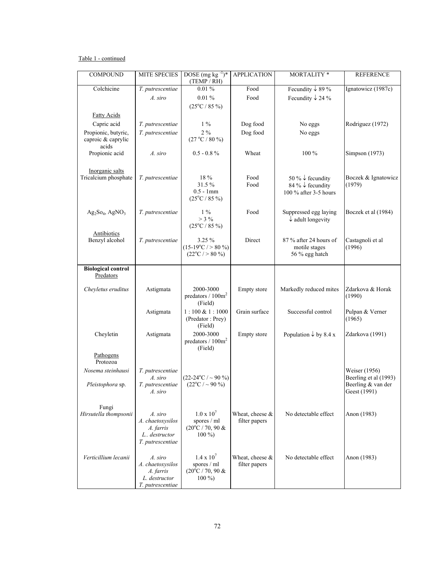## Table 1 - continued

| 0.01%<br>Colchicine<br>Food<br>Fecundity $\downarrow$ 89 %<br>Ignatowicz (1987c)<br>T. putrescentiae<br>$0.01\%$<br>Food<br>Fecundity $\downarrow$ 24 %<br>A. siro<br>$(25^{\circ}C / 85 \%)$<br><b>Fatty Acids</b><br>Capric acid<br>$1\%$<br>Dog food<br>T. putrescentiae<br>No eggs<br>Rodriguez (1972)<br>$2\%$<br>Propionic, butyric,<br>Dog food<br>T. putrescentiae<br>No eggs<br>caproic & caprylic<br>(27 °C / 80 %<br>acids<br>Propionic acid<br>Wheat<br>100 %<br>A. siro<br>$0.5 - 0.8 \%$<br>Simpson (1973)<br>Inorganic salts<br>Tricalcium phosphate<br>18 %<br>Food<br>50 % $\downarrow$ fecundity<br>T. putrescentiae<br>Boczek & Ignatowicz<br>31.5%<br>Food<br>(1979)<br>84 % $\downarrow$ fecundity<br>$0.5 - 1$ mm<br>100 % after 3-5 hours<br>$(25^{\circ}C / 85 \%)$<br>$1\%$<br>Food<br>$Ag_2So_4$ , $AgNO_3$<br>T. putrescentiae<br>Suppressed egg laying<br>Boczek et al (1984)<br>$>$ 3 %<br>$\downarrow$ adult longevity<br>$(25^{\circ}C / 85 \%)$<br>Antibiotics<br>Benzyl alcohol<br>3.25 %<br>Direct<br>87 % after 24 hours of<br>Castagnoli et al<br>T. putrescentiae<br>$(15-19^{\circ}C / > 80 \%)$<br>(1996)<br>motile stages<br>$(22^{\circ}C / > 80 \%)$<br>56 % egg hatch<br><b>Biological control</b><br>Predators<br>2000-3000<br>Markedly reduced mites<br>Zdarkova & Horak<br>Cheyletus eruditus<br>Astigmata<br>Empty store<br>predators / 100m <sup>2</sup><br>(1990)<br>(Field)<br>Successful control<br>$1:100 \& 1:1000$<br>Grain surface<br>Pulpan & Verner<br>Astigmata<br>(Predator: Prey)<br>(1965)<br>(Field)<br>2000-3000<br>Zdarkova (1991)<br>Cheyletin<br>Astigmata<br>Empty store<br>Population $\downarrow$ by 8.4 x<br>predators / 100m <sup>2</sup><br>(Field)<br>Pathogens<br>Protozoa<br>Weiser (1956)<br>Nosema steinhausi<br>T. putrescentiae<br>$(22-24$ °C / ~ 90 %)<br>Beerling et al (1993)<br>A. siro<br>$(22^{\circ}C / \sim 90\%)$<br>Pleistophora sp.<br>Beerling & van der<br>T. putrescentiae<br>Geest (1991)<br>A. siro<br>Fungi<br>$1.0 \times 10^7$<br>Hirsutella thompsonii<br>Wheat, cheese $\&$<br>No detectable effect<br>Anon (1983)<br>A. siro<br>A. chaetoxysilos<br>spores / ml<br>filter papers<br>$(20^{\circ}C / 70, 90 \&$<br>A. farris<br>$100\%$<br>L., destructor<br>T. putrescentiae<br>$1.4 \times 10^{7}$<br>Wheat, cheese &<br>Verticillium lecanii<br>A. siro<br>No detectable effect<br>Anon (1983) | <b>COMPOUND</b> | MITE SPECIES | DOSE (mg kg $^{-1}$ )*<br>(TEMP / RH) | <b>APPLICATION</b> | MORTALITY * | <b>REFERENCE</b> |
|--------------------------------------------------------------------------------------------------------------------------------------------------------------------------------------------------------------------------------------------------------------------------------------------------------------------------------------------------------------------------------------------------------------------------------------------------------------------------------------------------------------------------------------------------------------------------------------------------------------------------------------------------------------------------------------------------------------------------------------------------------------------------------------------------------------------------------------------------------------------------------------------------------------------------------------------------------------------------------------------------------------------------------------------------------------------------------------------------------------------------------------------------------------------------------------------------------------------------------------------------------------------------------------------------------------------------------------------------------------------------------------------------------------------------------------------------------------------------------------------------------------------------------------------------------------------------------------------------------------------------------------------------------------------------------------------------------------------------------------------------------------------------------------------------------------------------------------------------------------------------------------------------------------------------------------------------------------------------------------------------------------------------------------------------------------------------------------------------------------------------------------------------------------------------------------------------------------------------------------------------------------------------------------------------------------------------------------------------------------------------------------------------------|-----------------|--------------|---------------------------------------|--------------------|-------------|------------------|
|                                                                                                                                                                                                                                                                                                                                                                                                                                                                                                                                                                                                                                                                                                                                                                                                                                                                                                                                                                                                                                                                                                                                                                                                                                                                                                                                                                                                                                                                                                                                                                                                                                                                                                                                                                                                                                                                                                                                                                                                                                                                                                                                                                                                                                                                                                                                                                                                        |                 |              |                                       |                    |             |                  |
|                                                                                                                                                                                                                                                                                                                                                                                                                                                                                                                                                                                                                                                                                                                                                                                                                                                                                                                                                                                                                                                                                                                                                                                                                                                                                                                                                                                                                                                                                                                                                                                                                                                                                                                                                                                                                                                                                                                                                                                                                                                                                                                                                                                                                                                                                                                                                                                                        |                 |              |                                       |                    |             |                  |
|                                                                                                                                                                                                                                                                                                                                                                                                                                                                                                                                                                                                                                                                                                                                                                                                                                                                                                                                                                                                                                                                                                                                                                                                                                                                                                                                                                                                                                                                                                                                                                                                                                                                                                                                                                                                                                                                                                                                                                                                                                                                                                                                                                                                                                                                                                                                                                                                        |                 |              |                                       |                    |             |                  |
|                                                                                                                                                                                                                                                                                                                                                                                                                                                                                                                                                                                                                                                                                                                                                                                                                                                                                                                                                                                                                                                                                                                                                                                                                                                                                                                                                                                                                                                                                                                                                                                                                                                                                                                                                                                                                                                                                                                                                                                                                                                                                                                                                                                                                                                                                                                                                                                                        |                 |              |                                       |                    |             |                  |
|                                                                                                                                                                                                                                                                                                                                                                                                                                                                                                                                                                                                                                                                                                                                                                                                                                                                                                                                                                                                                                                                                                                                                                                                                                                                                                                                                                                                                                                                                                                                                                                                                                                                                                                                                                                                                                                                                                                                                                                                                                                                                                                                                                                                                                                                                                                                                                                                        |                 |              |                                       |                    |             |                  |
|                                                                                                                                                                                                                                                                                                                                                                                                                                                                                                                                                                                                                                                                                                                                                                                                                                                                                                                                                                                                                                                                                                                                                                                                                                                                                                                                                                                                                                                                                                                                                                                                                                                                                                                                                                                                                                                                                                                                                                                                                                                                                                                                                                                                                                                                                                                                                                                                        |                 |              |                                       |                    |             |                  |
|                                                                                                                                                                                                                                                                                                                                                                                                                                                                                                                                                                                                                                                                                                                                                                                                                                                                                                                                                                                                                                                                                                                                                                                                                                                                                                                                                                                                                                                                                                                                                                                                                                                                                                                                                                                                                                                                                                                                                                                                                                                                                                                                                                                                                                                                                                                                                                                                        |                 |              |                                       |                    |             |                  |
|                                                                                                                                                                                                                                                                                                                                                                                                                                                                                                                                                                                                                                                                                                                                                                                                                                                                                                                                                                                                                                                                                                                                                                                                                                                                                                                                                                                                                                                                                                                                                                                                                                                                                                                                                                                                                                                                                                                                                                                                                                                                                                                                                                                                                                                                                                                                                                                                        |                 |              |                                       |                    |             |                  |
|                                                                                                                                                                                                                                                                                                                                                                                                                                                                                                                                                                                                                                                                                                                                                                                                                                                                                                                                                                                                                                                                                                                                                                                                                                                                                                                                                                                                                                                                                                                                                                                                                                                                                                                                                                                                                                                                                                                                                                                                                                                                                                                                                                                                                                                                                                                                                                                                        |                 |              |                                       |                    |             |                  |
|                                                                                                                                                                                                                                                                                                                                                                                                                                                                                                                                                                                                                                                                                                                                                                                                                                                                                                                                                                                                                                                                                                                                                                                                                                                                                                                                                                                                                                                                                                                                                                                                                                                                                                                                                                                                                                                                                                                                                                                                                                                                                                                                                                                                                                                                                                                                                                                                        |                 |              |                                       |                    |             |                  |
|                                                                                                                                                                                                                                                                                                                                                                                                                                                                                                                                                                                                                                                                                                                                                                                                                                                                                                                                                                                                                                                                                                                                                                                                                                                                                                                                                                                                                                                                                                                                                                                                                                                                                                                                                                                                                                                                                                                                                                                                                                                                                                                                                                                                                                                                                                                                                                                                        |                 |              |                                       |                    |             |                  |
|                                                                                                                                                                                                                                                                                                                                                                                                                                                                                                                                                                                                                                                                                                                                                                                                                                                                                                                                                                                                                                                                                                                                                                                                                                                                                                                                                                                                                                                                                                                                                                                                                                                                                                                                                                                                                                                                                                                                                                                                                                                                                                                                                                                                                                                                                                                                                                                                        |                 |              |                                       |                    |             |                  |
|                                                                                                                                                                                                                                                                                                                                                                                                                                                                                                                                                                                                                                                                                                                                                                                                                                                                                                                                                                                                                                                                                                                                                                                                                                                                                                                                                                                                                                                                                                                                                                                                                                                                                                                                                                                                                                                                                                                                                                                                                                                                                                                                                                                                                                                                                                                                                                                                        |                 |              |                                       |                    |             |                  |
|                                                                                                                                                                                                                                                                                                                                                                                                                                                                                                                                                                                                                                                                                                                                                                                                                                                                                                                                                                                                                                                                                                                                                                                                                                                                                                                                                                                                                                                                                                                                                                                                                                                                                                                                                                                                                                                                                                                                                                                                                                                                                                                                                                                                                                                                                                                                                                                                        |                 |              |                                       |                    |             |                  |
|                                                                                                                                                                                                                                                                                                                                                                                                                                                                                                                                                                                                                                                                                                                                                                                                                                                                                                                                                                                                                                                                                                                                                                                                                                                                                                                                                                                                                                                                                                                                                                                                                                                                                                                                                                                                                                                                                                                                                                                                                                                                                                                                                                                                                                                                                                                                                                                                        |                 |              |                                       |                    |             |                  |
|                                                                                                                                                                                                                                                                                                                                                                                                                                                                                                                                                                                                                                                                                                                                                                                                                                                                                                                                                                                                                                                                                                                                                                                                                                                                                                                                                                                                                                                                                                                                                                                                                                                                                                                                                                                                                                                                                                                                                                                                                                                                                                                                                                                                                                                                                                                                                                                                        |                 |              |                                       |                    |             |                  |
|                                                                                                                                                                                                                                                                                                                                                                                                                                                                                                                                                                                                                                                                                                                                                                                                                                                                                                                                                                                                                                                                                                                                                                                                                                                                                                                                                                                                                                                                                                                                                                                                                                                                                                                                                                                                                                                                                                                                                                                                                                                                                                                                                                                                                                                                                                                                                                                                        |                 |              |                                       |                    |             |                  |
|                                                                                                                                                                                                                                                                                                                                                                                                                                                                                                                                                                                                                                                                                                                                                                                                                                                                                                                                                                                                                                                                                                                                                                                                                                                                                                                                                                                                                                                                                                                                                                                                                                                                                                                                                                                                                                                                                                                                                                                                                                                                                                                                                                                                                                                                                                                                                                                                        |                 |              |                                       |                    |             |                  |
|                                                                                                                                                                                                                                                                                                                                                                                                                                                                                                                                                                                                                                                                                                                                                                                                                                                                                                                                                                                                                                                                                                                                                                                                                                                                                                                                                                                                                                                                                                                                                                                                                                                                                                                                                                                                                                                                                                                                                                                                                                                                                                                                                                                                                                                                                                                                                                                                        |                 |              |                                       |                    |             |                  |
|                                                                                                                                                                                                                                                                                                                                                                                                                                                                                                                                                                                                                                                                                                                                                                                                                                                                                                                                                                                                                                                                                                                                                                                                                                                                                                                                                                                                                                                                                                                                                                                                                                                                                                                                                                                                                                                                                                                                                                                                                                                                                                                                                                                                                                                                                                                                                                                                        |                 |              |                                       |                    |             |                  |
|                                                                                                                                                                                                                                                                                                                                                                                                                                                                                                                                                                                                                                                                                                                                                                                                                                                                                                                                                                                                                                                                                                                                                                                                                                                                                                                                                                                                                                                                                                                                                                                                                                                                                                                                                                                                                                                                                                                                                                                                                                                                                                                                                                                                                                                                                                                                                                                                        |                 |              |                                       |                    |             |                  |
|                                                                                                                                                                                                                                                                                                                                                                                                                                                                                                                                                                                                                                                                                                                                                                                                                                                                                                                                                                                                                                                                                                                                                                                                                                                                                                                                                                                                                                                                                                                                                                                                                                                                                                                                                                                                                                                                                                                                                                                                                                                                                                                                                                                                                                                                                                                                                                                                        |                 |              |                                       |                    |             |                  |
|                                                                                                                                                                                                                                                                                                                                                                                                                                                                                                                                                                                                                                                                                                                                                                                                                                                                                                                                                                                                                                                                                                                                                                                                                                                                                                                                                                                                                                                                                                                                                                                                                                                                                                                                                                                                                                                                                                                                                                                                                                                                                                                                                                                                                                                                                                                                                                                                        |                 |              |                                       |                    |             |                  |
|                                                                                                                                                                                                                                                                                                                                                                                                                                                                                                                                                                                                                                                                                                                                                                                                                                                                                                                                                                                                                                                                                                                                                                                                                                                                                                                                                                                                                                                                                                                                                                                                                                                                                                                                                                                                                                                                                                                                                                                                                                                                                                                                                                                                                                                                                                                                                                                                        |                 |              |                                       |                    |             |                  |
|                                                                                                                                                                                                                                                                                                                                                                                                                                                                                                                                                                                                                                                                                                                                                                                                                                                                                                                                                                                                                                                                                                                                                                                                                                                                                                                                                                                                                                                                                                                                                                                                                                                                                                                                                                                                                                                                                                                                                                                                                                                                                                                                                                                                                                                                                                                                                                                                        |                 |              |                                       |                    |             |                  |
|                                                                                                                                                                                                                                                                                                                                                                                                                                                                                                                                                                                                                                                                                                                                                                                                                                                                                                                                                                                                                                                                                                                                                                                                                                                                                                                                                                                                                                                                                                                                                                                                                                                                                                                                                                                                                                                                                                                                                                                                                                                                                                                                                                                                                                                                                                                                                                                                        |                 |              |                                       |                    |             |                  |
|                                                                                                                                                                                                                                                                                                                                                                                                                                                                                                                                                                                                                                                                                                                                                                                                                                                                                                                                                                                                                                                                                                                                                                                                                                                                                                                                                                                                                                                                                                                                                                                                                                                                                                                                                                                                                                                                                                                                                                                                                                                                                                                                                                                                                                                                                                                                                                                                        |                 |              |                                       |                    |             |                  |
|                                                                                                                                                                                                                                                                                                                                                                                                                                                                                                                                                                                                                                                                                                                                                                                                                                                                                                                                                                                                                                                                                                                                                                                                                                                                                                                                                                                                                                                                                                                                                                                                                                                                                                                                                                                                                                                                                                                                                                                                                                                                                                                                                                                                                                                                                                                                                                                                        |                 |              |                                       |                    |             |                  |
|                                                                                                                                                                                                                                                                                                                                                                                                                                                                                                                                                                                                                                                                                                                                                                                                                                                                                                                                                                                                                                                                                                                                                                                                                                                                                                                                                                                                                                                                                                                                                                                                                                                                                                                                                                                                                                                                                                                                                                                                                                                                                                                                                                                                                                                                                                                                                                                                        |                 |              |                                       |                    |             |                  |
|                                                                                                                                                                                                                                                                                                                                                                                                                                                                                                                                                                                                                                                                                                                                                                                                                                                                                                                                                                                                                                                                                                                                                                                                                                                                                                                                                                                                                                                                                                                                                                                                                                                                                                                                                                                                                                                                                                                                                                                                                                                                                                                                                                                                                                                                                                                                                                                                        |                 |              |                                       |                    |             |                  |
|                                                                                                                                                                                                                                                                                                                                                                                                                                                                                                                                                                                                                                                                                                                                                                                                                                                                                                                                                                                                                                                                                                                                                                                                                                                                                                                                                                                                                                                                                                                                                                                                                                                                                                                                                                                                                                                                                                                                                                                                                                                                                                                                                                                                                                                                                                                                                                                                        |                 |              |                                       |                    |             |                  |
|                                                                                                                                                                                                                                                                                                                                                                                                                                                                                                                                                                                                                                                                                                                                                                                                                                                                                                                                                                                                                                                                                                                                                                                                                                                                                                                                                                                                                                                                                                                                                                                                                                                                                                                                                                                                                                                                                                                                                                                                                                                                                                                                                                                                                                                                                                                                                                                                        |                 |              |                                       |                    |             |                  |
|                                                                                                                                                                                                                                                                                                                                                                                                                                                                                                                                                                                                                                                                                                                                                                                                                                                                                                                                                                                                                                                                                                                                                                                                                                                                                                                                                                                                                                                                                                                                                                                                                                                                                                                                                                                                                                                                                                                                                                                                                                                                                                                                                                                                                                                                                                                                                                                                        |                 |              |                                       |                    |             |                  |
|                                                                                                                                                                                                                                                                                                                                                                                                                                                                                                                                                                                                                                                                                                                                                                                                                                                                                                                                                                                                                                                                                                                                                                                                                                                                                                                                                                                                                                                                                                                                                                                                                                                                                                                                                                                                                                                                                                                                                                                                                                                                                                                                                                                                                                                                                                                                                                                                        |                 |              |                                       |                    |             |                  |
|                                                                                                                                                                                                                                                                                                                                                                                                                                                                                                                                                                                                                                                                                                                                                                                                                                                                                                                                                                                                                                                                                                                                                                                                                                                                                                                                                                                                                                                                                                                                                                                                                                                                                                                                                                                                                                                                                                                                                                                                                                                                                                                                                                                                                                                                                                                                                                                                        |                 |              |                                       |                    |             |                  |
|                                                                                                                                                                                                                                                                                                                                                                                                                                                                                                                                                                                                                                                                                                                                                                                                                                                                                                                                                                                                                                                                                                                                                                                                                                                                                                                                                                                                                                                                                                                                                                                                                                                                                                                                                                                                                                                                                                                                                                                                                                                                                                                                                                                                                                                                                                                                                                                                        |                 |              |                                       |                    |             |                  |
|                                                                                                                                                                                                                                                                                                                                                                                                                                                                                                                                                                                                                                                                                                                                                                                                                                                                                                                                                                                                                                                                                                                                                                                                                                                                                                                                                                                                                                                                                                                                                                                                                                                                                                                                                                                                                                                                                                                                                                                                                                                                                                                                                                                                                                                                                                                                                                                                        |                 |              |                                       |                    |             |                  |
|                                                                                                                                                                                                                                                                                                                                                                                                                                                                                                                                                                                                                                                                                                                                                                                                                                                                                                                                                                                                                                                                                                                                                                                                                                                                                                                                                                                                                                                                                                                                                                                                                                                                                                                                                                                                                                                                                                                                                                                                                                                                                                                                                                                                                                                                                                                                                                                                        |                 |              |                                       |                    |             |                  |
|                                                                                                                                                                                                                                                                                                                                                                                                                                                                                                                                                                                                                                                                                                                                                                                                                                                                                                                                                                                                                                                                                                                                                                                                                                                                                                                                                                                                                                                                                                                                                                                                                                                                                                                                                                                                                                                                                                                                                                                                                                                                                                                                                                                                                                                                                                                                                                                                        |                 |              |                                       |                    |             |                  |
|                                                                                                                                                                                                                                                                                                                                                                                                                                                                                                                                                                                                                                                                                                                                                                                                                                                                                                                                                                                                                                                                                                                                                                                                                                                                                                                                                                                                                                                                                                                                                                                                                                                                                                                                                                                                                                                                                                                                                                                                                                                                                                                                                                                                                                                                                                                                                                                                        |                 |              |                                       |                    |             |                  |
|                                                                                                                                                                                                                                                                                                                                                                                                                                                                                                                                                                                                                                                                                                                                                                                                                                                                                                                                                                                                                                                                                                                                                                                                                                                                                                                                                                                                                                                                                                                                                                                                                                                                                                                                                                                                                                                                                                                                                                                                                                                                                                                                                                                                                                                                                                                                                                                                        |                 |              |                                       |                    |             |                  |
| filter papers<br>A. chaetoxysilos<br>spores / ml                                                                                                                                                                                                                                                                                                                                                                                                                                                                                                                                                                                                                                                                                                                                                                                                                                                                                                                                                                                                                                                                                                                                                                                                                                                                                                                                                                                                                                                                                                                                                                                                                                                                                                                                                                                                                                                                                                                                                                                                                                                                                                                                                                                                                                                                                                                                                       |                 |              |                                       |                    |             |                  |
| $(20^{\circ}C / 70, 90 \&$<br>A. farris<br>L. destructor<br>$100\%$                                                                                                                                                                                                                                                                                                                                                                                                                                                                                                                                                                                                                                                                                                                                                                                                                                                                                                                                                                                                                                                                                                                                                                                                                                                                                                                                                                                                                                                                                                                                                                                                                                                                                                                                                                                                                                                                                                                                                                                                                                                                                                                                                                                                                                                                                                                                    |                 |              |                                       |                    |             |                  |
| T. putrescentiae                                                                                                                                                                                                                                                                                                                                                                                                                                                                                                                                                                                                                                                                                                                                                                                                                                                                                                                                                                                                                                                                                                                                                                                                                                                                                                                                                                                                                                                                                                                                                                                                                                                                                                                                                                                                                                                                                                                                                                                                                                                                                                                                                                                                                                                                                                                                                                                       |                 |              |                                       |                    |             |                  |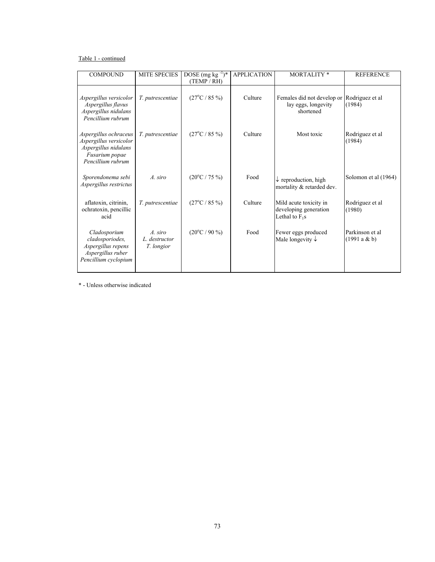## Table 1 - continued

| <b>COMPOUND</b>                                                                                                | <b>MITE SPECIES</b>                    | DOSE (mg kg $^{-1}$ )*<br>(TEMP / RH) | <b>APPLICATION</b> | <b>MORTALITY*</b>                                                   | <b>REFERENCE</b>               |
|----------------------------------------------------------------------------------------------------------------|----------------------------------------|---------------------------------------|--------------------|---------------------------------------------------------------------|--------------------------------|
| Aspergillus versicolor<br>Aspergillus flavus<br>Aspergillus nidulans<br>Pencillium rubrum                      | T. putrescentiae                       | $(27^{\circ}C / 85 \%)$               | Culture            | Females did not develop or<br>lay eggs, longevity<br>shortened      | Rodriguez et al<br>(1984)      |
| Aspergillus ochraceus<br>Aspergillus versicolor<br>Aspergillus nidulans<br>Fusarium popae<br>Pencillium rubrum | T. putrescentiae                       | $(27^{\circ}C / 85 \%)$               | Culture            | Most toxic                                                          | Rodriguez et al<br>(1984)      |
| Sporendonema sebi<br>Aspergillus restrictus                                                                    | A. siro                                | $(20^{\circ}C / 75 \%)$               | Food               | $\downarrow$ reproduction, high<br>mortality & retarded dev.        | Solomon et al (1964)           |
| aflatoxin, citrinin,<br>ochratoxin, pencillic<br>acid                                                          | T. putrescentiae                       | $(27^{\circ}C / 85 \%)$               | Culture            | Mild acute toxicity in<br>developing generation<br>Lethal to $F_1s$ | Rodriguez et al<br>(1980)      |
| Cladosporium<br>cladosporiodes,<br>Aspergillus repens<br>Aspergillus ruber<br>Pencillium cyclopium             | A. siro<br>L. destructor<br>T. longior | $(20^{\circ}C / 90 \%)$               | Food               | Fewer eggs produced<br>Male longevity $\downarrow$                  | Parkinson et al<br>(1991a & b) |

\* - Unless otherwise indicated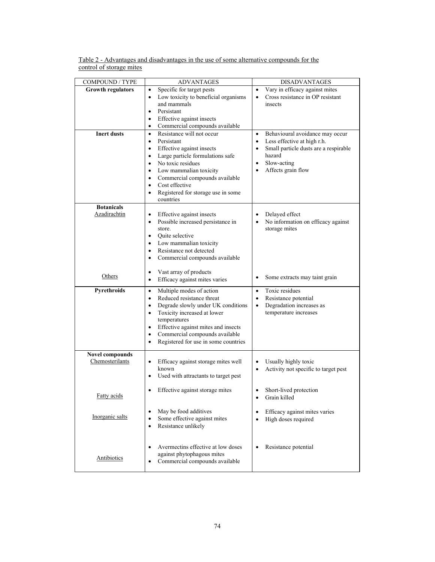| Table 2 - Advantages and disadvantages in the use of some alternative compounds for the |  |
|-----------------------------------------------------------------------------------------|--|
| control of storage mites                                                                |  |

| <b>COMPOUND / TYPE</b>                    | <b>ADVANTAGES</b>                                                          | <b>DISADVANTAGES</b>                               |  |
|-------------------------------------------|----------------------------------------------------------------------------|----------------------------------------------------|--|
| <b>Growth regulators</b>                  | Specific for target pests<br>٠                                             | Vary in efficacy against mites<br>$\bullet$        |  |
|                                           | Low toxicity to beneficial organisms<br>$\bullet$                          | Cross resistance in OP resistant<br>$\bullet$      |  |
|                                           | and mammals<br>Persistant                                                  | insects                                            |  |
|                                           | ٠<br>Effective against insects<br>$\bullet$                                |                                                    |  |
|                                           | Commercial compounds available<br>٠                                        |                                                    |  |
| <b>Inert dusts</b>                        | Resistance will not occur<br>$\bullet$                                     | Behavioural avoidance may occur<br>$\bullet$       |  |
|                                           | Persistant<br>$\bullet$                                                    | Less effective at high r.h.<br>$\bullet$           |  |
|                                           | Effective against insects<br>$\bullet$                                     | Small particle dusts are a respirable<br>$\bullet$ |  |
|                                           | Large particle formulations safe<br>$\bullet$                              | hazard                                             |  |
|                                           | No toxic residues<br>$\bullet$                                             | Slow-acting<br>$\bullet$                           |  |
|                                           | Low mammalian toxicity<br>٠                                                | Affects grain flow                                 |  |
|                                           | Commercial compounds available<br>$\bullet$<br>Cost effective<br>$\bullet$ |                                                    |  |
|                                           | Registered for storage use in some<br>$\bullet$                            |                                                    |  |
|                                           | countries                                                                  |                                                    |  |
| <b>Botanicals</b>                         |                                                                            |                                                    |  |
| Azadirachtin                              | Effective against insects<br>٠                                             | Delayed effect<br>$\bullet$                        |  |
|                                           | Possible increased persistance in<br>٠                                     | No information on efficacy against                 |  |
|                                           | store.<br>Quite selective<br>$\bullet$                                     | storage mites                                      |  |
|                                           | Low mammalian toxicity<br>٠                                                |                                                    |  |
|                                           | Resistance not detected<br>$\bullet$                                       |                                                    |  |
|                                           | Commercial compounds available<br>$\bullet$                                |                                                    |  |
|                                           |                                                                            |                                                    |  |
| Others                                    | Vast array of products<br>$\bullet$                                        | Some extracts may taint grain<br>$\bullet$         |  |
|                                           | Efficacy against mites varies<br>$\bullet$                                 |                                                    |  |
| Pyrethroids                               | Multiple modes of action<br>٠                                              | Toxic residues<br>$\bullet$                        |  |
|                                           | Reduced resistance threat<br>$\bullet$                                     | Resistance potential<br>$\bullet$                  |  |
|                                           | Degrade slowly under UK conditions<br>$\bullet$                            | Degradation increases as<br>$\bullet$              |  |
|                                           | Toxicity increased at lower<br>$\bullet$<br>temperatures                   | temperature increases                              |  |
|                                           | Effective against mites and insects<br>$\bullet$                           |                                                    |  |
|                                           | Commercial compounds available<br>$\bullet$                                |                                                    |  |
|                                           | Registered for use in some countries<br>٠                                  |                                                    |  |
|                                           |                                                                            |                                                    |  |
| <b>Novel compounds</b><br>Chemosterilants | Efficacy against storage mites well<br>٠                                   | Usually highly toxic                               |  |
|                                           | known                                                                      | Activity not specific to target pest<br>$\bullet$  |  |
|                                           | Used with attractants to target pest                                       |                                                    |  |
|                                           |                                                                            |                                                    |  |
|                                           | Effective against storage mites                                            | Short-lived protection                             |  |
| <b>Fatty acids</b>                        |                                                                            | Grain killed                                       |  |
|                                           | May be food additives                                                      | Efficacy against mites varies<br>$\bullet$         |  |
| Inorganic salts                           | Some effective against mites                                               | High doses required<br>$\bullet$                   |  |
|                                           | Resistance unlikely                                                        |                                                    |  |
|                                           |                                                                            |                                                    |  |
|                                           |                                                                            |                                                    |  |
|                                           | Avermectins effective at low doses<br>against phytophagous mites           | Resistance potential                               |  |
| Antibiotics                               | Commercial compounds available<br>$\bullet$                                |                                                    |  |
|                                           |                                                                            |                                                    |  |